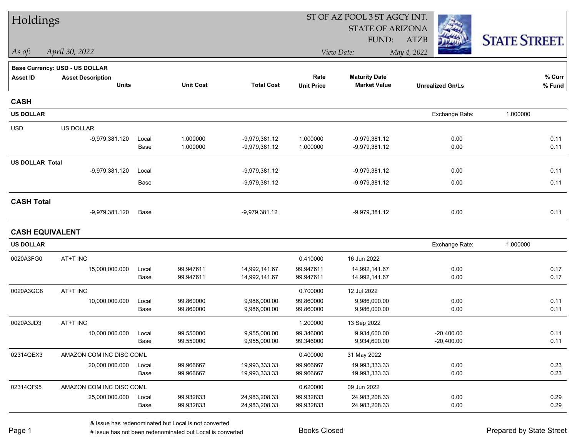| Holdings               |                                       |       |                  |                   | ST OF AZ POOL 3 ST AGCY INT. |                         |                         |                      |  |  |
|------------------------|---------------------------------------|-------|------------------|-------------------|------------------------------|-------------------------|-------------------------|----------------------|--|--|
|                        |                                       |       |                  |                   |                              | <b>STATE OF ARIZONA</b> |                         |                      |  |  |
|                        |                                       |       |                  |                   |                              | FUND:                   | <b>ATZB</b>             | <b>STATE STREET.</b> |  |  |
| As of:                 | April 30, 2022                        |       |                  |                   |                              | View Date:              | May 4, 2022             |                      |  |  |
|                        | <b>Base Currency: USD - US DOLLAR</b> |       |                  |                   |                              |                         |                         |                      |  |  |
| <b>Asset ID</b>        | <b>Asset Description</b>              |       |                  |                   | Rate                         | <b>Maturity Date</b>    |                         | % Curr               |  |  |
|                        | <b>Units</b>                          |       | <b>Unit Cost</b> | <b>Total Cost</b> | <b>Unit Price</b>            | <b>Market Value</b>     | <b>Unrealized Gn/Ls</b> | % Fund               |  |  |
| <b>CASH</b>            |                                       |       |                  |                   |                              |                         |                         |                      |  |  |
| <b>US DOLLAR</b>       |                                       |       |                  |                   |                              |                         | Exchange Rate:          | 1.000000             |  |  |
| <b>USD</b>             | US DOLLAR                             |       |                  |                   |                              |                         |                         |                      |  |  |
|                        | -9,979,381.120                        | Local | 1.000000         | -9,979,381.12     | 1.000000                     | $-9,979,381.12$         | 0.00                    | 0.11                 |  |  |
|                        |                                       | Base  | 1.000000         | -9,979,381.12     | 1.000000                     | -9,979,381.12           | 0.00                    | 0.11                 |  |  |
| <b>US DOLLAR Total</b> |                                       |       |                  |                   |                              |                         |                         |                      |  |  |
|                        | -9,979,381.120                        | Local |                  | $-9,979,381.12$   |                              | -9,979,381.12           | 0.00                    | 0.11                 |  |  |
|                        |                                       | Base  |                  | -9,979,381.12     |                              | -9,979,381.12           | 0.00                    | 0.11                 |  |  |
| <b>CASH Total</b>      |                                       |       |                  |                   |                              |                         |                         |                      |  |  |
|                        | -9,979,381.120                        | Base  |                  | $-9,979,381.12$   |                              | -9,979,381.12           | 0.00                    | 0.11                 |  |  |
| <b>CASH EQUIVALENT</b> |                                       |       |                  |                   |                              |                         |                         |                      |  |  |
| <b>US DOLLAR</b>       |                                       |       |                  |                   |                              |                         | Exchange Rate:          | 1.000000             |  |  |
| 0020A3FG0              | AT+T INC                              |       |                  |                   | 0.410000                     | 16 Jun 2022             |                         |                      |  |  |
|                        | 15,000,000.000                        | Local | 99.947611        | 14,992,141.67     | 99.947611                    | 14,992,141.67           | 0.00                    | 0.17                 |  |  |
|                        |                                       | Base  | 99.947611        | 14,992,141.67     | 99.947611                    | 14,992,141.67           | 0.00                    | 0.17                 |  |  |
| 0020A3GC8              | AT+T INC                              |       |                  |                   | 0.700000                     | 12 Jul 2022             |                         |                      |  |  |
|                        | 10,000,000.000                        | Local | 99.860000        | 9,986,000.00      | 99.860000                    | 9,986,000.00            | 0.00                    | 0.11                 |  |  |
|                        |                                       | Base  | 99.860000        | 9,986,000.00      | 99.860000                    | 9,986,000.00            | 0.00                    | 0.11                 |  |  |
| 0020A3JD3              | AT+T INC                              |       |                  |                   | 1.200000                     | 13 Sep 2022             |                         |                      |  |  |
|                        | 10,000,000.000                        | Local | 99.550000        | 9,955,000.00      | 99.346000                    | 9,934,600.00            | $-20.400.00$            | 0.11                 |  |  |
|                        |                                       | Base  | 99.550000        | 9,955,000.00      | 99.346000                    | 9,934,600.00            | $-20,400.00$            | 0.11                 |  |  |
| 02314QEX3              | AMAZON COM INC DISC COML              |       |                  |                   | 0.400000                     | 31 May 2022             |                         |                      |  |  |
|                        | 20,000,000.000                        | Local | 99.966667        | 19,993,333.33     | 99.966667                    | 19,993,333.33           | 0.00                    | 0.23                 |  |  |
|                        |                                       | Base  | 99.966667        | 19,993,333.33     | 99.966667                    | 19,993,333.33           | 0.00                    | 0.23                 |  |  |
| 02314QF95              | AMAZON COM INC DISC COML              |       |                  |                   | 0.620000                     | 09 Jun 2022             |                         |                      |  |  |
|                        | 25,000,000.000                        | Local | 99.932833        | 24,983,208.33     | 99.932833                    | 24,983,208.33           | 0.00                    | 0.29                 |  |  |
|                        |                                       | Base  | 99.932833        | 24,983,208.33     | 99.932833                    | 24,983,208.33           | 0.00                    | 0.29                 |  |  |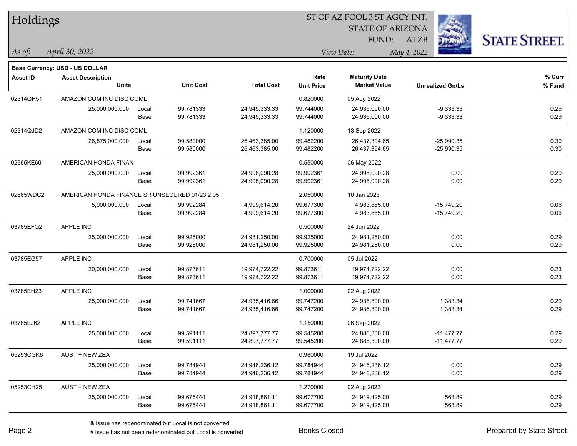| Holdings        |                                                |       |                  |                   |                               | 51 OF AZ POOL 3 51 AGCY INT. |                         |                      |  |
|-----------------|------------------------------------------------|-------|------------------|-------------------|-------------------------------|------------------------------|-------------------------|----------------------|--|
|                 |                                                |       |                  |                   | Ź.<br><b>STATE OF ARIZONA</b> |                              |                         |                      |  |
|                 |                                                |       |                  |                   |                               | FUND:                        | ATZB                    | <b>STATE STREET.</b> |  |
| As of:          | April 30, 2022                                 |       |                  |                   |                               | View Date:                   | May 4, 2022             |                      |  |
|                 | <b>Base Currency: USD - US DOLLAR</b>          |       |                  |                   |                               |                              |                         |                      |  |
| <b>Asset ID</b> | <b>Asset Description</b>                       |       |                  |                   | Rate                          | <b>Maturity Date</b>         |                         | % Curr               |  |
|                 | <b>Units</b>                                   |       | <b>Unit Cost</b> | <b>Total Cost</b> | <b>Unit Price</b>             | <b>Market Value</b>          | <b>Unrealized Gn/Ls</b> | % Fund               |  |
| 02314QH51       | AMAZON COM INC DISC COML                       |       |                  |                   | 0.820000                      | 05 Aug 2022                  |                         |                      |  |
|                 | 25,000,000.000                                 | Local | 99.781333        | 24,945,333.33     | 99.744000                     | 24,936,000.00                | $-9,333.33$             | 0.29                 |  |
|                 |                                                | Base  | 99.781333        | 24,945,333.33     | 99.744000                     | 24,936,000.00                | $-9,333.33$             | 0.29                 |  |
| 02314QJD2       | AMAZON COM INC DISC COML                       |       |                  |                   | 1.120000                      | 13 Sep 2022                  |                         |                      |  |
|                 | 26,575,000.000                                 | Local | 99.580000        | 26,463,385.00     | 99.482200                     | 26,437,394.65                | $-25,990.35$            | 0.30                 |  |
|                 |                                                | Base  | 99.580000        | 26,463,385.00     | 99.482200                     | 26,437,394.65                | $-25,990.35$            | 0.30                 |  |
| 02665KE60       | AMERICAN HONDA FINAN                           |       |                  |                   | 0.550000                      | 06 May 2022                  |                         |                      |  |
|                 | 25,000,000.000                                 | Local | 99.992361        | 24,998,090.28     | 99.992361                     | 24,998,090.28                | 0.00                    | 0.29                 |  |
|                 |                                                | Base  | 99.992361        | 24,998,090.28     | 99.992361                     | 24,998,090.28                | 0.00                    | 0.29                 |  |
| 02665WDC2       | AMERICAN HONDA FINANCE SR UNSECURED 01/23 2.05 |       |                  |                   | 2.050000                      | 10 Jan 2023                  |                         |                      |  |
|                 | 5,000,000.000                                  | Local | 99.992284        | 4,999,614.20      | 99.677300                     | 4,983,865.00                 | $-15,749.20$            | 0.06                 |  |
|                 |                                                | Base  | 99.992284        | 4,999,614.20      | 99.677300                     | 4,983,865.00                 | $-15,749.20$            | 0.06                 |  |
| 03785EFQ2       | <b>APPLE INC</b>                               |       |                  |                   | 0.500000                      | 24 Jun 2022                  |                         |                      |  |
|                 | 25,000,000.000                                 | Local | 99.925000        | 24,981,250.00     | 99.925000                     | 24,981,250.00                | 0.00                    | 0.29                 |  |
|                 |                                                | Base  | 99.925000        | 24,981,250.00     | 99.925000                     | 24,981,250.00                | 0.00                    | 0.29                 |  |
| 03785EG57       | APPLE INC                                      |       |                  |                   | 0.700000                      | 05 Jul 2022                  |                         |                      |  |
|                 | 20,000,000.000                                 | Local | 99.873611        | 19,974,722.22     | 99.873611                     | 19,974,722.22                | 0.00                    | 0.23                 |  |
|                 |                                                | Base  | 99.873611        | 19,974,722.22     | 99.873611                     | 19,974,722.22                | 0.00                    | 0.23                 |  |
| 03785EH23       | APPLE INC                                      |       |                  |                   | 1.000000                      | 02 Aug 2022                  |                         |                      |  |
|                 | 25,000,000.000                                 | Local | 99.741667        | 24,935,416.66     | 99.747200                     | 24,936,800.00                | 1,383.34                | 0.29                 |  |
|                 |                                                | Base  | 99.741667        | 24,935,416.66     | 99.747200                     | 24,936,800.00                | 1,383.34                | 0.29                 |  |
| 03785EJ62       | <b>APPLE INC</b>                               |       |                  |                   | 1.150000                      | 06 Sep 2022                  |                         |                      |  |
|                 | 25,000,000.000                                 | Local | 99.591111        | 24,897,777.77     | 99.545200                     | 24,886,300.00                | $-11,477.77$            | 0.29                 |  |
|                 |                                                | Base  | 99.591111        | 24,897,777.77     | 99.545200                     | 24,886,300.00                | $-11,477.77$            | 0.29                 |  |
| 05253CGK6       | AUST + NEW ZEA                                 |       |                  |                   | 0.980000                      | 19 Jul 2022                  |                         |                      |  |
|                 | 25,000,000.000                                 | Local | 99.784944        | 24,946,236.12     | 99.784944                     | 24,946,236.12                | 0.00                    | 0.29                 |  |
|                 |                                                | Base  | 99.784944        | 24,946,236.12     | 99.784944                     | 24,946,236.12                | 0.00                    | 0.29                 |  |
| 05253CH25       | AUST + NEW ZEA                                 |       |                  |                   | 1.270000                      | 02 Aug 2022                  |                         |                      |  |
|                 | 25,000,000.000                                 | Local | 99.675444        | 24,918,861.11     | 99.677700                     | 24,919,425.00                | 563.89                  | 0.29                 |  |
|                 |                                                | Base  | 99.675444        | 24,918,861.11     | 99.677700                     | 24,919,425.00                | 563.89                  | 0.29                 |  |
|                 |                                                |       |                  |                   |                               |                              |                         |                      |  |

 $\overline{S}$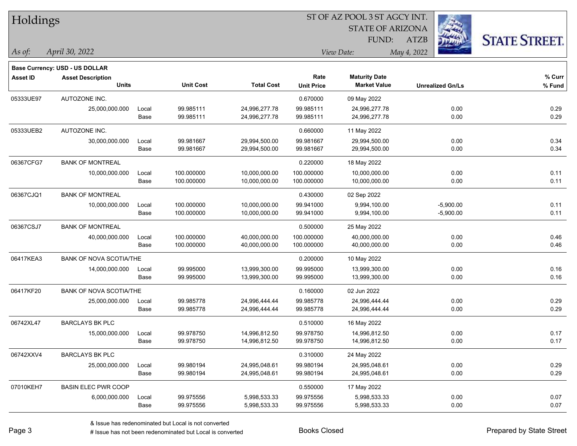| Holdings        |                                |       |                  |                   |                   | ST OF AZ POOL 3 ST AGCY INT. |                         |                      |
|-----------------|--------------------------------|-------|------------------|-------------------|-------------------|------------------------------|-------------------------|----------------------|
|                 |                                |       |                  |                   |                   | <b>STATE OF ARIZONA</b>      |                         |                      |
|                 |                                |       |                  |                   |                   | FUND:                        | <b>ATZB</b>             | <b>STATE STREET.</b> |
| As of:          | April 30, 2022                 |       |                  |                   |                   | View Date:                   | May 4, 2022             |                      |
|                 | Base Currency: USD - US DOLLAR |       |                  |                   |                   |                              |                         |                      |
| <b>Asset ID</b> | <b>Asset Description</b>       |       |                  |                   | Rate              | <b>Maturity Date</b>         |                         | % Curr               |
|                 | <b>Units</b>                   |       | <b>Unit Cost</b> | <b>Total Cost</b> | <b>Unit Price</b> | <b>Market Value</b>          | <b>Unrealized Gn/Ls</b> | $%$ Fund             |
| 05333UE97       | AUTOZONE INC.                  |       |                  |                   | 0.670000          | 09 May 2022                  |                         |                      |
|                 | 25,000,000.000                 | Local | 99.985111        | 24,996,277.78     | 99.985111         | 24,996,277.78                | 0.00                    | 0.29                 |
|                 |                                | Base  | 99.985111        | 24,996,277.78     | 99.985111         | 24,996,277.78                | 0.00                    | 0.29                 |
| 05333UEB2       | AUTOZONE INC.                  |       |                  |                   | 0.660000          | 11 May 2022                  |                         |                      |
|                 | 30,000,000.000                 | Local | 99.981667        | 29,994,500.00     | 99.981667         | 29,994,500.00                | 0.00                    | 0.34                 |
|                 |                                | Base  | 99.981667        | 29,994,500.00     | 99.981667         | 29,994,500.00                | 0.00                    | 0.34                 |
| 06367CFG7       | <b>BANK OF MONTREAL</b>        |       |                  |                   | 0.220000          | 18 May 2022                  |                         |                      |
|                 | 10,000,000.000                 | Local | 100.000000       | 10,000,000.00     | 100.000000        | 10,000,000.00                | 0.00                    | 0.11                 |
|                 |                                | Base  | 100.000000       | 10,000,000.00     | 100.000000        | 10,000,000.00                | 0.00                    | 0.11                 |
| 06367CJQ1       | <b>BANK OF MONTREAL</b>        |       |                  |                   | 0.430000          | 02 Sep 2022                  |                         |                      |
|                 | 10,000,000.000                 | Local | 100.000000       | 10,000,000.00     | 99.941000         | 9,994,100.00                 | $-5,900.00$             | 0.11                 |
|                 |                                | Base  | 100.000000       | 10,000,000.00     | 99.941000         | 9,994,100.00                 | $-5,900.00$             | 0.11                 |
| 06367CSJ7       | <b>BANK OF MONTREAL</b>        |       |                  |                   | 0.500000          | 25 May 2022                  |                         |                      |
|                 | 40,000,000.000                 | Local | 100.000000       | 40,000,000.00     | 100.000000        | 40,000,000.00                | 0.00                    | 0.46                 |
|                 |                                | Base  | 100.000000       | 40,000,000.00     | 100.000000        | 40,000,000.00                | 0.00                    | 0.46                 |
| 06417KEA3       | <b>BANK OF NOVA SCOTIA/THE</b> |       |                  |                   | 0.200000          | 10 May 2022                  |                         |                      |
|                 | 14,000,000.000                 | Local | 99.995000        | 13,999,300.00     | 99.995000         | 13,999,300.00                | 0.00                    | 0.16                 |
|                 |                                | Base  | 99.995000        | 13,999,300.00     | 99.995000         | 13,999,300.00                | 0.00                    | 0.16                 |
| 06417KF20       | BANK OF NOVA SCOTIA/THE        |       |                  |                   | 0.160000          | 02 Jun 2022                  |                         |                      |
|                 | 25,000,000.000                 | Local | 99.985778        | 24,996,444.44     | 99.985778         | 24,996,444.44                | 0.00                    | 0.29                 |
|                 |                                | Base  | 99.985778        | 24,996,444.44     | 99.985778         | 24,996,444.44                | 0.00                    | 0.29                 |
| 06742XL47       | <b>BARCLAYS BK PLC</b>         |       |                  |                   | 0.510000          | 16 May 2022                  |                         |                      |
|                 | 15,000,000.000                 | Local | 99.978750        | 14,996,812.50     | 99.978750         | 14,996,812.50                | 0.00                    | 0.17                 |
|                 |                                | Base  | 99.978750        | 14,996,812.50     | 99.978750         | 14,996,812.50                | 0.00                    | 0.17                 |
| 06742XXV4       | <b>BARCLAYS BK PLC</b>         |       |                  |                   | 0.310000          | 24 May 2022                  |                         |                      |
|                 | 25,000,000.000                 | Local | 99.980194        | 24,995,048.61     | 99.980194         | 24,995,048.61                | 0.00                    | 0.29                 |
|                 |                                | Base  | 99.980194        | 24,995,048.61     | 99.980194         | 24,995,048.61                | 0.00                    | 0.29                 |
| 07010KEH7       | <b>BASIN ELEC PWR COOP</b>     |       |                  |                   | 0.550000          | 17 May 2022                  |                         |                      |
|                 | 6,000,000.000                  | Local | 99.975556        | 5,998,533.33      | 99.975556         | 5,998,533.33                 | 0.00                    | 0.07                 |
|                 |                                | Base  | 99.975556        | 5,998,533.33      | 99.975556         | 5,998,533.33                 | 0.00                    | 0.07                 |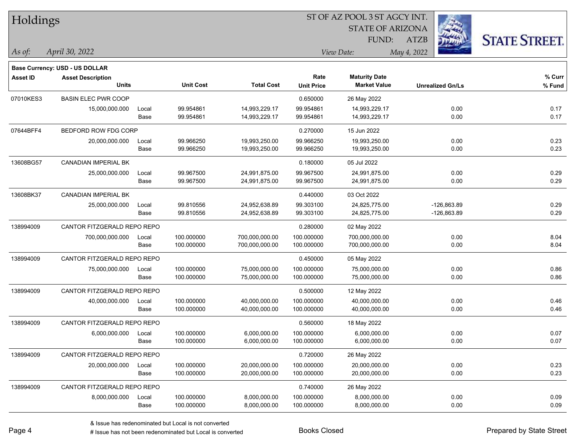| Holdings        |                                       |       |                  |                   |                   | 51 OF AZ POOL 3 51 AGCY INT. |                         |                      |
|-----------------|---------------------------------------|-------|------------------|-------------------|-------------------|------------------------------|-------------------------|----------------------|
|                 |                                       |       |                  |                   |                   | <b>STATE OF ARIZONA</b>      |                         |                      |
|                 |                                       |       |                  |                   |                   | FUND:                        | ATZB                    | <b>STATE STREET.</b> |
| $ $ As of:      | April 30, 2022                        |       |                  |                   |                   | View Date:                   | May 4, 2022             |                      |
|                 | <b>Base Currency: USD - US DOLLAR</b> |       |                  |                   |                   |                              |                         |                      |
| <b>Asset ID</b> | <b>Asset Description</b>              |       |                  |                   | Rate              | <b>Maturity Date</b>         |                         | % Curr               |
|                 | <b>Units</b>                          |       | <b>Unit Cost</b> | <b>Total Cost</b> | <b>Unit Price</b> | <b>Market Value</b>          | <b>Unrealized Gn/Ls</b> | % Fund               |
| 07010KES3       | <b>BASIN ELEC PWR COOP</b>            |       |                  |                   | 0.650000          | 26 May 2022                  |                         |                      |
|                 | 15,000,000.000                        | Local | 99.954861        | 14,993,229.17     | 99.954861         | 14,993,229.17                | 0.00                    | 0.17                 |
|                 |                                       | Base  | 99.954861        | 14,993,229.17     | 99.954861         | 14,993,229.17                | 0.00                    | 0.17                 |
| 07644BFF4       | BEDFORD ROW FDG CORP                  |       |                  |                   | 0.270000          | 15 Jun 2022                  |                         |                      |
|                 | 20,000,000.000                        | Local | 99.966250        | 19,993,250.00     | 99.966250         | 19,993,250.00                | 0.00                    | 0.23                 |
|                 |                                       | Base  | 99.966250        | 19,993,250.00     | 99.966250         | 19,993,250.00                | 0.00                    | 0.23                 |
| 13608BG57       | <b>CANADIAN IMPERIAL BK</b>           |       |                  |                   | 0.180000          | 05 Jul 2022                  |                         |                      |
|                 | 25,000,000.000                        | Local | 99.967500        | 24,991,875.00     | 99.967500         | 24,991,875.00                | 0.00                    | 0.29                 |
|                 |                                       | Base  | 99.967500        | 24,991,875.00     | 99.967500         | 24,991,875.00                | 0.00                    | 0.29                 |
| 13608BK37       | <b>CANADIAN IMPERIAL BK</b>           |       |                  |                   | 0.440000          | 03 Oct 2022                  |                         |                      |
|                 | 25,000,000.000                        | Local | 99.810556        | 24,952,638.89     | 99.303100         | 24,825,775.00                | $-126,863.89$           | 0.29                 |
|                 |                                       | Base  | 99.810556        | 24,952,638.89     | 99.303100         | 24,825,775.00                | -126,863.89             | 0.29                 |
| 138994009       | CANTOR FITZGERALD REPO REPO           |       |                  |                   | 0.280000          | 02 May 2022                  |                         |                      |
|                 | 700,000,000.000                       | Local | 100.000000       | 700,000,000.00    | 100.000000        | 700,000,000.00               | 0.00                    | 8.04                 |
|                 |                                       | Base  | 100.000000       | 700,000,000.00    | 100.000000        | 700,000,000.00               | 0.00                    | 8.04                 |
| 138994009       | CANTOR FITZGERALD REPO REPO           |       |                  |                   | 0.450000          | 05 May 2022                  |                         |                      |
|                 | 75,000,000.000                        | Local | 100.000000       | 75,000,000.00     | 100.000000        | 75,000,000.00                | 0.00                    | 0.86                 |
|                 |                                       | Base  | 100.000000       | 75,000,000.00     | 100.000000        | 75,000,000.00                | 0.00                    | 0.86                 |
| 138994009       | CANTOR FITZGERALD REPO REPO           |       |                  |                   | 0.500000          | 12 May 2022                  |                         |                      |
|                 | 40,000,000.000                        | Local | 100.000000       | 40,000,000.00     | 100.000000        | 40,000,000.00                | 0.00                    | 0.46                 |
|                 |                                       | Base  | 100.000000       | 40,000,000.00     | 100.000000        | 40,000,000.00                | 0.00                    | 0.46                 |
| 138994009       | CANTOR FITZGERALD REPO REPO           |       |                  |                   | 0.560000          | 18 May 2022                  |                         |                      |
|                 | 6,000,000.000                         | Local | 100.000000       | 6,000,000.00      | 100.000000        | 6,000,000.00                 | 0.00                    | 0.07                 |
|                 |                                       | Base  | 100.000000       | 6,000,000.00      | 100.000000        | 6,000,000.00                 | 0.00                    | 0.07                 |
| 138994009       | CANTOR FITZGERALD REPO REPO           |       |                  |                   | 0.720000          | 26 May 2022                  |                         |                      |
|                 | 20,000,000.000                        | Local | 100.000000       | 20,000,000.00     | 100.000000        | 20,000,000.00                | 0.00                    | 0.23                 |
|                 |                                       | Base  | 100.000000       | 20,000,000.00     | 100.000000        | 20,000,000.00                | 0.00                    | 0.23                 |
| 138994009       | CANTOR FITZGERALD REPO REPO           |       |                  |                   | 0.740000          | 26 May 2022                  |                         |                      |
|                 | 8,000,000.000                         | Local | 100.000000       | 8,000,000.00      | 100.000000        | 8,000,000.00                 | 0.00                    | 0.09                 |
|                 |                                       | Base  | 100.000000       | 8,000,000.00      | 100.000000        | 8,000,000.00                 | 0.00                    | 0.09                 |

ST OF A Z POOL 2 ST ACCV INT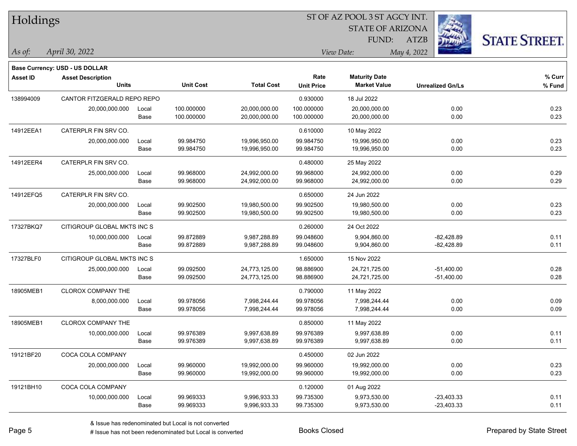| Holdings        |                                |       |                  |                   | ST OF AZ POOL 3 ST AGCY INT. |                         |                         |                      |  |  |
|-----------------|--------------------------------|-------|------------------|-------------------|------------------------------|-------------------------|-------------------------|----------------------|--|--|
|                 |                                |       |                  |                   |                              | <b>STATE OF ARIZONA</b> |                         |                      |  |  |
|                 |                                |       |                  |                   |                              | FUND:                   | <b>ATZB</b>             | <b>STATE STREET.</b> |  |  |
| As of:          | April 30, 2022                 |       |                  |                   |                              | View Date:              | May 4, 2022             |                      |  |  |
|                 | Base Currency: USD - US DOLLAR |       |                  |                   |                              |                         |                         |                      |  |  |
| <b>Asset ID</b> | <b>Asset Description</b>       |       |                  |                   | Rate                         | <b>Maturity Date</b>    |                         | $%$ Curr             |  |  |
|                 | <b>Units</b>                   |       | <b>Unit Cost</b> | <b>Total Cost</b> | <b>Unit Price</b>            | <b>Market Value</b>     | <b>Unrealized Gn/Ls</b> | % Fund               |  |  |
| 138994009       | CANTOR FITZGERALD REPO REPO    |       |                  |                   | 0.930000                     | 18 Jul 2022             |                         |                      |  |  |
|                 | 20,000,000.000                 | Local | 100.000000       | 20,000,000.00     | 100.000000                   | 20,000,000.00           |                         | 0.23<br>0.00         |  |  |
|                 |                                | Base  | 100.000000       | 20,000,000.00     | 100.000000                   | 20,000,000.00           |                         | 0.23<br>0.00         |  |  |
| 14912EEA1       | CATERPLR FIN SRV CO.           |       |                  |                   | 0.610000                     | 10 May 2022             |                         |                      |  |  |
|                 | 20,000,000.000                 | Local | 99.984750        | 19,996,950.00     | 99.984750                    | 19,996,950.00           |                         | 0.23<br>0.00         |  |  |
|                 |                                | Base  | 99.984750        | 19,996,950.00     | 99.984750                    | 19,996,950.00           |                         | 0.23<br>0.00         |  |  |
| 14912EER4       | CATERPLR FIN SRV CO.           |       |                  |                   | 0.480000                     | 25 May 2022             |                         |                      |  |  |
|                 | 25,000,000.000                 | Local | 99.968000        | 24,992,000.00     | 99.968000                    | 24,992,000.00           |                         | 0.29<br>0.00         |  |  |
|                 |                                | Base  | 99.968000        | 24,992,000.00     | 99.968000                    | 24,992,000.00           |                         | 0.29<br>0.00         |  |  |
| 14912EFQ5       | CATERPLR FIN SRV CO.           |       |                  |                   | 0.650000                     | 24 Jun 2022             |                         |                      |  |  |
|                 | 20,000,000.000                 | Local | 99.902500        | 19,980,500.00     | 99.902500                    | 19,980,500.00           |                         | 0.23<br>0.00         |  |  |
|                 |                                | Base  | 99.902500        | 19,980,500.00     | 99.902500                    | 19,980,500.00           |                         | 0.23<br>0.00         |  |  |
| 17327BKQ7       | CITIGROUP GLOBAL MKTS INC S    |       |                  |                   | 0.260000                     | 24 Oct 2022             |                         |                      |  |  |
|                 | 10,000,000.000                 | Local | 99.872889        | 9,987,288.89      | 99.048600                    | 9,904,860.00            | $-82,428.89$            | 0.11                 |  |  |
|                 |                                | Base  | 99.872889        | 9,987,288.89      | 99.048600                    | 9,904,860.00            | $-82,428.89$            | 0.11                 |  |  |
| 17327BLF0       | CITIGROUP GLOBAL MKTS INC S    |       |                  |                   | 1.650000                     | 15 Nov 2022             |                         |                      |  |  |
|                 | 25,000,000.000                 | Local | 99.092500        | 24,773,125.00     | 98.886900                    | 24,721,725.00           | $-51,400.00$            | 0.28                 |  |  |
|                 |                                | Base  | 99.092500        | 24,773,125.00     | 98.886900                    | 24,721,725.00           | $-51,400.00$            | 0.28                 |  |  |
| 18905MEB1       | CLOROX COMPANY THE             |       |                  |                   | 0.790000                     | 11 May 2022             |                         |                      |  |  |
|                 | 8,000,000.000                  | Local | 99.978056        | 7,998,244.44      | 99.978056                    | 7,998,244.44            |                         | 0.09<br>0.00         |  |  |
|                 |                                | Base  | 99.978056        | 7,998,244.44      | 99.978056                    | 7,998,244.44            |                         | 0.00<br>0.09         |  |  |
| 18905MEB1       | CLOROX COMPANY THE             |       |                  |                   | 0.850000                     | 11 May 2022             |                         |                      |  |  |
|                 | 10,000,000.000                 | Local | 99.976389        | 9,997,638.89      | 99.976389                    | 9,997,638.89            |                         | 0.00<br>0.11         |  |  |
|                 |                                | Base  | 99.976389        | 9,997,638.89      | 99.976389                    | 9,997,638.89            |                         | 0.11<br>0.00         |  |  |
| 19121BF20       | COCA COLA COMPANY              |       |                  |                   | 0.450000                     | 02 Jun 2022             |                         |                      |  |  |
|                 | 20,000,000.000                 | Local | 99.960000        | 19,992,000.00     | 99.960000                    | 19,992,000.00           |                         | 0.00<br>0.23         |  |  |
|                 |                                | Base  | 99.960000        | 19,992,000.00     | 99.960000                    | 19,992,000.00           |                         | 0.00<br>0.23         |  |  |
| 19121BH10       | COCA COLA COMPANY              |       |                  |                   | 0.120000                     | 01 Aug 2022             |                         |                      |  |  |
|                 | 10,000,000.000                 | Local | 99.969333        | 9,996,933.33      | 99.735300                    | 9,973,530.00            | $-23,403.33$            | 0.11                 |  |  |
|                 |                                | Base  | 99.969333        | 9,996,933.33      | 99.735300                    | 9,973,530.00            | $-23,403.33$            | 0.11                 |  |  |

 $\frac{1}{2}$ 

 $\overline{\phantom{0}}$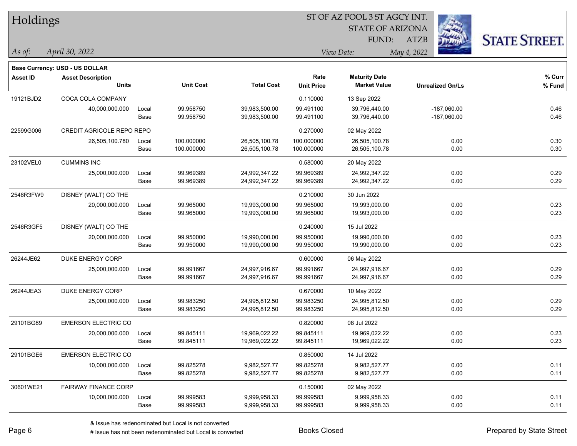| Holdings        |                                |       |                  | ST OF AZ POOL 3 ST AGCY INT. |                   |                         |                         |                      |  |  |
|-----------------|--------------------------------|-------|------------------|------------------------------|-------------------|-------------------------|-------------------------|----------------------|--|--|
|                 |                                |       |                  |                              |                   | <b>STATE OF ARIZONA</b> |                         |                      |  |  |
|                 |                                |       |                  |                              |                   | FUND:                   | <b>ATZB</b>             | <b>STATE STREET.</b> |  |  |
| As of:          | April 30, 2022                 |       |                  |                              |                   | View Date:              | May 4, 2022             |                      |  |  |
|                 | Base Currency: USD - US DOLLAR |       |                  |                              |                   |                         |                         |                      |  |  |
| <b>Asset ID</b> | <b>Asset Description</b>       |       |                  |                              | Rate              | <b>Maturity Date</b>    |                         | $%$ Curr             |  |  |
|                 | <b>Units</b>                   |       | <b>Unit Cost</b> | <b>Total Cost</b>            | <b>Unit Price</b> | <b>Market Value</b>     | <b>Unrealized Gn/Ls</b> | % Fund               |  |  |
| 19121BJD2       | COCA COLA COMPANY              |       |                  |                              | 0.110000          | 13 Sep 2022             |                         |                      |  |  |
|                 | 40,000,000.000                 | Local | 99.958750        | 39,983,500.00                | 99.491100         | 39,796,440.00           | $-187,060.00$           | 0.46                 |  |  |
|                 |                                | Base  | 99.958750        | 39,983,500.00                | 99.491100         | 39,796,440.00           | $-187,060.00$           | 0.46                 |  |  |
| 22599G006       | CREDIT AGRICOLE REPO REPO      |       |                  |                              | 0.270000          | 02 May 2022             |                         |                      |  |  |
|                 | 26,505,100.780                 | Local | 100.000000       | 26,505,100.78                | 100.000000        | 26,505,100.78           | 0.00                    | 0.30                 |  |  |
|                 |                                | Base  | 100.000000       | 26,505,100.78                | 100.000000        | 26,505,100.78           | 0.00                    | 0.30                 |  |  |
| 23102VEL0       | <b>CUMMINS INC</b>             |       |                  |                              | 0.580000          | 20 May 2022             |                         |                      |  |  |
|                 | 25,000,000.000                 | Local | 99.969389        | 24,992,347.22                | 99.969389         | 24,992,347.22           | 0.00                    | 0.29                 |  |  |
|                 |                                | Base  | 99.969389        | 24,992,347.22                | 99.969389         | 24,992,347.22           | 0.00                    | 0.29                 |  |  |
| 2546R3FW9       | DISNEY (WALT) CO THE           |       |                  |                              | 0.210000          | 30 Jun 2022             |                         |                      |  |  |
|                 | 20,000,000.000                 | Local | 99.965000        | 19,993,000.00                | 99.965000         | 19,993,000.00           | 0.00                    | 0.23                 |  |  |
|                 |                                | Base  | 99.965000        | 19,993,000.00                | 99.965000         | 19,993,000.00           | 0.00                    | 0.23                 |  |  |
| 2546R3GF5       | DISNEY (WALT) CO THE           |       |                  |                              | 0.240000          | 15 Jul 2022             |                         |                      |  |  |
|                 | 20,000,000.000                 | Local | 99.950000        | 19,990,000.00                | 99.950000         | 19,990,000.00           | 0.00                    | 0.23                 |  |  |
|                 |                                | Base  | 99.950000        | 19,990,000.00                | 99.950000         | 19,990,000.00           | 0.00                    | 0.23                 |  |  |
| 26244JE62       | DUKE ENERGY CORP               |       |                  |                              | 0.600000          | 06 May 2022             |                         |                      |  |  |
|                 | 25,000,000.000                 | Local | 99.991667        | 24,997,916.67                | 99.991667         | 24,997,916.67           | 0.00                    | 0.29                 |  |  |
|                 |                                | Base  | 99.991667        | 24,997,916.67                | 99.991667         | 24,997,916.67           | 0.00                    | 0.29                 |  |  |
| 26244JEA3       | DUKE ENERGY CORP               |       |                  |                              | 0.670000          | 10 May 2022             |                         |                      |  |  |
|                 | 25,000,000.000                 | Local | 99.983250        | 24,995,812.50                | 99.983250         | 24,995,812.50           | 0.00                    | 0.29                 |  |  |
|                 |                                | Base  | 99.983250        | 24,995,812.50                | 99.983250         | 24,995,812.50           | 0.00                    | 0.29                 |  |  |
| 29101BG89       | <b>EMERSON ELECTRIC CO</b>     |       |                  |                              | 0.820000          | 08 Jul 2022             |                         |                      |  |  |
|                 | 20,000,000.000                 | Local | 99.845111        | 19,969,022.22                | 99.845111         | 19,969,022.22           | 0.00                    | 0.23                 |  |  |
|                 |                                | Base  | 99.845111        | 19,969,022.22                | 99.845111         | 19,969,022.22           | 0.00                    | 0.23                 |  |  |
| 29101BGE6       | <b>EMERSON ELECTRIC CO</b>     |       |                  |                              | 0.850000          | 14 Jul 2022             |                         |                      |  |  |
|                 | 10,000,000.000                 | Local | 99.825278        | 9,982,527.77                 | 99.825278         | 9,982,527.77            | 0.00                    | 0.11                 |  |  |
|                 |                                | Base  | 99.825278        | 9,982,527.77                 | 99.825278         | 9,982,527.77            | 0.00                    | 0.11                 |  |  |
| 30601WE21       | <b>FAIRWAY FINANCE CORP</b>    |       |                  |                              | 0.150000          | 02 May 2022             |                         |                      |  |  |
|                 | 10,000,000.000                 | Local | 99.999583        | 9,999,958.33                 | 99.999583         | 9,999,958.33            | 0.00                    | 0.11                 |  |  |
|                 |                                | Base  | 99.999583        | 9,999,958.33                 | 99.999583         | 9,999,958.33            | 0.00                    | 0.11                 |  |  |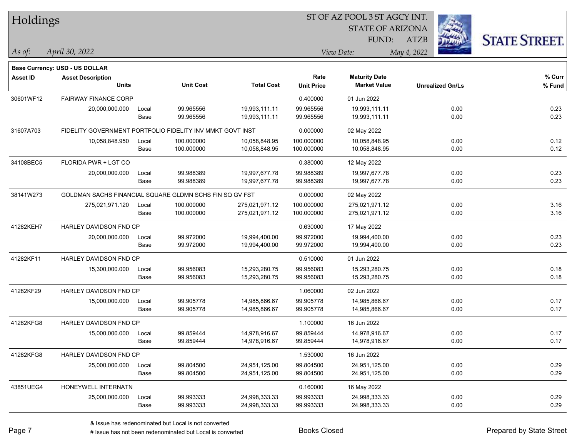| Holdings        |                                                           |       |                  |                   | ST OF AZ POOL 3 ST AGCY INT. |                         |                         |                      |  |  |
|-----------------|-----------------------------------------------------------|-------|------------------|-------------------|------------------------------|-------------------------|-------------------------|----------------------|--|--|
|                 |                                                           |       |                  |                   |                              | <b>STATE OF ARIZONA</b> |                         |                      |  |  |
|                 |                                                           |       |                  |                   |                              | FUND:                   | ATZB                    | <b>STATE STREET.</b> |  |  |
| As of:          | April 30, 2022                                            |       |                  |                   |                              | View Date:              | May 4, 2022             |                      |  |  |
|                 | Base Currency: USD - US DOLLAR                            |       |                  |                   |                              |                         |                         |                      |  |  |
| <b>Asset ID</b> | <b>Asset Description</b>                                  |       |                  |                   | Rate                         | <b>Maturity Date</b>    |                         | % Curr               |  |  |
|                 | <b>Units</b>                                              |       | <b>Unit Cost</b> | <b>Total Cost</b> | <b>Unit Price</b>            | <b>Market Value</b>     | <b>Unrealized Gn/Ls</b> | % Fund               |  |  |
| 30601WF12       | <b>FAIRWAY FINANCE CORP</b>                               |       |                  |                   | 0.400000                     | 01 Jun 2022             |                         |                      |  |  |
|                 | 20,000,000.000                                            | Local | 99.965556        | 19,993,111.11     | 99.965556                    | 19,993,111.11           | 0.00                    | 0.23                 |  |  |
|                 |                                                           | Base  | 99.965556        | 19,993,111.11     | 99.965556                    | 19,993,111.11           | 0.00                    | 0.23                 |  |  |
| 31607A703       | FIDELITY GOVERNMENT PORTFOLIO FIDELITY INV MMKT GOVT INST |       |                  |                   | 0.000000                     | 02 May 2022             |                         |                      |  |  |
|                 | 10,058,848.950                                            | Local | 100.000000       | 10,058,848.95     | 100.000000                   | 10,058,848.95           | 0.00                    | 0.12                 |  |  |
|                 |                                                           | Base  | 100.000000       | 10,058,848.95     | 100.000000                   | 10,058,848.95           | 0.00                    | 0.12                 |  |  |
| 34108BEC5       | FLORIDA PWR + LGT CO                                      |       |                  |                   | 0.380000                     | 12 May 2022             |                         |                      |  |  |
|                 | 20,000,000.000                                            | Local | 99.988389        | 19,997,677.78     | 99.988389                    | 19,997,677.78           | 0.00                    | 0.23                 |  |  |
|                 |                                                           | Base  | 99.988389        | 19,997,677.78     | 99.988389                    | 19,997,677.78           | 0.00                    | 0.23                 |  |  |
| 38141W273       | GOLDMAN SACHS FINANCIAL SQUARE GLDMN SCHS FIN SQ GV FST   |       |                  |                   | 0.000000                     | 02 May 2022             |                         |                      |  |  |
|                 | 275,021,971.120                                           | Local | 100.000000       | 275,021,971.12    | 100.000000                   | 275,021,971.12          | 0.00                    | 3.16                 |  |  |
|                 |                                                           | Base  | 100.000000       | 275,021,971.12    | 100.000000                   | 275,021,971.12          | 0.00                    | 3.16                 |  |  |
| 41282KEH7       | HARLEY DAVIDSON FND CP                                    |       |                  |                   | 0.630000                     | 17 May 2022             |                         |                      |  |  |
|                 | 20,000,000.000                                            | Local | 99.972000        | 19,994,400.00     | 99.972000                    | 19,994,400.00           | 0.00                    | 0.23                 |  |  |
|                 |                                                           | Base  | 99.972000        | 19,994,400.00     | 99.972000                    | 19,994,400.00           | 0.00                    | 0.23                 |  |  |
| 41282KF11       | HARLEY DAVIDSON FND CP                                    |       |                  |                   | 0.510000                     | 01 Jun 2022             |                         |                      |  |  |
|                 | 15,300,000.000                                            | Local | 99.956083        | 15,293,280.75     | 99.956083                    | 15,293,280.75           | 0.00                    | 0.18                 |  |  |
|                 |                                                           | Base  | 99.956083        | 15,293,280.75     | 99.956083                    | 15,293,280.75           | 0.00                    | 0.18                 |  |  |
| 41282KF29       | HARLEY DAVIDSON FND CP                                    |       |                  |                   | 1.060000                     | 02 Jun 2022             |                         |                      |  |  |
|                 | 15,000,000.000                                            | Local | 99.905778        | 14,985,866.67     | 99.905778                    | 14,985,866.67           | 0.00                    | 0.17                 |  |  |
|                 |                                                           | Base  | 99.905778        | 14,985,866.67     | 99.905778                    | 14,985,866.67           | 0.00                    | 0.17                 |  |  |
| 41282KFG8       | HARLEY DAVIDSON FND CP                                    |       |                  |                   | 1.100000                     | 16 Jun 2022             |                         |                      |  |  |
|                 | 15,000,000.000                                            | Local | 99.859444        | 14,978,916.67     | 99.859444                    | 14,978,916.67           | 0.00                    | 0.17                 |  |  |
|                 |                                                           | Base  | 99.859444        | 14,978,916.67     | 99.859444                    | 14,978,916.67           | 0.00                    | 0.17                 |  |  |
| 41282KFG8       | HARLEY DAVIDSON FND CP                                    |       |                  |                   | 1.530000                     | 16 Jun 2022             |                         |                      |  |  |
|                 | 25,000,000.000                                            | Local | 99.804500        | 24,951,125.00     | 99.804500                    | 24,951,125.00           | 0.00                    | 0.29                 |  |  |
|                 |                                                           | Base  | 99.804500        | 24,951,125.00     | 99.804500                    | 24,951,125.00           | 0.00                    | 0.29                 |  |  |
| 43851UEG4       | <b>HONEYWELL INTERNATN</b>                                |       |                  |                   | 0.160000                     | 16 May 2022             |                         |                      |  |  |
|                 | 25,000,000.000                                            | Local | 99.993333        | 24,998,333.33     | 99.993333                    | 24,998,333.33           | 0.00                    | 0.29                 |  |  |
|                 |                                                           | Base  | 99.993333        | 24,998,333.33     | 99.993333                    | 24,998,333.33           | 0.00                    | 0.29                 |  |  |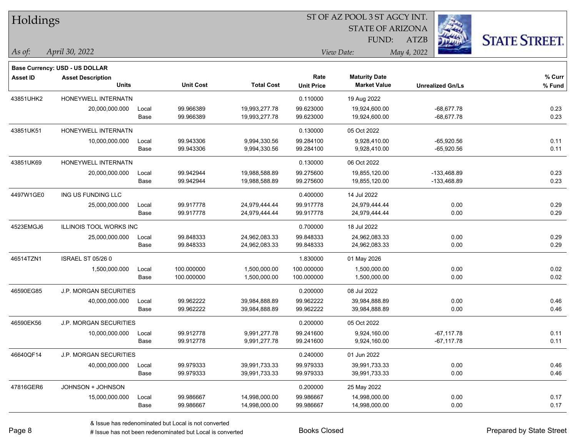| Holdings        |                                |       |                  | ST OF AZ POOL 3 ST AGCY INT. |                   |                         |                         |                      |  |  |
|-----------------|--------------------------------|-------|------------------|------------------------------|-------------------|-------------------------|-------------------------|----------------------|--|--|
|                 |                                |       |                  |                              |                   | <b>STATE OF ARIZONA</b> |                         |                      |  |  |
|                 |                                |       |                  |                              |                   | FUND:                   | <b>ATZB</b>             | <b>STATE STREET.</b> |  |  |
| As of:          | April 30, 2022                 |       |                  |                              |                   | View Date:              | May 4, 2022             |                      |  |  |
|                 | Base Currency: USD - US DOLLAR |       |                  |                              |                   |                         |                         |                      |  |  |
| <b>Asset ID</b> | <b>Asset Description</b>       |       |                  |                              | Rate              | <b>Maturity Date</b>    |                         | % Curr               |  |  |
|                 | <b>Units</b>                   |       | <b>Unit Cost</b> | <b>Total Cost</b>            | <b>Unit Price</b> | <b>Market Value</b>     | <b>Unrealized Gn/Ls</b> | % Fund               |  |  |
| 43851UHK2       | HONEYWELL INTERNATN            |       |                  |                              | 0.110000          | 19 Aug 2022             |                         |                      |  |  |
|                 | 20,000,000.000                 | Local | 99.966389        | 19,993,277.78                | 99.623000         | 19,924,600.00           | $-68,677.78$            | 0.23                 |  |  |
|                 |                                | Base  | 99.966389        | 19,993,277.78                | 99.623000         | 19,924,600.00           | $-68,677.78$            | 0.23                 |  |  |
| 43851UK51       | HONEYWELL INTERNATN            |       |                  |                              | 0.130000          | 05 Oct 2022             |                         |                      |  |  |
|                 | 10,000,000.000                 | Local | 99.943306        | 9,994,330.56                 | 99.284100         | 9,928,410.00            | $-65,920.56$            | 0.11                 |  |  |
|                 |                                | Base  | 99.943306        | 9,994,330.56                 | 99.284100         | 9,928,410.00            | $-65,920.56$            | 0.11                 |  |  |
| 43851UK69       | HONEYWELL INTERNATN            |       |                  |                              | 0.130000          | 06 Oct 2022             |                         |                      |  |  |
|                 | 20,000,000.000                 | Local | 99.942944        | 19,988,588.89                | 99.275600         | 19,855,120.00           | -133,468.89             | 0.23                 |  |  |
|                 |                                | Base  | 99.942944        | 19,988,588.89                | 99.275600         | 19,855,120.00           | $-133,468.89$           | 0.23                 |  |  |
| 4497W1GE0       | ING US FUNDING LLC             |       |                  |                              | 0.400000          | 14 Jul 2022             |                         |                      |  |  |
|                 | 25,000,000.000                 | Local | 99.917778        | 24,979,444.44                | 99.917778         | 24,979,444.44           | 0.00                    | 0.29                 |  |  |
|                 |                                | Base  | 99.917778        | 24,979,444.44                | 99.917778         | 24,979,444.44           | 0.00                    | 0.29                 |  |  |
| 4523EMGJ6       | <b>ILLINOIS TOOL WORKS INC</b> |       |                  |                              | 0.700000          | 18 Jul 2022             |                         |                      |  |  |
|                 | 25,000,000.000                 | Local | 99.848333        | 24,962,083.33                | 99.848333         | 24,962,083.33           | 0.00                    | 0.29                 |  |  |
|                 |                                | Base  | 99.848333        | 24,962,083.33                | 99.848333         | 24,962,083.33           | 0.00                    | 0.29                 |  |  |
| 46514TZN1       | <b>ISRAEL ST 05/26 0</b>       |       |                  |                              | 1.830000          | 01 May 2026             |                         |                      |  |  |
|                 | 1,500,000.000                  | Local | 100.000000       | 1,500,000.00                 | 100.000000        | 1,500,000.00            | 0.00                    | 0.02                 |  |  |
|                 |                                | Base  | 100.000000       | 1,500,000.00                 | 100.000000        | 1,500,000.00            | 0.00                    | 0.02                 |  |  |
| 46590EG85       | J.P. MORGAN SECURITIES         |       |                  |                              | 0.200000          | 08 Jul 2022             |                         |                      |  |  |
|                 | 40,000,000.000                 | Local | 99.962222        | 39,984,888.89                | 99.962222         | 39,984,888.89           | 0.00                    | 0.46                 |  |  |
|                 |                                | Base  | 99.962222        | 39,984,888.89                | 99.962222         | 39,984,888.89           | 0.00                    | 0.46                 |  |  |
| 46590EK56       | <b>J.P. MORGAN SECURITIES</b>  |       |                  |                              | 0.200000          | 05 Oct 2022             |                         |                      |  |  |
|                 | 10,000,000.000                 | Local | 99.912778        | 9.991.277.78                 | 99.241600         | 9,924,160.00            | $-67,117.78$            | 0.11                 |  |  |
|                 |                                | Base  | 99.912778        | 9,991,277.78                 | 99.241600         | 9,924,160.00            | $-67,117.78$            | 0.11                 |  |  |
| 46640QF14       | <b>J.P. MORGAN SECURITIES</b>  |       |                  |                              | 0.240000          | 01 Jun 2022             |                         |                      |  |  |
|                 | 40,000,000.000                 | Local | 99.979333        | 39,991,733.33                | 99.979333         | 39,991,733.33           | 0.00                    | 0.46                 |  |  |
|                 |                                | Base  | 99.979333        | 39,991,733.33                | 99.979333         | 39,991,733.33           | 0.00                    | 0.46                 |  |  |
| 47816GER6       | JOHNSON + JOHNSON              |       |                  |                              | 0.200000          | 25 May 2022             |                         |                      |  |  |
|                 | 15,000,000.000                 | Local | 99.986667        | 14,998,000.00                | 99.986667         | 14,998,000.00           | 0.00                    | 0.17                 |  |  |
|                 |                                | Base  | 99.986667        | 14,998,000.00                | 99.986667         | 14,998,000.00           | 0.00                    | 0.17                 |  |  |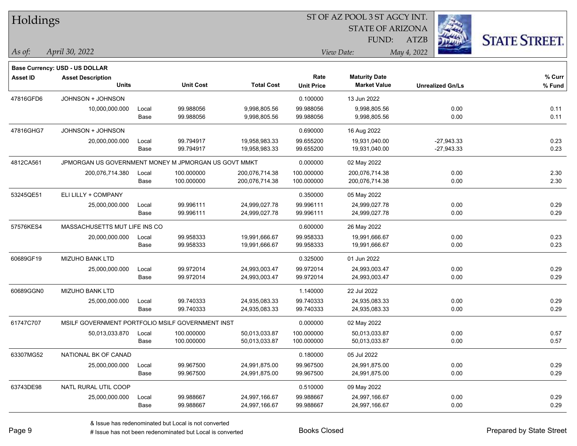| Holdings        |                                                            |       |                  |                   |                   | ST OF AZ POOL 3 ST AGCY INT. |                         |                      |
|-----------------|------------------------------------------------------------|-------|------------------|-------------------|-------------------|------------------------------|-------------------------|----------------------|
|                 |                                                            |       |                  |                   |                   | <b>STATE OF ARIZONA</b>      |                         |                      |
|                 |                                                            |       |                  |                   |                   | <b>FUND:</b>                 | <b>ATZB</b>             | <b>STATE STREET.</b> |
| $\vert$ As of:  | April 30, 2022                                             |       |                  |                   |                   | View Date:                   | May 4, 2022             |                      |
|                 |                                                            |       |                  |                   |                   |                              |                         |                      |
| <b>Asset ID</b> | Base Currency: USD - US DOLLAR<br><b>Asset Description</b> |       |                  |                   | Rate              | <b>Maturity Date</b>         |                         | % Curr               |
|                 | <b>Units</b>                                               |       | <b>Unit Cost</b> | <b>Total Cost</b> | <b>Unit Price</b> | <b>Market Value</b>          | <b>Unrealized Gn/Ls</b> | % Fund               |
| 47816GFD6       | JOHNSON + JOHNSON                                          |       |                  |                   | 0.100000          | 13 Jun 2022                  |                         |                      |
|                 | 10,000,000.000                                             | Local | 99.988056        | 9,998,805.56      | 99.988056         | 9,998,805.56                 | 0.00                    | 0.11                 |
|                 |                                                            | Base  | 99.988056        | 9,998,805.56      | 99.988056         | 9,998,805.56                 | 0.00                    | 0.11                 |
| 47816GHG7       | JOHNSON + JOHNSON                                          |       |                  |                   | 0.690000          | 16 Aug 2022                  |                         |                      |
|                 | 20,000,000.000                                             | Local | 99.794917        | 19,958,983.33     | 99.655200         | 19,931,040.00                | $-27,943.33$            | 0.23                 |
|                 |                                                            | Base  | 99.794917        | 19,958,983.33     | 99.655200         | 19,931,040.00                | $-27,943.33$            | 0.23                 |
| 4812CA561       | JPMORGAN US GOVERNMENT MONEY M JPMORGAN US GOVT MMKT       |       |                  |                   | 0.000000          | 02 May 2022                  |                         |                      |
|                 | 200,076,714.380                                            | Local | 100.000000       | 200,076,714.38    | 100.000000        | 200,076,714.38               | 0.00                    | 2.30                 |
|                 |                                                            | Base  | 100.000000       | 200,076,714.38    | 100.000000        | 200,076,714.38               | 0.00                    | 2.30                 |
| 53245QE51       | ELI LILLY + COMPANY                                        |       |                  |                   | 0.350000          | 05 May 2022                  |                         |                      |
|                 | 25,000,000.000                                             | Local | 99.996111        | 24,999,027.78     | 99.996111         | 24,999,027.78                | 0.00                    | 0.29                 |
|                 |                                                            | Base  | 99.996111        | 24,999,027.78     | 99.996111         | 24,999,027.78                | 0.00                    | 0.29                 |
| 57576KES4       | MASSACHUSETTS MUT LIFE INS CO                              |       |                  |                   | 0.600000          | 26 May 2022                  |                         |                      |
|                 | 20,000,000.000                                             | Local | 99.958333        | 19,991,666.67     | 99.958333         | 19,991,666.67                | 0.00                    | 0.23                 |
|                 |                                                            | Base  | 99.958333        | 19,991,666.67     | 99.958333         | 19,991,666.67                | 0.00                    | 0.23                 |
| 60689GF19       | <b>MIZUHO BANK LTD</b>                                     |       |                  |                   | 0.325000          | 01 Jun 2022                  |                         |                      |
|                 | 25,000,000.000                                             | Local | 99.972014        | 24,993,003.47     | 99.972014         | 24,993,003.47                | 0.00                    | 0.29                 |
|                 |                                                            | Base  | 99.972014        | 24,993,003.47     | 99.972014         | 24,993,003.47                | 0.00                    | 0.29                 |
| 60689GGN0       | <b>MIZUHO BANK LTD</b>                                     |       |                  |                   | 1.140000          | 22 Jul 2022                  |                         |                      |
|                 | 25,000,000.000                                             | Local | 99.740333        | 24,935,083.33     | 99.740333         | 24,935,083.33                | 0.00                    | 0.29                 |
|                 |                                                            | Base  | 99.740333        | 24,935,083.33     | 99.740333         | 24,935,083.33                | 0.00                    | 0.29                 |
| 61747C707       | MSILF GOVERNMENT PORTFOLIO MSILF GOVERNMENT INST           |       |                  |                   | 0.000000          | 02 May 2022                  |                         |                      |
|                 | 50,013,033.870                                             | Local | 100.000000       | 50,013,033.87     | 100.000000        | 50,013,033.87                | 0.00                    | 0.57                 |
|                 |                                                            | Base  | 100.000000       | 50,013,033.87     | 100.000000        | 50,013,033.87                | 0.00                    | 0.57                 |
| 63307MG52       | NATIONAL BK OF CANAD                                       |       |                  |                   | 0.180000          | 05 Jul 2022                  |                         |                      |
|                 | 25,000,000.000                                             | Local | 99.967500        | 24,991,875.00     | 99.967500         | 24,991,875.00                | 0.00                    | 0.29                 |
|                 |                                                            | Base  | 99.967500        | 24,991,875.00     | 99.967500         | 24,991,875.00                | 0.00                    | 0.29                 |
| 63743DE98       | NATL RURAL UTIL COOP                                       |       |                  |                   | 0.510000          | 09 May 2022                  |                         |                      |
|                 | 25,000,000.000                                             | Local | 99.988667        | 24,997,166.67     | 99.988667         | 24,997,166.67                | 0.00                    | 0.29                 |
|                 |                                                            | Base  | 99.988667        | 24,997,166.67     | 99.988667         | 24,997,166.67                | 0.00                    | 0.29                 |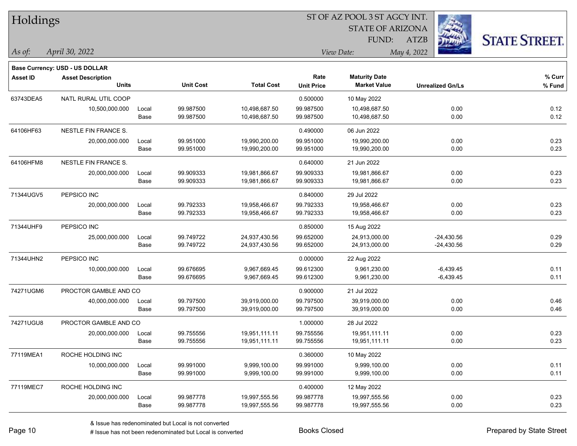| Holdings        |                                       |       |                  |                   | ST OF AZ POOL 3 ST AGCY INT.<br><b>STATE OF ARIZONA</b><br><b>STATE STREET.</b><br>FUND:<br><b>ATZB</b><br>May 4, 2022<br>View Date:<br>Rate<br><b>Maturity Date</b> |                     |                         |          |  |  |
|-----------------|---------------------------------------|-------|------------------|-------------------|----------------------------------------------------------------------------------------------------------------------------------------------------------------------|---------------------|-------------------------|----------|--|--|
|                 |                                       |       |                  |                   |                                                                                                                                                                      |                     |                         |          |  |  |
|                 |                                       |       |                  |                   |                                                                                                                                                                      |                     |                         |          |  |  |
| $\vert$ As of:  | April 30, 2022                        |       |                  |                   |                                                                                                                                                                      |                     |                         |          |  |  |
|                 | <b>Base Currency: USD - US DOLLAR</b> |       |                  |                   |                                                                                                                                                                      |                     |                         |          |  |  |
| <b>Asset ID</b> | <b>Asset Description</b>              |       |                  |                   |                                                                                                                                                                      |                     |                         | $%$ Curr |  |  |
|                 | <b>Units</b>                          |       | <b>Unit Cost</b> | <b>Total Cost</b> | <b>Unit Price</b>                                                                                                                                                    | <b>Market Value</b> | <b>Unrealized Gn/Ls</b> | % Fund   |  |  |
| 63743DEA5       | NATL RURAL UTIL COOP                  |       |                  |                   | 0.500000                                                                                                                                                             | 10 May 2022         |                         |          |  |  |
|                 | 10,500,000.000                        | Local | 99.987500        | 10,498,687.50     | 99.987500                                                                                                                                                            | 10,498,687.50       | 0.00                    | 0.12     |  |  |
|                 |                                       | Base  | 99.987500        | 10,498,687.50     | 99.987500                                                                                                                                                            | 10,498,687.50       | 0.00                    | 0.12     |  |  |
| 64106HF63       | NESTLE FIN FRANCE S.                  |       |                  |                   | 0.490000                                                                                                                                                             | 06 Jun 2022         |                         |          |  |  |
|                 | 20,000,000.000                        | Local | 99.951000        | 19,990,200.00     | 99.951000                                                                                                                                                            | 19,990,200.00       | 0.00                    | 0.23     |  |  |
|                 |                                       | Base  | 99.951000        | 19,990,200.00     | 99.951000                                                                                                                                                            | 19,990,200.00       | 0.00                    | 0.23     |  |  |
| 64106HFM8       | <b>NESTLE FIN FRANCE S.</b>           |       |                  |                   | 0.640000                                                                                                                                                             | 21 Jun 2022         |                         |          |  |  |
|                 | 20,000,000.000                        | Local | 99.909333        | 19,981,866.67     | 99.909333                                                                                                                                                            | 19,981,866.67       | 0.00                    | 0.23     |  |  |
|                 |                                       | Base  | 99.909333        | 19,981,866.67     | 99.909333                                                                                                                                                            | 19,981,866.67       | 0.00                    | 0.23     |  |  |
| 71344UGV5       | PEPSICO INC                           |       |                  |                   | 0.840000                                                                                                                                                             | 29 Jul 2022         |                         |          |  |  |
|                 | 20,000,000.000                        | Local | 99.792333        | 19,958,466.67     | 99.792333                                                                                                                                                            | 19,958,466.67       | 0.00                    | 0.23     |  |  |
|                 |                                       | Base  | 99.792333        | 19,958,466.67     | 99.792333                                                                                                                                                            | 19,958,466.67       | 0.00                    | 0.23     |  |  |
| 71344UHF9       | PEPSICO INC                           |       |                  |                   | 0.850000                                                                                                                                                             | 15 Aug 2022         |                         |          |  |  |
|                 | 25,000,000.000                        | Local | 99.749722        | 24,937,430.56     | 99.652000                                                                                                                                                            | 24,913,000.00       | $-24,430.56$            | 0.29     |  |  |
|                 |                                       | Base  | 99.749722        | 24,937,430.56     | 99.652000                                                                                                                                                            | 24,913,000.00       | $-24,430.56$            | 0.29     |  |  |
| 71344UHN2       | PEPSICO INC                           |       |                  |                   | 0.000000                                                                                                                                                             | 22 Aug 2022         |                         |          |  |  |
|                 | 10,000,000.000                        | Local | 99.676695        | 9,967,669.45      | 99.612300                                                                                                                                                            | 9,961,230.00        | $-6,439.45$             | 0.11     |  |  |
|                 |                                       | Base  | 99.676695        | 9,967,669.45      | 99.612300                                                                                                                                                            | 9,961,230.00        | $-6,439.45$             | 0.11     |  |  |
| 74271UGM6       | PROCTOR GAMBLE AND CO                 |       |                  |                   | 0.900000                                                                                                                                                             | 21 Jul 2022         |                         |          |  |  |
|                 | 40,000,000.000                        | Local | 99.797500        | 39,919,000.00     | 99.797500                                                                                                                                                            | 39,919,000.00       | 0.00                    | 0.46     |  |  |
|                 |                                       | Base  | 99.797500        | 39,919,000.00     | 99.797500                                                                                                                                                            | 39,919,000.00       | 0.00                    | 0.46     |  |  |
| 74271UGU8       | PROCTOR GAMBLE AND CO                 |       |                  |                   | 1.000000                                                                                                                                                             | 28 Jul 2022         |                         |          |  |  |
|                 | 20,000,000.000                        | Local | 99.755556        | 19,951,111.11     | 99.755556                                                                                                                                                            | 19,951,111.11       | 0.00                    | 0.23     |  |  |
|                 |                                       | Base  | 99.755556        | 19,951,111.11     | 99.755556                                                                                                                                                            | 19,951,111.11       | 0.00                    | 0.23     |  |  |
| 77119MEA1       | ROCHE HOLDING INC                     |       |                  |                   | 0.360000                                                                                                                                                             | 10 May 2022         |                         |          |  |  |
|                 | 10,000,000.000                        | Local | 99.991000        | 9,999,100.00      | 99.991000                                                                                                                                                            | 9,999,100.00        | 0.00                    | 0.11     |  |  |
|                 |                                       | Base  | 99.991000        | 9,999,100.00      | 99.991000                                                                                                                                                            | 9,999,100.00        | 0.00                    | 0.11     |  |  |
| 77119MEC7       | ROCHE HOLDING INC                     |       |                  |                   | 0.400000                                                                                                                                                             | 12 May 2022         |                         |          |  |  |
|                 | 20,000,000.000                        | Local | 99.987778        | 19,997,555.56     | 99.987778                                                                                                                                                            | 19,997,555.56       | 0.00                    | 0.23     |  |  |
|                 |                                       | Base  | 99.987778        | 19,997,555.56     | 99.987778                                                                                                                                                            | 19,997,555.56       | 0.00                    | 0.23     |  |  |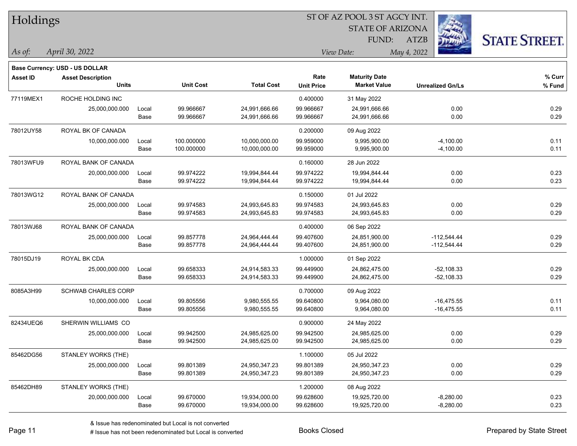| Holdings        |                                          |       |                  |                   | 51 OF AZ POOL 351 AGCY INT. |                                             |                         |                     |  |  |
|-----------------|------------------------------------------|-------|------------------|-------------------|-----------------------------|---------------------------------------------|-------------------------|---------------------|--|--|
|                 |                                          |       |                  |                   |                             | <b>STATE OF ARIZONA</b>                     | i.                      |                     |  |  |
|                 |                                          |       |                  |                   |                             | <b>FUND:</b>                                | <b>ATZB</b>             | <b>STATE STREET</b> |  |  |
| $ $ As of:      | April 30, 2022                           |       |                  |                   |                             | View Date:                                  | May 4, 2022             |                     |  |  |
|                 |                                          |       |                  |                   |                             |                                             |                         |                     |  |  |
|                 | <b>Base Currency: USD - US DOLLAR</b>    |       |                  |                   |                             |                                             |                         |                     |  |  |
| <b>Asset ID</b> | <b>Asset Description</b><br><b>Units</b> |       | <b>Unit Cost</b> | <b>Total Cost</b> | Rate<br><b>Unit Price</b>   | <b>Maturity Date</b><br><b>Market Value</b> | <b>Unrealized Gn/Ls</b> | % Curr<br>% Fund    |  |  |
|                 |                                          |       |                  |                   |                             |                                             |                         |                     |  |  |
| 77119MEX1       | ROCHE HOLDING INC                        |       |                  |                   | 0.400000                    | 31 May 2022                                 |                         |                     |  |  |
|                 | 25,000,000.000                           | Local | 99.966667        | 24,991,666.66     | 99.966667                   | 24,991,666.66                               | 0.00                    | 0.29                |  |  |
|                 |                                          | Base  | 99.966667        | 24,991,666.66     | 99.966667                   | 24,991,666.66                               | 0.00                    | 0.29                |  |  |
| 78012UY58       | ROYAL BK OF CANADA                       |       |                  |                   | 0.200000                    | 09 Aug 2022                                 |                         |                     |  |  |
|                 | 10,000,000.000                           | Local | 100.000000       | 10,000,000.00     | 99.959000                   | 9,995,900.00                                | $-4,100.00$             | 0.11                |  |  |
|                 |                                          | Base  | 100.000000       | 10,000,000.00     | 99.959000                   | 9,995,900.00                                | $-4,100.00$             | 0.11                |  |  |
| 78013WFU9       | ROYAL BANK OF CANADA                     |       |                  |                   | 0.160000                    | 28 Jun 2022                                 |                         |                     |  |  |
|                 | 20,000,000.000                           | Local | 99.974222        | 19,994,844.44     | 99.974222                   | 19,994,844.44                               | 0.00                    | 0.23                |  |  |
|                 |                                          | Base  | 99.974222        | 19,994,844.44     | 99.974222                   | 19,994,844.44                               | 0.00                    | 0.23                |  |  |
| 78013WG12       | ROYAL BANK OF CANADA                     |       |                  |                   | 0.150000                    | 01 Jul 2022                                 |                         |                     |  |  |
|                 | 25,000,000.000                           | Local | 99.974583        | 24,993,645.83     | 99.974583                   | 24,993,645.83                               | 0.00                    | 0.29                |  |  |
|                 |                                          | Base  | 99.974583        | 24,993,645.83     | 99.974583                   | 24,993,645.83                               | 0.00                    | 0.29                |  |  |
| 78013WJ68       | ROYAL BANK OF CANADA                     |       |                  |                   | 0.400000                    | 06 Sep 2022                                 |                         |                     |  |  |
|                 | 25,000,000.000                           | Local | 99.857778        | 24,964,444.44     | 99.407600                   | 24,851,900.00                               | $-112,544.44$           | 0.29                |  |  |
|                 |                                          | Base  | 99.857778        | 24,964,444.44     | 99.407600                   | 24,851,900.00                               | $-112,544.44$           | 0.29                |  |  |
| 78015DJ19       | ROYAL BK CDA                             |       |                  |                   | 1.000000                    | 01 Sep 2022                                 |                         |                     |  |  |
|                 | 25,000,000.000                           | Local | 99.658333        | 24,914,583.33     | 99.449900                   | 24,862,475.00                               | $-52,108.33$            | 0.29                |  |  |
|                 |                                          | Base  | 99.658333        | 24,914,583.33     | 99.449900                   | 24,862,475.00                               | $-52,108.33$            | 0.29                |  |  |
| 8085A3H99       | SCHWAB CHARLES CORP                      |       |                  |                   | 0.700000                    | 09 Aug 2022                                 |                         |                     |  |  |
|                 | 10,000,000.000                           | Local | 99.805556        | 9,980,555.55      | 99.640800                   | 9,964,080.00                                | $-16,475.55$            | 0.11                |  |  |
|                 |                                          | Base  | 99.805556        | 9,980,555.55      | 99.640800                   | 9,964,080.00                                | $-16,475.55$            | 0.11                |  |  |
| 82434UEQ6       | SHERWIN WILLIAMS CO                      |       |                  |                   | 0.900000                    | 24 May 2022                                 |                         |                     |  |  |
|                 | 25,000,000.000                           | Local | 99.942500        | 24,985,625.00     | 99.942500                   | 24,985,625.00                               | 0.00                    | 0.29                |  |  |
|                 |                                          | Base  | 99.942500        | 24,985,625.00     | 99.942500                   | 24,985,625.00                               | 0.00                    | 0.29                |  |  |
| 85462DG56       | STANLEY WORKS (THE)                      |       |                  |                   | 1.100000                    | 05 Jul 2022                                 |                         |                     |  |  |
|                 | 25,000,000.000                           | Local | 99.801389        | 24,950,347.23     | 99.801389                   | 24,950,347.23                               | 0.00                    | 0.29                |  |  |
|                 |                                          | Base  | 99.801389        | 24,950,347.23     | 99.801389                   | 24,950,347.23                               | 0.00                    | 0.29                |  |  |
| 85462DH89       | STANLEY WORKS (THE)                      |       |                  |                   | 1.200000                    | 08 Aug 2022                                 |                         |                     |  |  |
|                 | 20,000,000.000                           | Local | 99.670000        | 19,934,000.00     | 99.628600                   | 19,925,720.00                               | $-8,280.00$             | 0.23                |  |  |
|                 |                                          | Base  | 99.670000        | 19,934,000.00     | 99.628600                   | 19,925,720.00                               | $-8,280.00$             | 0.23                |  |  |

ST OF A Z POOL 2 ST ACCV INT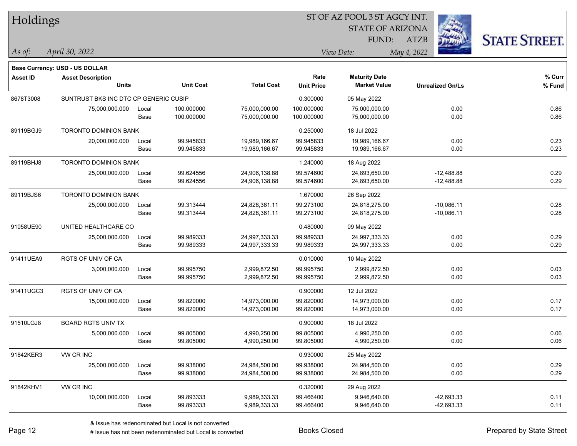| Holdings        |                                       |       |                  |                   |                   | ST OF AZ POOL 3 ST AGCY INT. |                         |                      |
|-----------------|---------------------------------------|-------|------------------|-------------------|-------------------|------------------------------|-------------------------|----------------------|
|                 |                                       |       |                  |                   |                   | <b>STATE OF ARIZONA</b>      |                         |                      |
|                 |                                       |       |                  |                   |                   | FUND:                        | <b>ATZB</b>             | <b>STATE STREET.</b> |
| As of:          | April 30, 2022                        |       |                  |                   |                   | View Date:                   | May 4, 2022             |                      |
|                 | Base Currency: USD - US DOLLAR        |       |                  |                   |                   |                              |                         |                      |
| <b>Asset ID</b> | <b>Asset Description</b>              |       |                  |                   | Rate              | <b>Maturity Date</b>         |                         | % Curr               |
|                 | <b>Units</b>                          |       | <b>Unit Cost</b> | <b>Total Cost</b> | <b>Unit Price</b> | <b>Market Value</b>          | <b>Unrealized Gn/Ls</b> | $%$ Fund             |
| 8678T3008       | SUNTRUST BKS INC DTC CP GENERIC CUSIP |       |                  |                   | 0.300000          | 05 May 2022                  |                         |                      |
|                 | 75,000,000.000                        | Local | 100.000000       | 75,000,000.00     | 100.000000        | 75,000,000.00                | 0.00                    | 0.86                 |
|                 |                                       | Base  | 100.000000       | 75,000,000.00     | 100.000000        | 75,000,000.00                | 0.00                    | 0.86                 |
| 89119BGJ9       | <b>TORONTO DOMINION BANK</b>          |       |                  |                   | 0.250000          | 18 Jul 2022                  |                         |                      |
|                 | 20,000,000.000                        | Local | 99.945833        | 19,989,166.67     | 99.945833         | 19,989,166.67                | 0.00                    | 0.23                 |
|                 |                                       | Base  | 99.945833        | 19,989,166.67     | 99.945833         | 19,989,166.67                | 0.00                    | 0.23                 |
| 89119BHJ8       | <b>TORONTO DOMINION BANK</b>          |       |                  |                   | 1.240000          | 18 Aug 2022                  |                         |                      |
|                 | 25,000,000.000                        | Local | 99.624556        | 24,906,138.88     | 99.574600         | 24,893,650.00                | $-12,488.88$            | 0.29                 |
|                 |                                       | Base  | 99.624556        | 24,906,138.88     | 99.574600         | 24,893,650.00                | $-12,488.88$            | 0.29                 |
| 89119BJS6       | <b>TORONTO DOMINION BANK</b>          |       |                  |                   | 1.670000          | 26 Sep 2022                  |                         |                      |
|                 | 25,000,000.000                        | Local | 99.313444        | 24,828,361.11     | 99.273100         | 24,818,275.00                | $-10,086.11$            | 0.28                 |
|                 |                                       | Base  | 99.313444        | 24,828,361.11     | 99.273100         | 24,818,275.00                | $-10,086.11$            | 0.28                 |
| 91058UE90       | UNITED HEALTHCARE CO                  |       |                  |                   | 0.480000          | 09 May 2022                  |                         |                      |
|                 | 25,000,000.000                        | Local | 99.989333        | 24,997,333.33     | 99.989333         | 24,997,333.33                | 0.00                    | 0.29                 |
|                 |                                       | Base  | 99.989333        | 24,997,333.33     | 99.989333         | 24,997,333.33                | 0.00                    | 0.29                 |
| 91411UEA9       | <b>RGTS OF UNIV OF CA</b>             |       |                  |                   | 0.010000          | 10 May 2022                  |                         |                      |
|                 | 3,000,000.000                         | Local | 99.995750        | 2,999,872.50      | 99.995750         | 2,999,872.50                 | 0.00                    | 0.03                 |
|                 |                                       | Base  | 99.995750        | 2,999,872.50      | 99.995750         | 2,999,872.50                 | 0.00                    | 0.03                 |
| 91411UGC3       | RGTS OF UNIV OF CA                    |       |                  |                   | 0.900000          | 12 Jul 2022                  |                         |                      |
|                 | 15,000,000.000                        | Local | 99.820000        | 14,973,000.00     | 99.820000         | 14,973,000.00                | 0.00                    | 0.17                 |
|                 |                                       | Base  | 99.820000        | 14,973,000.00     | 99.820000         | 14,973,000.00                | 0.00                    | 0.17                 |
| 91510LGJ8       | <b>BOARD RGTS UNIV TX</b>             |       |                  |                   | 0.900000          | 18 Jul 2022                  |                         |                      |
|                 | 5,000,000.000                         | Local | 99.805000        | 4,990,250.00      | 99.805000         | 4,990,250.00                 | 0.00                    | 0.06                 |
|                 |                                       | Base  | 99.805000        | 4,990,250.00      | 99.805000         | 4,990,250.00                 | 0.00                    | 0.06                 |
| 91842KER3       | VW CR INC                             |       |                  |                   | 0.930000          | 25 May 2022                  |                         |                      |
|                 | 25,000,000.000                        | Local | 99.938000        | 24,984,500.00     | 99.938000         | 24,984,500.00                | 0.00                    | 0.29                 |
|                 |                                       | Base  | 99.938000        | 24,984,500.00     | 99.938000         | 24,984,500.00                | 0.00                    | 0.29                 |
| 91842KHV1       | VW CR INC                             |       |                  |                   | 0.320000          | 29 Aug 2022                  |                         |                      |
|                 | 10,000,000.000                        | Local | 99.893333        | 9,989,333.33      | 99.466400         | 9,946,640.00                 | $-42,693.33$            | 0.11                 |
|                 |                                       | Base  | 99.893333        | 9,989,333.33      | 99.466400         | 9,946,640.00                 | -42,693.33              | 0.11                 |

 $\overline{\phantom{0}}$ 

 $\overline{\phantom{a}}$ 

 $\overline{\phantom{0}}$ 

 $\overline{\phantom{a}}$ 

 $\overline{\phantom{a}}$ 

 $\overline{\phantom{0}}$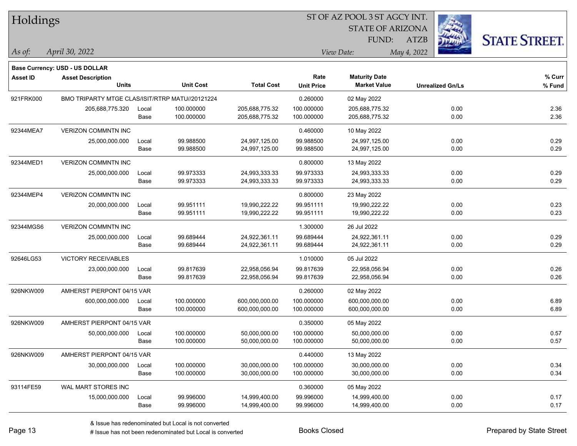| Holdings        |                                                 |       |                  |                   |                   | ST OF AZ POOL 3 ST AGCY INT. |                         |                      |  |  |
|-----------------|-------------------------------------------------|-------|------------------|-------------------|-------------------|------------------------------|-------------------------|----------------------|--|--|
|                 |                                                 |       |                  |                   |                   | <b>STATE OF ARIZONA</b>      |                         |                      |  |  |
|                 |                                                 |       |                  |                   |                   | FUND:                        | <b>ATZB</b>             | <b>STATE STREET.</b> |  |  |
| As of:          | April 30, 2022                                  |       |                  |                   |                   | View Date:                   | May 4, 2022             |                      |  |  |
|                 | Base Currency: USD - US DOLLAR                  |       |                  |                   |                   |                              |                         |                      |  |  |
| <b>Asset ID</b> | <b>Asset Description</b>                        |       |                  |                   | Rate              | <b>Maturity Date</b>         |                         | % Curr               |  |  |
|                 | <b>Units</b>                                    |       | <b>Unit Cost</b> | <b>Total Cost</b> | <b>Unit Price</b> | <b>Market Value</b>          | <b>Unrealized Gn/Ls</b> | % Fund               |  |  |
| 921FRK000       | BMO TRIPARTY MTGE CLAS/ISIT/RTRP MATU//20121224 |       |                  |                   | 0.260000          | 02 May 2022                  |                         |                      |  |  |
|                 | 205,688,775.320                                 | Local | 100.000000       | 205,688,775.32    | 100.000000        | 205,688,775.32               | 0.00                    | 2.36                 |  |  |
|                 |                                                 | Base  | 100.000000       | 205,688,775.32    | 100.000000        | 205,688,775.32               | 0.00                    | 2.36                 |  |  |
| 92344MEA7       | <b>VERIZON COMMNTN INC</b>                      |       |                  |                   | 0.460000          | 10 May 2022                  |                         |                      |  |  |
|                 | 25,000,000.000                                  | Local | 99.988500        | 24,997,125.00     | 99.988500         | 24,997,125.00                | 0.00                    | 0.29                 |  |  |
|                 |                                                 | Base  | 99.988500        | 24,997,125.00     | 99.988500         | 24,997,125.00                | 0.00                    | 0.29                 |  |  |
| 92344MED1       | <b>VERIZON COMMNTN INC</b>                      |       |                  |                   | 0.800000          | 13 May 2022                  |                         |                      |  |  |
|                 | 25,000,000.000                                  | Local | 99.973333        | 24,993,333.33     | 99.973333         | 24,993,333.33                | 0.00                    | 0.29                 |  |  |
|                 |                                                 | Base  | 99.973333        | 24,993,333.33     | 99.973333         | 24,993,333.33                | 0.00                    | 0.29                 |  |  |
| 92344MEP4       | VERIZON COMMNTN INC                             |       |                  |                   | 0.800000          | 23 May 2022                  |                         |                      |  |  |
|                 | 20,000,000.000                                  | Local | 99.951111        | 19,990,222.22     | 99.951111         | 19,990,222.22                | 0.00                    | 0.23                 |  |  |
|                 |                                                 | Base  | 99.951111        | 19,990,222.22     | 99.951111         | 19,990,222.22                | 0.00                    | 0.23                 |  |  |
| 92344MGS6       | <b>VERIZON COMMNTN INC</b>                      |       |                  |                   | 1.300000          | 26 Jul 2022                  |                         |                      |  |  |
|                 | 25,000,000.000                                  | Local | 99.689444        | 24,922,361.11     | 99.689444         | 24,922,361.11                | 0.00                    | 0.29                 |  |  |
|                 |                                                 | Base  | 99.689444        | 24,922,361.11     | 99.689444         | 24,922,361.11                | 0.00                    | 0.29                 |  |  |
| 92646LG53       | <b>VICTORY RECEIVABLES</b>                      |       |                  |                   | 1.010000          | 05 Jul 2022                  |                         |                      |  |  |
|                 | 23,000,000.000                                  | Local | 99.817639        | 22,958,056.94     | 99.817639         | 22,958,056.94                | 0.00                    | 0.26                 |  |  |
|                 |                                                 | Base  | 99.817639        | 22,958,056.94     | 99.817639         | 22,958,056.94                | 0.00                    | 0.26                 |  |  |
| 926NKW009       | AMHERST PIERPONT 04/15 VAR                      |       |                  |                   | 0.260000          | 02 May 2022                  |                         |                      |  |  |
|                 | 600,000,000.000                                 | Local | 100.000000       | 600,000,000.00    | 100.000000        | 600,000,000.00               | 0.00                    | 6.89                 |  |  |
|                 |                                                 | Base  | 100.000000       | 600,000,000.00    | 100.000000        | 600,000,000.00               | 0.00                    | 6.89                 |  |  |
| 926NKW009       | AMHERST PIERPONT 04/15 VAR                      |       |                  |                   | 0.350000          | 05 May 2022                  |                         |                      |  |  |
|                 | 50,000,000.000 Local                            |       | 100.000000       | 50,000,000.00     | 100.000000        | 50,000,000.00                | 0.00                    | 0.57                 |  |  |
|                 |                                                 | Base  | 100.000000       | 50,000,000.00     | 100.000000        | 50,000,000.00                | 0.00                    | 0.57                 |  |  |
| 926NKW009       | AMHERST PIERPONT 04/15 VAR                      |       |                  |                   | 0.440000          | 13 May 2022                  |                         |                      |  |  |
|                 | 30,000,000.000                                  | Local | 100.000000       | 30,000,000.00     | 100.000000        | 30,000,000.00                | 0.00                    | 0.34                 |  |  |
|                 |                                                 | Base  | 100.000000       | 30,000,000.00     | 100.000000        | 30,000,000.00                | 0.00                    | 0.34                 |  |  |
| 93114FE59       | WAL MART STORES INC                             |       |                  |                   | 0.360000          | 05 May 2022                  |                         |                      |  |  |
|                 | 15,000,000.000                                  | Local | 99.996000        | 14,999,400.00     | 99.996000         | 14,999,400.00                | 0.00                    | 0.17                 |  |  |
|                 |                                                 | Base  | 99.996000        | 14,999,400.00     | 99.996000         | 14,999,400.00                | 0.00                    | 0.17                 |  |  |

 $\overline{\phantom{0}}$ 

 $\overline{\phantom{a}}$ 

 $\overline{\phantom{0}}$ 

 $\overline{\phantom{a}}$ 

 $\overline{\phantom{a}}$ 

 $\overline{\phantom{0}}$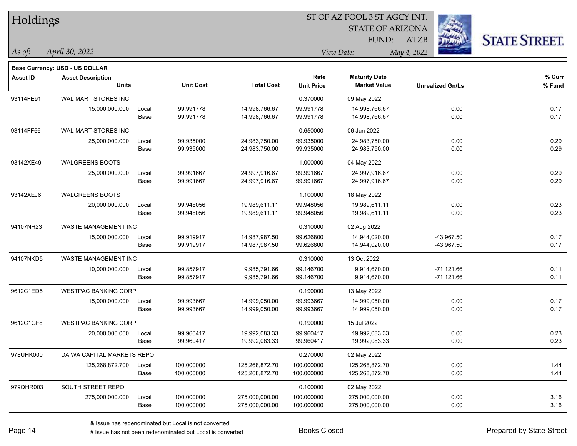| Holdings        |                                       |       |                  |                   | 51 OF AZ POOL 351 AGCY INT.<br>Ż. |                         |                         |                     |  |  |
|-----------------|---------------------------------------|-------|------------------|-------------------|-----------------------------------|-------------------------|-------------------------|---------------------|--|--|
|                 |                                       |       |                  |                   |                                   | <b>STATE OF ARIZONA</b> |                         |                     |  |  |
|                 |                                       |       |                  |                   |                                   | <b>FUND:</b>            | <b>ATZB</b>             | <b>STATE STREET</b> |  |  |
| $ $ As of:      | April 30, 2022                        |       |                  |                   |                                   | View Date:              | May 4, 2022             |                     |  |  |
|                 | <b>Base Currency: USD - US DOLLAR</b> |       |                  |                   |                                   |                         |                         |                     |  |  |
| <b>Asset ID</b> | <b>Asset Description</b>              |       |                  |                   | Rate                              | <b>Maturity Date</b>    |                         | % Curr              |  |  |
|                 | <b>Units</b>                          |       | <b>Unit Cost</b> | <b>Total Cost</b> | <b>Unit Price</b>                 | <b>Market Value</b>     | <b>Unrealized Gn/Ls</b> | % Fund              |  |  |
| 93114FE91       | WAL MART STORES INC                   |       |                  |                   | 0.370000                          | 09 May 2022             |                         |                     |  |  |
|                 | 15,000,000.000                        | Local | 99.991778        | 14,998,766.67     | 99.991778                         | 14,998,766.67           | 0.00                    | 0.17                |  |  |
|                 |                                       | Base  | 99.991778        | 14,998,766.67     | 99.991778                         | 14,998,766.67           | 0.00                    | 0.17                |  |  |
| 93114FF66       | WAL MART STORES INC                   |       |                  |                   | 0.650000                          | 06 Jun 2022             |                         |                     |  |  |
|                 | 25,000,000.000                        | Local | 99.935000        | 24,983,750.00     | 99.935000                         | 24,983,750.00           | 0.00                    | 0.29                |  |  |
|                 |                                       | Base  | 99.935000        | 24,983,750.00     | 99.935000                         | 24,983,750.00           | 0.00                    | 0.29                |  |  |
| 93142XE49       | <b>WALGREENS BOOTS</b>                |       |                  |                   | 1.000000                          | 04 May 2022             |                         |                     |  |  |
|                 | 25,000,000.000                        | Local | 99.991667        | 24,997,916.67     | 99.991667                         | 24,997,916.67           | 0.00                    | 0.29                |  |  |
|                 |                                       | Base  | 99.991667        | 24,997,916.67     | 99.991667                         | 24,997,916.67           | 0.00                    | 0.29                |  |  |
| 93142XEJ6       | WALGREENS BOOTS                       |       |                  |                   | 1.100000                          | 18 May 2022             |                         |                     |  |  |
|                 | 20,000,000.000                        | Local | 99.948056        | 19,989,611.11     | 99.948056                         | 19,989,611.11           | 0.00                    | 0.23                |  |  |
|                 |                                       | Base  | 99.948056        | 19,989,611.11     | 99.948056                         | 19,989,611.11           | 0.00                    | 0.23                |  |  |
| 94107NH23       | WASTE MANAGEMENT INC                  |       |                  |                   | 0.310000                          | 02 Aug 2022             |                         |                     |  |  |
|                 | 15,000,000.000                        | Local | 99.919917        | 14,987,987.50     | 99.626800                         | 14,944,020.00           | $-43,967.50$            | 0.17                |  |  |
|                 |                                       | Base  | 99.919917        | 14,987,987.50     | 99.626800                         | 14,944,020.00           | -43,967.50              | 0.17                |  |  |
| 94107NKD5       | WASTE MANAGEMENT INC                  |       |                  |                   | 0.310000                          | 13 Oct 2022             |                         |                     |  |  |
|                 | 10,000,000.000                        | Local | 99.857917        | 9,985,791.66      | 99.146700                         | 9,914,670.00            | $-71,121.66$            | 0.11                |  |  |
|                 |                                       | Base  | 99.857917        | 9,985,791.66      | 99.146700                         | 9,914,670.00            | $-71,121.66$            | 0.11                |  |  |
| 9612C1ED5       | WESTPAC BANKING CORP.                 |       |                  |                   | 0.190000                          | 13 May 2022             |                         |                     |  |  |
|                 | 15,000,000.000                        | Local | 99.993667        | 14,999,050.00     | 99.993667                         | 14,999,050.00           | 0.00                    | 0.17                |  |  |
|                 |                                       | Base  | 99.993667        | 14,999,050.00     | 99.993667                         | 14,999,050.00           | 0.00                    | 0.17                |  |  |
| 9612C1GF8       | <b>WESTPAC BANKING CORP.</b>          |       |                  |                   | 0.190000                          | 15 Jul 2022             |                         |                     |  |  |
|                 | 20,000,000.000                        | Local | 99.960417        | 19,992,083.33     | 99.960417                         | 19,992,083.33           | 0.00                    | 0.23                |  |  |
|                 |                                       | Base  | 99.960417        | 19,992,083.33     | 99.960417                         | 19,992,083.33           | 0.00                    | 0.23                |  |  |
| 978UHK000       | DAIWA CAPITAL MARKETS REPO            |       |                  |                   | 0.270000                          | 02 May 2022             |                         |                     |  |  |
|                 | 125,268,872.700                       | Local | 100.000000       | 125,268,872.70    | 100.000000                        | 125,268,872.70          | 0.00                    | 1.44                |  |  |
|                 |                                       | Base  | 100.000000       | 125,268,872.70    | 100.000000                        | 125,268,872.70          | 0.00                    | 1.44                |  |  |
| 979QHR003       | SOUTH STREET REPO                     |       |                  |                   | 0.100000                          | 02 May 2022             |                         |                     |  |  |
|                 | 275,000,000.000                       | Local | 100.000000       | 275,000,000.00    | 100.000000                        | 275,000,000.00          | 0.00                    | 3.16                |  |  |
|                 |                                       | Base  | 100.000000       | 275,000,000.00    | 100.000000                        | 275,000,000.00          | 0.00                    | 3.16                |  |  |

ST OF A Z POOL 2 ST ACCV INT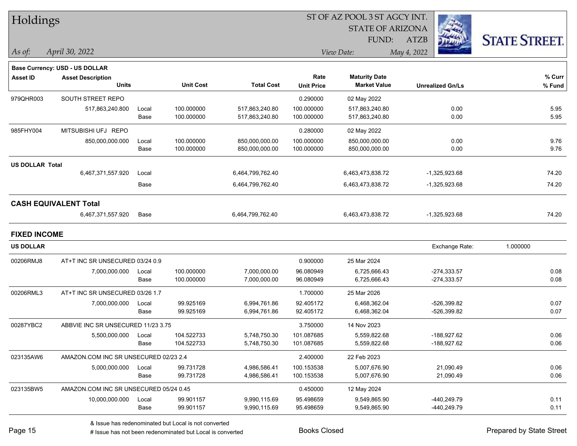| Holdings               |                                        |       |                  |                   | ST OF AZ POOL 3 ST AGCY INT. |                         |             |                         |                      |          |
|------------------------|----------------------------------------|-------|------------------|-------------------|------------------------------|-------------------------|-------------|-------------------------|----------------------|----------|
|                        |                                        |       |                  |                   |                              | <b>STATE OF ARIZONA</b> |             |                         |                      |          |
|                        |                                        |       |                  |                   |                              | FUND:                   | ATZB        |                         | <b>STATE STREET.</b> |          |
| $\vert$ As of:         | April 30, 2022                         |       |                  |                   |                              | View Date:              | May 4, 2022 |                         |                      |          |
|                        | <b>Base Currency: USD - US DOLLAR</b>  |       |                  |                   |                              |                         |             |                         |                      |          |
| <b>Asset ID</b>        | <b>Asset Description</b>               |       |                  |                   | Rate                         | <b>Maturity Date</b>    |             |                         |                      | $%$ Curr |
|                        | <b>Units</b>                           |       | <b>Unit Cost</b> | <b>Total Cost</b> | <b>Unit Price</b>            | <b>Market Value</b>     |             | <b>Unrealized Gn/Ls</b> |                      | % Fund   |
| 979QHR003              | SOUTH STREET REPO                      |       |                  |                   | 0.290000                     | 02 May 2022             |             |                         |                      |          |
|                        | 517,863,240.800                        | Local | 100.000000       | 517,863,240.80    | 100.000000                   | 517,863,240.80          |             | 0.00                    |                      | 5.95     |
|                        |                                        | Base  | 100.000000       | 517,863,240.80    | 100.000000                   | 517,863,240.80          |             | 0.00                    |                      | 5.95     |
| 985FHY004              | MITSUBISHI UFJ REPO                    |       |                  |                   | 0.280000                     | 02 May 2022             |             |                         |                      |          |
|                        | 850,000,000.000                        | Local | 100.000000       | 850,000,000.00    | 100.000000                   | 850,000,000.00          |             | 0.00                    |                      | 9.76     |
|                        |                                        | Base  | 100.000000       | 850,000,000.00    | 100.000000                   | 850,000,000.00          |             | 0.00                    |                      | 9.76     |
| <b>US DOLLAR Total</b> |                                        |       |                  |                   |                              |                         |             |                         |                      |          |
|                        | 6,467,371,557.920                      | Local |                  | 6,464,799,762.40  |                              | 6,463,473,838.72        |             | $-1,325,923.68$         |                      | 74.20    |
|                        |                                        | Base  |                  | 6,464,799,762.40  |                              | 6,463,473,838.72        |             | -1,325,923.68           |                      | 74.20    |
|                        | <b>CASH EQUIVALENT Total</b>           |       |                  |                   |                              |                         |             |                         |                      |          |
|                        | 6,467,371,557.920                      | Base  |                  | 6,464,799,762.40  |                              | 6,463,473,838.72        |             | -1,325,923.68           |                      | 74.20    |
| <b>FIXED INCOME</b>    |                                        |       |                  |                   |                              |                         |             |                         |                      |          |
| <b>US DOLLAR</b>       |                                        |       |                  |                   |                              |                         |             | Exchange Rate:          | 1.000000             |          |
| 00206RMJ8              | AT+T INC SR UNSECURED 03/24 0.9        |       |                  |                   | 0.900000                     | 25 Mar 2024             |             |                         |                      |          |
|                        | 7,000,000.000                          | Local | 100.000000       | 7,000,000.00      | 96.080949                    | 6,725,666.43            |             | $-274,333.57$           |                      | 0.08     |
|                        |                                        | Base  | 100.000000       | 7,000,000.00      | 96.080949                    | 6,725,666.43            |             | $-274,333.57$           |                      | 0.08     |
| 00206RML3              | AT+T INC SR UNSECURED 03/26 1.7        |       |                  |                   | 1.700000                     | 25 Mar 2026             |             |                         |                      |          |
|                        | 7,000,000.000                          | Local | 99.925169        | 6,994,761.86      | 92.405172                    | 6,468,362.04            |             | -526,399.82             |                      | 0.07     |
|                        |                                        | Base  | 99.925169        | 6,994,761.86      | 92.405172                    | 6,468,362.04            |             | -526,399.82             |                      | 0.07     |
| 00287YBC2              | ABBVIE INC SR UNSECURED 11/23 3.75     |       |                  |                   | 3.750000                     | 14 Nov 2023             |             |                         |                      |          |
|                        | 5,500,000.000                          | Local | 104.522733       | 5,748,750.30      | 101.087685                   | 5,559,822.68            |             | -188,927.62             |                      | 0.06     |
|                        |                                        | Base  | 104.522733       | 5,748,750.30      | 101.087685                   | 5,559,822.68            |             | -188,927.62             |                      | 0.06     |
| 023135AW6              | AMAZON.COM INC SR UNSECURED 02/23 2.4  |       |                  |                   | 2.400000                     | 22 Feb 2023             |             |                         |                      |          |
|                        | 5,000,000.000                          | Local | 99.731728        | 4,986,586.41      | 100.153538                   | 5,007,676.90            |             | 21,090.49               |                      | 0.06     |
|                        |                                        | Base  | 99.731728        | 4,986,586.41      | 100.153538                   | 5,007,676.90            |             | 21,090.49               |                      | 0.06     |
| 023135BW5              | AMAZON.COM INC SR UNSECURED 05/24 0.45 |       |                  |                   | 0.450000                     | 12 May 2024             |             |                         |                      |          |
|                        | 10,000,000.000                         | Local | 99.901157        | 9,990,115.69      | 95.498659                    | 9,549,865.90            |             | -440,249.79             |                      | 0.11     |
|                        |                                        | Base  | 99.901157        | 9,990,115.69      | 95.498659                    | 9,549,865.90            |             | -440,249.79             |                      | 0.11     |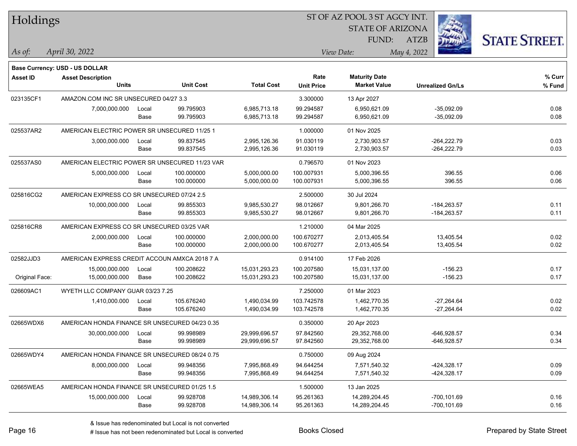| Holdings        |                                                |       |                  |                   | ST OF AZ POOL 3 ST AGCY INT. |                         |             |                         |                      |
|-----------------|------------------------------------------------|-------|------------------|-------------------|------------------------------|-------------------------|-------------|-------------------------|----------------------|
|                 |                                                |       |                  |                   |                              | <b>STATE OF ARIZONA</b> |             |                         |                      |
|                 |                                                |       |                  |                   |                              | FUND:                   | <b>ATZB</b> |                         | <b>STATE STREET.</b> |
| As of:          | April 30, 2022                                 |       |                  |                   |                              | View Date:              | May 4, 2022 |                         |                      |
|                 | <b>Base Currency: USD - US DOLLAR</b>          |       |                  |                   |                              |                         |             |                         |                      |
| <b>Asset ID</b> | <b>Asset Description</b>                       |       |                  |                   | Rate                         | <b>Maturity Date</b>    |             |                         | % Curr               |
|                 | <b>Units</b>                                   |       | <b>Unit Cost</b> | <b>Total Cost</b> | <b>Unit Price</b>            | <b>Market Value</b>     |             | <b>Unrealized Gn/Ls</b> | % Fund               |
| 023135CF1       | AMAZON.COM INC SR UNSECURED 04/27 3.3          |       |                  |                   | 3.300000                     | 13 Apr 2027             |             |                         |                      |
|                 | 7,000,000.000                                  | Local | 99.795903        | 6,985,713.18      | 99.294587                    | 6,950,621.09            |             | $-35,092.09$            | 0.08                 |
|                 |                                                | Base  | 99.795903        | 6,985,713.18      | 99.294587                    | 6,950,621.09            |             | $-35,092.09$            | 0.08                 |
| 025537AR2       | AMERICAN ELECTRIC POWER SR UNSECURED 11/25 1   |       |                  |                   | 1.000000                     | 01 Nov 2025             |             |                         |                      |
|                 | 3,000,000.000                                  | Local | 99.837545        | 2,995,126.36      | 91.030119                    | 2,730,903.57            |             | $-264,222.79$           | 0.03                 |
|                 |                                                | Base  | 99.837545        | 2,995,126.36      | 91.030119                    | 2,730,903.57            |             | $-264,222.79$           | 0.03                 |
| 025537AS0       | AMERICAN ELECTRIC POWER SR UNSECURED 11/23 VAR |       |                  |                   | 0.796570                     | 01 Nov 2023             |             |                         |                      |
|                 | 5,000,000.000                                  | Local | 100.000000       | 5,000,000.00      | 100.007931                   | 5,000,396.55            |             | 396.55                  | 0.06                 |
|                 |                                                | Base  | 100.000000       | 5,000,000.00      | 100.007931                   | 5,000,396.55            |             | 396.55                  | 0.06                 |
| 025816CG2       | AMERICAN EXPRESS CO SR UNSECURED 07/24 2.5     |       |                  |                   | 2.500000                     | 30 Jul 2024             |             |                         |                      |
|                 | 10,000,000.000                                 | Local | 99.855303        | 9,985,530.27      | 98.012667                    | 9,801,266.70            |             | $-184,263.57$           | 0.11                 |
|                 |                                                | Base  | 99.855303        | 9,985,530.27      | 98.012667                    | 9,801,266.70            |             | $-184,263.57$           | 0.11                 |
| 025816CR8       | AMERICAN EXPRESS CO SR UNSECURED 03/25 VAR     |       |                  |                   | 1.210000                     | 04 Mar 2025             |             |                         |                      |
|                 | 2,000,000.000                                  | Local | 100.000000       | 2,000,000.00      | 100.670277                   | 2,013,405.54            |             | 13,405.54               | 0.02                 |
|                 |                                                | Base  | 100.000000       | 2,000,000.00      | 100.670277                   | 2,013,405.54            |             | 13,405.54               | 0.02                 |
| 02582JJD3       | AMERICAN EXPRESS CREDIT ACCOUN AMXCA 2018 7 A  |       |                  |                   | 0.914100                     | 17 Feb 2026             |             |                         |                      |
|                 | 15,000,000.000                                 | Local | 100.208622       | 15,031,293.23     | 100.207580                   | 15,031,137.00           |             | $-156.23$               | 0.17                 |
| Original Face:  | 15,000,000.000                                 | Base  | 100.208622       | 15,031,293.23     | 100.207580                   | 15,031,137.00           |             | $-156.23$               | 0.17                 |
| 026609AC1       | WYETH LLC COMPANY GUAR 03/23 7.25              |       |                  |                   | 7.250000                     | 01 Mar 2023             |             |                         |                      |
|                 | 1,410,000.000                                  | Local | 105.676240       | 1,490,034.99      | 103.742578                   | 1,462,770.35            |             | $-27,264.64$            | 0.02                 |
|                 |                                                | Base  | 105.676240       | 1,490,034.99      | 103.742578                   | 1,462,770.35            |             | $-27,264.64$            | 0.02                 |
| 02665WDX6       | AMERICAN HONDA FINANCE SR UNSECURED 04/23 0.35 |       |                  |                   | 0.350000                     | 20 Apr 2023             |             |                         |                      |
|                 | 30,000,000.000                                 | Local | 99.998989        | 29,999,696.57     | 97.842560                    | 29,352,768.00           |             | $-646,928.57$           | 0.34                 |
|                 |                                                | Base  | 99.998989        | 29,999,696.57     | 97.842560                    | 29,352,768.00           |             | $-646,928.57$           | 0.34                 |
| 02665WDY4       | AMERICAN HONDA FINANCE SR UNSECURED 08/24 0.75 |       |                  |                   | 0.750000                     | 09 Aug 2024             |             |                         |                      |
|                 | 8,000,000.000                                  | Local | 99.948356        | 7,995,868.49      | 94.644254                    | 7,571,540.32            |             | -424,328.17             | 0.09                 |
|                 |                                                | Base  | 99.948356        | 7,995,868.49      | 94.644254                    | 7,571,540.32            |             | -424,328.17             | 0.09                 |
| 02665WEA5       | AMERICAN HONDA FINANCE SR UNSECURED 01/25 1.5  |       |                  |                   | 1.500000                     | 13 Jan 2025             |             |                         |                      |
|                 | 15,000,000.000                                 | Local | 99.928708        | 14,989,306.14     | 95.261363                    | 14,289,204.45           |             | $-700, 101.69$          | 0.16                 |
|                 |                                                | Base  | 99.928708        | 14,989,306.14     | 95.261363                    | 14,289,204.45           |             | $-700, 101.69$          | 0.16                 |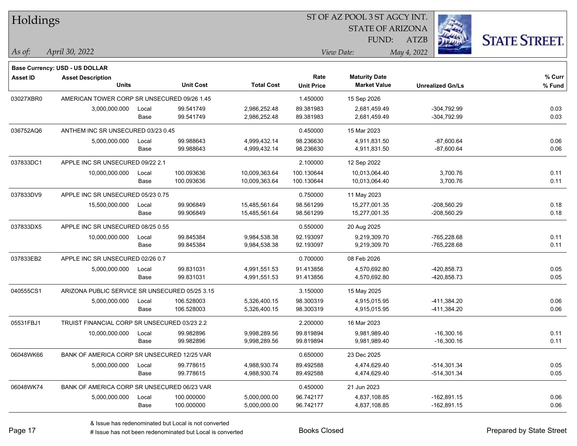| Holdings        |                                                |       |                  |                   | ST OF AZ POOL 3 ST AGCY INT. |                         |             |                         |                      |
|-----------------|------------------------------------------------|-------|------------------|-------------------|------------------------------|-------------------------|-------------|-------------------------|----------------------|
|                 |                                                |       |                  |                   |                              | <b>STATE OF ARIZONA</b> |             |                         |                      |
|                 |                                                |       |                  |                   |                              | FUND:                   | <b>ATZB</b> |                         | <b>STATE STREET.</b> |
| As of:          | April 30, 2022                                 |       |                  |                   |                              | View Date:              | May 4, 2022 |                         |                      |
|                 | <b>Base Currency: USD - US DOLLAR</b>          |       |                  |                   |                              |                         |             |                         |                      |
| <b>Asset ID</b> | <b>Asset Description</b>                       |       |                  |                   | Rate                         | <b>Maturity Date</b>    |             |                         | % Curr               |
|                 | <b>Units</b>                                   |       | <b>Unit Cost</b> | <b>Total Cost</b> | <b>Unit Price</b>            | <b>Market Value</b>     |             | <b>Unrealized Gn/Ls</b> | % Fund               |
| 03027XBR0       | AMERICAN TOWER CORP SR UNSECURED 09/26 1.45    |       |                  |                   | 1.450000                     | 15 Sep 2026             |             |                         |                      |
|                 | 3,000,000.000                                  | Local | 99.541749        | 2,986,252.48      | 89.381983                    | 2,681,459.49            |             | $-304,792.99$           | 0.03                 |
|                 |                                                | Base  | 99.541749        | 2,986,252.48      | 89.381983                    | 2,681,459.49            |             | $-304,792.99$           | 0.03                 |
| 036752AQ6       | ANTHEM INC SR UNSECURED 03/23 0.45             |       |                  |                   | 0.450000                     | 15 Mar 2023             |             |                         |                      |
|                 | 5,000,000.000                                  | Local | 99.988643        | 4,999,432.14      | 98.236630                    | 4,911,831.50            |             | $-87,600.64$            | 0.06                 |
|                 |                                                | Base  | 99.988643        | 4,999,432.14      | 98.236630                    | 4,911,831.50            |             | $-87,600.64$            | 0.06                 |
| 037833DC1       | APPLE INC SR UNSECURED 09/22 2.1               |       |                  |                   | 2.100000                     | 12 Sep 2022             |             |                         |                      |
|                 | 10,000,000.000                                 | Local | 100.093636       | 10,009,363.64     | 100.130644                   | 10,013,064.40           |             | 3,700.76                | 0.11                 |
|                 |                                                | Base  | 100.093636       | 10,009,363.64     | 100.130644                   | 10,013,064.40           |             | 3,700.76                | 0.11                 |
| 037833DV9       | APPLE INC SR UNSECURED 05/23 0.75              |       |                  |                   | 0.750000                     | 11 May 2023             |             |                         |                      |
|                 | 15,500,000.000                                 | Local | 99.906849        | 15,485,561.64     | 98.561299                    | 15,277,001.35           |             | $-208,560.29$           | 0.18                 |
|                 |                                                | Base  | 99.906849        | 15,485,561.64     | 98.561299                    | 15,277,001.35           |             | $-208,560.29$           | 0.18                 |
| 037833DX5       | APPLE INC SR UNSECURED 08/25 0.55              |       |                  |                   | 0.550000                     | 20 Aug 2025             |             |                         |                      |
|                 | 10,000,000.000                                 | Local | 99.845384        | 9,984,538.38      | 92.193097                    | 9,219,309.70            |             | -765,228.68             | 0.11                 |
|                 |                                                | Base  | 99.845384        | 9,984,538.38      | 92.193097                    | 9,219,309.70            |             | -765,228.68             | 0.11                 |
| 037833EB2       | APPLE INC SR UNSECURED 02/26 0.7               |       |                  |                   | 0.700000                     | 08 Feb 2026             |             |                         |                      |
|                 | 5,000,000.000                                  | Local | 99.831031        | 4,991,551.53      | 91.413856                    | 4,570,692.80            |             | -420,858.73             | 0.05                 |
|                 |                                                | Base  | 99.831031        | 4,991,551.53      | 91.413856                    | 4,570,692.80            |             | -420,858.73             | 0.05                 |
| 040555CS1       | ARIZONA PUBLIC SERVICE SR UNSECURED 05/25 3.15 |       |                  |                   | 3.150000                     | 15 May 2025             |             |                         |                      |
|                 | 5,000,000.000                                  | Local | 106.528003       | 5,326,400.15      | 98.300319                    | 4,915,015.95            |             | -411,384.20             | 0.06                 |
|                 |                                                | Base  | 106.528003       | 5,326,400.15      | 98.300319                    | 4,915,015.95            |             | -411,384.20             | 0.06                 |
| 05531FBJ1       | TRUIST FINANCIAL CORP SR UNSECURED 03/23 2.2   |       |                  |                   | 2.200000                     | 16 Mar 2023             |             |                         |                      |
|                 | 10,000,000.000                                 | Local | 99.982896        | 9,998,289.56      | 99.819894                    | 9,981,989.40            |             | $-16,300.16$            | 0.11                 |
|                 |                                                | Base  | 99.982896        | 9,998,289.56      | 99.819894                    | 9,981,989.40            |             | $-16,300.16$            | 0.11                 |
| 06048WK66       | BANK OF AMERICA CORP SR UNSECURED 12/25 VAR    |       |                  |                   | 0.650000                     | 23 Dec 2025             |             |                         |                      |
|                 | 5,000,000.000                                  | Local | 99.778615        | 4,988,930.74      | 89.492588                    | 4,474,629.40            |             | $-514,301.34$           | 0.05                 |
|                 |                                                | Base  | 99.778615        | 4,988,930.74      | 89.492588                    | 4,474,629.40            |             | $-514,301.34$           | 0.05                 |
| 06048WK74       | BANK OF AMERICA CORP SR UNSECURED 06/23 VAR    |       |                  |                   | 0.450000                     | 21 Jun 2023             |             |                         |                      |
|                 | 5,000,000.000                                  | Local | 100.000000       | 5,000,000.00      | 96.742177                    | 4,837,108.85            |             | $-162,891.15$           | 0.06                 |
|                 |                                                | Base  | 100.000000       | 5,000,000.00      | 96.742177                    | 4,837,108.85            |             | $-162,891.15$           | 0.06                 |

# Issue has not been redenominated but Local is converted Books Closed Prepared by State Street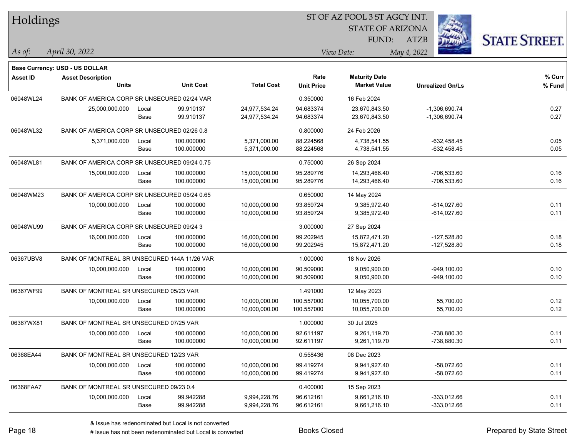| Holdings        |                                              |       |                  |                   | 51 OF AZ POOL 3 51 AGCY INT.<br>Ż. |                         |                         |                      |  |  |
|-----------------|----------------------------------------------|-------|------------------|-------------------|------------------------------------|-------------------------|-------------------------|----------------------|--|--|
|                 |                                              |       |                  |                   |                                    | <b>STATE OF ARIZONA</b> |                         |                      |  |  |
|                 |                                              |       |                  |                   |                                    | FUND:                   | ATZB                    | <b>STATE STREET.</b> |  |  |
| As of:          | April 30, 2022                               |       |                  |                   |                                    |                         |                         |                      |  |  |
|                 |                                              |       |                  |                   |                                    | View Date:              | May 4, 2022             |                      |  |  |
|                 | <b>Base Currency: USD - US DOLLAR</b>        |       |                  |                   |                                    |                         |                         |                      |  |  |
| <b>Asset ID</b> | <b>Asset Description</b>                     |       |                  |                   | Rate                               | <b>Maturity Date</b>    |                         | % Curr               |  |  |
|                 | <b>Units</b>                                 |       | <b>Unit Cost</b> | <b>Total Cost</b> | <b>Unit Price</b>                  | <b>Market Value</b>     | <b>Unrealized Gn/Ls</b> | % Fund               |  |  |
| 06048WL24       | BANK OF AMERICA CORP SR UNSECURED 02/24 VAR  |       |                  |                   | 0.350000                           | 16 Feb 2024             |                         |                      |  |  |
|                 | 25,000,000.000                               | Local | 99.910137        | 24,977,534.24     | 94.683374                          | 23,670,843.50           | $-1,306,690.74$         | 0.27                 |  |  |
|                 |                                              | Base  | 99.910137        | 24,977,534.24     | 94.683374                          | 23,670,843.50           | $-1,306,690.74$         | 0.27                 |  |  |
| 06048WL32       | BANK OF AMERICA CORP SR UNSECURED 02/26 0.8  |       |                  |                   | 0.800000                           | 24 Feb 2026             |                         |                      |  |  |
|                 | 5,371,000.000                                | Local | 100.000000       | 5,371,000.00      | 88.224568                          | 4,738,541.55            | $-632,458.45$           | 0.05                 |  |  |
|                 |                                              | Base  | 100.000000       | 5,371,000.00      | 88.224568                          | 4,738,541.55            | $-632,458.45$           | 0.05                 |  |  |
| 06048WL81       | BANK OF AMERICA CORP SR UNSECURED 09/24 0.75 |       |                  |                   | 0.750000                           | 26 Sep 2024             |                         |                      |  |  |
|                 | 15,000,000.000                               | Local | 100.000000       | 15,000,000.00     | 95.289776                          | 14,293,466.40           | -706,533.60             | 0.16                 |  |  |
|                 |                                              | Base  | 100.000000       | 15,000,000.00     | 95.289776                          | 14,293,466.40           | -706,533.60             | 0.16                 |  |  |
| 06048WM23       | BANK OF AMERICA CORP SR UNSECURED 05/24 0.65 |       |                  |                   | 0.650000                           | 14 May 2024             |                         |                      |  |  |
|                 | 10,000,000.000                               | Local | 100.000000       | 10,000,000.00     | 93.859724                          | 9,385,972.40            | $-614,027.60$           | 0.11                 |  |  |
|                 |                                              | Base  | 100.000000       | 10,000,000.00     | 93.859724                          | 9,385,972.40            | $-614,027.60$           | 0.11                 |  |  |
| 06048WU99       | BANK OF AMERICA CORP SR UNSECURED 09/24 3    |       |                  |                   | 3.000000                           | 27 Sep 2024             |                         |                      |  |  |
|                 | 16,000,000.000                               | Local | 100.000000       | 16,000,000.00     | 99.202945                          | 15,872,471.20           | $-127,528.80$           | 0.18                 |  |  |
|                 |                                              | Base  | 100.000000       | 16,000,000.00     | 99.202945                          | 15,872,471.20           | $-127,528.80$           | 0.18                 |  |  |
| 06367UBV8       | BANK OF MONTREAL SR UNSECURED 144A 11/26 VAR |       |                  |                   | 1.000000                           | 18 Nov 2026             |                         |                      |  |  |
|                 | 10,000,000.000                               | Local | 100.000000       | 10,000,000.00     | 90.509000                          | 9,050,900.00            | $-949,100.00$           | 0.10                 |  |  |
|                 |                                              | Base  | 100.000000       | 10,000,000.00     | 90.509000                          | 9,050,900.00            | $-949,100.00$           | 0.10                 |  |  |
| 06367WF99       | BANK OF MONTREAL SR UNSECURED 05/23 VAR      |       |                  |                   | 1.491000                           | 12 May 2023             |                         |                      |  |  |
|                 | 10,000,000.000                               | Local | 100.000000       | 10,000,000.00     | 100.557000                         | 10,055,700.00           | 55,700.00               | 0.12                 |  |  |
|                 |                                              | Base  | 100.000000       | 10,000,000.00     | 100.557000                         | 10,055,700.00           | 55,700.00               | 0.12                 |  |  |
| 06367WX81       | BANK OF MONTREAL SR UNSECURED 07/25 VAR      |       |                  |                   | 1.000000                           | 30 Jul 2025             |                         |                      |  |  |
|                 | 10,000,000.000                               | Local | 100.000000       | 10,000,000.00     | 92.611197                          | 9,261,119.70            | -738.880.30             | 0.11                 |  |  |
|                 |                                              | Base  | 100.000000       | 10,000,000.00     | 92.611197                          | 9,261,119.70            | -738,880.30             | 0.11                 |  |  |
| 06368EA44       | BANK OF MONTREAL SR UNSECURED 12/23 VAR      |       |                  |                   | 0.558436                           | 08 Dec 2023             |                         |                      |  |  |
|                 | 10,000,000.000                               | Local | 100.000000       | 10,000,000.00     | 99.419274                          | 9,941,927.40            | $-58,072.60$            | 0.11                 |  |  |
|                 |                                              | Base  | 100.000000       | 10,000,000.00     | 99.419274                          | 9,941,927.40            | $-58,072.60$            | 0.11                 |  |  |
| 06368FAA7       | BANK OF MONTREAL SR UNSECURED 09/23 0.4      |       |                  |                   | 0.400000                           | 15 Sep 2023             |                         |                      |  |  |
|                 | 10,000,000.000                               | Local | 99.942288        | 9,994,228.76      | 96.612161                          | 9,661,216.10            | $-333,012.66$           | 0.11                 |  |  |
|                 |                                              | Base  | 99.942288        | 9,994,228.76      | 96.612161                          | 9,661,216.10            | $-333,012.66$           | 0.11                 |  |  |

ST OF A Z POOL 2 ST ACCV INT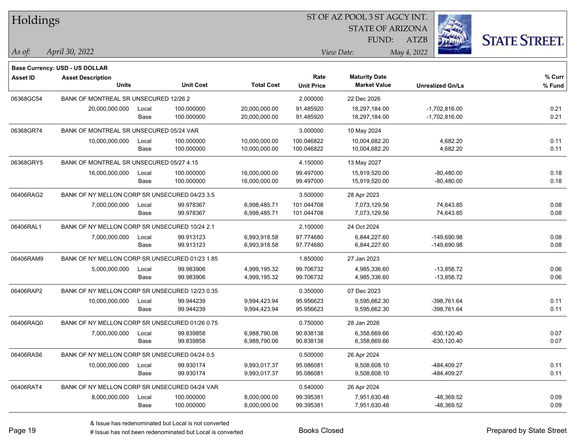| Holdings        |                                                |       |                  |                   |                   | ST OF AZ POOL 3 ST AGCY INT. |                         |                      |
|-----------------|------------------------------------------------|-------|------------------|-------------------|-------------------|------------------------------|-------------------------|----------------------|
|                 |                                                |       |                  |                   |                   | <b>STATE OF ARIZONA</b>      |                         |                      |
|                 |                                                |       |                  |                   |                   | FUND:                        | <b>ATZB</b>             | <b>STATE STREET.</b> |
| As of:          | April 30, 2022                                 |       |                  |                   |                   | View Date:                   | May 4, 2022             |                      |
|                 | Base Currency: USD - US DOLLAR                 |       |                  |                   |                   |                              |                         |                      |
| <b>Asset ID</b> | <b>Asset Description</b>                       |       |                  |                   | Rate              | <b>Maturity Date</b>         |                         | % Curr               |
|                 | <b>Units</b>                                   |       | <b>Unit Cost</b> | <b>Total Cost</b> | <b>Unit Price</b> | <b>Market Value</b>          | <b>Unrealized Gn/Ls</b> | % Fund               |
| 06368GC54       | BANK OF MONTREAL SR UNSECURED 12/26 2          |       |                  |                   | 2.000000          | 22 Dec 2026                  |                         |                      |
|                 | 20,000,000.000                                 | Local | 100.000000       | 20,000,000.00     | 91.485920         | 18,297,184.00                | $-1,702,816.00$         | 0.21                 |
|                 |                                                | Base  | 100.000000       | 20,000,000.00     | 91.485920         | 18,297,184.00                | $-1,702,816.00$         | 0.21                 |
| 06368GR74       | BANK OF MONTREAL SR UNSECURED 05/24 VAR        |       |                  |                   | 3.000000          | 10 May 2024                  |                         |                      |
|                 | 10,000,000.000                                 | Local | 100.000000       | 10,000,000.00     | 100.046822        | 10,004,682.20                | 4,682.20                | 0.11                 |
|                 |                                                | Base  | 100.000000       | 10,000,000.00     | 100.046822        | 10,004,682.20                | 4,682.20                | 0.11                 |
| 06368GRY5       | BANK OF MONTREAL SR UNSECURED 05/27 4.15       |       |                  |                   | 4.150000          | 13 May 2027                  |                         |                      |
|                 | 16,000,000.000                                 | Local | 100.000000       | 16,000,000.00     | 99.497000         | 15,919,520.00                | $-80,480.00$            | 0.18                 |
|                 |                                                | Base  | 100.000000       | 16,000,000.00     | 99.497000         | 15,919,520.00                | $-80,480.00$            | 0.18                 |
| 06406RAG2       | BANK OF NY MELLON CORP SR UNSECURED 04/23 3.5  |       |                  |                   | 3.500000          | 28 Apr 2023                  |                         |                      |
|                 | 7,000,000.000                                  | Local | 99.978367        | 6,998,485.71      | 101.044708        | 7,073,129.56                 | 74,643.85               | 0.08                 |
|                 |                                                | Base  | 99.978367        | 6,998,485.71      | 101.044708        | 7,073,129.56                 | 74,643.85               | 0.08                 |
| 06406RAL1       | BANK OF NY MELLON CORP SR UNSECURED 10/24 2.1  |       |                  |                   | 2.100000          | 24 Oct 2024                  |                         |                      |
|                 | 7,000,000.000                                  | Local | 99.913123        | 6,993,918.58      | 97.774680         | 6,844,227.60                 | $-149,690.98$           | 0.08                 |
|                 |                                                | Base  | 99.913123        | 6,993,918.58      | 97.774680         | 6,844,227.60                 | $-149,690.98$           | 0.08                 |
| 06406RAM9       | BANK OF NY MELLON CORP SR UNSECURED 01/23 1.85 |       |                  |                   | 1.850000          | 27 Jan 2023                  |                         |                      |
|                 | 5,000,000.000                                  | Local | 99.983906        | 4,999,195.32      | 99.706732         | 4,985,336.60                 | $-13,858.72$            | 0.06                 |
|                 |                                                | Base  | 99.983906        | 4,999,195.32      | 99.706732         | 4,985,336.60                 | $-13,858.72$            | 0.06                 |
| 06406RAP2       | BANK OF NY MELLON CORP SR UNSECURED 12/23 0.35 |       |                  |                   | 0.350000          | 07 Dec 2023                  |                         |                      |
|                 | 10,000,000.000                                 | Local | 99.944239        | 9,994,423.94      | 95.956623         | 9,595,662.30                 | -398.761.64             | 0.11                 |
|                 |                                                | Base  | 99.944239        | 9,994,423.94      | 95.956623         | 9,595,662.30                 | -398,761.64             | 0.11                 |
| 06406RAQ0       | BANK OF NY MELLON CORP SR UNSECURED 01/26 0.75 |       |                  |                   | 0.750000          | 28 Jan 2026                  |                         |                      |
|                 | 7,000,000.000                                  | Local | 99.839858        | 6,988,790.06      | 90.838138         | 6,358,669.66                 | $-630, 120.40$          | 0.07                 |
|                 |                                                | Base  | 99.839858        | 6,988,790.06      | 90.838138         | 6,358,669.66                 | $-630, 120.40$          | 0.07                 |
| 06406RAS6       | BANK OF NY MELLON CORP SR UNSECURED 04/24 0.5  |       |                  |                   | 0.500000          | 26 Apr 2024                  |                         |                      |
|                 | 10,000,000.000                                 | Local | 99.930174        | 9,993,017.37      | 95.086081         | 9,508,608.10                 | -484,409.27             | 0.11                 |
|                 |                                                | Base  | 99.930174        | 9,993,017.37      | 95.086081         | 9,508,608.10                 | -484,409.27             | 0.11                 |
| 06406RAT4       | BANK OF NY MELLON CORP SR UNSECURED 04/24 VAR  |       |                  |                   | 0.540000          | 26 Apr 2024                  |                         |                      |
|                 | 8,000,000.000                                  | Local | 100.000000       | 8,000,000.00      | 99.395381         | 7,951,630.48                 | $-48,369.52$            | 0.09                 |
|                 |                                                | Base  | 100.000000       | 8,000,000.00      | 99.395381         | 7,951,630.48                 | -48,369.52              | 0.09                 |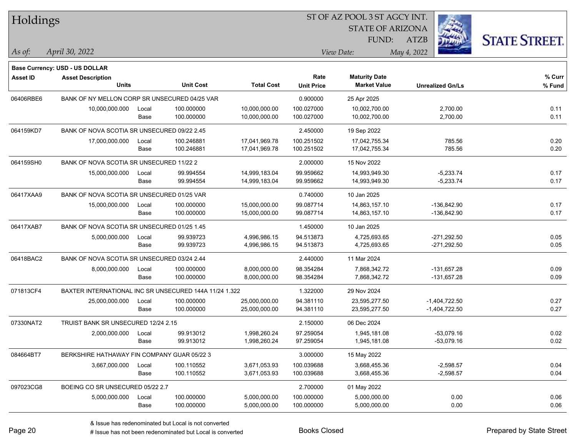| Holdings        |                                                        |               |                          |                                | ST OF AZ POOL 3 ST AGCY INT. |                                             |                         |                      |  |
|-----------------|--------------------------------------------------------|---------------|--------------------------|--------------------------------|------------------------------|---------------------------------------------|-------------------------|----------------------|--|
|                 |                                                        |               |                          |                                |                              | <b>STATE OF ARIZONA</b>                     |                         |                      |  |
|                 |                                                        |               |                          |                                |                              | FUND:                                       | ATZB                    | <b>STATE STREET.</b> |  |
| As of:          | April 30, 2022                                         |               |                          |                                |                              | View Date:                                  | May 4, 2022             |                      |  |
|                 | <b>Base Currency: USD - US DOLLAR</b>                  |               |                          |                                |                              |                                             |                         |                      |  |
| <b>Asset ID</b> | <b>Asset Description</b><br><b>Units</b>               |               | <b>Unit Cost</b>         | <b>Total Cost</b>              | Rate<br><b>Unit Price</b>    | <b>Maturity Date</b><br><b>Market Value</b> | <b>Unrealized Gn/Ls</b> | % Curr<br>% Fund     |  |
|                 |                                                        |               |                          |                                |                              |                                             |                         |                      |  |
| 06406RBE6       | BANK OF NY MELLON CORP SR UNSECURED 04/25 VAR          |               |                          |                                | 0.900000                     | 25 Apr 2025                                 |                         |                      |  |
|                 | 10,000,000.000                                         | Local<br>Base | 100.000000<br>100.000000 | 10,000,000.00<br>10,000,000.00 | 100.027000<br>100.027000     | 10,002,700.00<br>10,002,700.00              | 2,700.00<br>2,700.00    | 0.11<br>0.11         |  |
|                 |                                                        |               |                          |                                |                              |                                             |                         |                      |  |
| 064159KD7       | BANK OF NOVA SCOTIA SR UNSECURED 09/22 2.45            |               |                          |                                | 2.450000                     | 19 Sep 2022                                 |                         |                      |  |
|                 | 17,000,000.000                                         | Local<br>Base | 100.246881<br>100.246881 | 17,041,969.78<br>17,041,969.78 | 100.251502<br>100.251502     | 17,042,755.34<br>17,042,755.34              | 785.56<br>785.56        | 0.20<br>0.20         |  |
|                 |                                                        |               |                          |                                |                              |                                             |                         |                      |  |
| 064159SH0       | BANK OF NOVA SCOTIA SR UNSECURED 11/22 2               |               |                          |                                | 2.000000                     | 15 Nov 2022                                 |                         |                      |  |
|                 | 15,000,000.000                                         | Local         | 99.994554                | 14,999,183.04                  | 99.959662                    | 14,993,949.30                               | $-5,233.74$             | 0.17                 |  |
|                 |                                                        | Base          | 99.994554                | 14,999,183.04                  | 99.959662                    | 14,993,949.30                               | $-5,233.74$             | 0.17                 |  |
| 06417XAA9       | BANK OF NOVA SCOTIA SR UNSECURED 01/25 VAR             |               |                          |                                | 0.740000                     | 10 Jan 2025                                 |                         |                      |  |
|                 | 15,000,000.000                                         | Local         | 100.000000               | 15,000,000.00                  | 99.087714                    | 14,863,157.10                               | $-136,842.90$           | 0.17                 |  |
|                 |                                                        | Base          | 100.000000               | 15,000,000.00                  | 99.087714                    | 14,863,157.10                               | -136,842.90             | 0.17                 |  |
| 06417XAB7       | BANK OF NOVA SCOTIA SR UNSECURED 01/25 1.45            |               |                          |                                | 1.450000                     | 10 Jan 2025                                 |                         |                      |  |
|                 | 5,000,000.000                                          | Local         | 99.939723                | 4,996,986.15                   | 94.513873                    | 4,725,693.65                                | $-271,292.50$           | 0.05                 |  |
|                 |                                                        | Base          | 99.939723                | 4,996,986.15                   | 94.513873                    | 4,725,693.65                                | $-271,292.50$           | 0.05                 |  |
| 06418BAC2       | BANK OF NOVA SCOTIA SR UNSECURED 03/24 2.44            |               |                          |                                | 2.440000                     | 11 Mar 2024                                 |                         |                      |  |
|                 | 8,000,000.000                                          | Local         | 100.000000               | 8,000,000.00                   | 98.354284                    | 7,868,342.72                                | -131,657.28             | 0.09                 |  |
|                 |                                                        | Base          | 100.000000               | 8,000,000.00                   | 98.354284                    | 7,868,342.72                                | -131,657.28             | 0.09                 |  |
| 071813CF4       | BAXTER INTERNATIONAL INC SR UNSECURED 144A 11/24 1.322 |               |                          |                                | 1.322000                     | 29 Nov 2024                                 |                         |                      |  |
|                 | 25,000,000.000                                         | Local         | 100.000000               | 25,000,000.00                  | 94.381110                    | 23,595,277.50                               | $-1,404,722.50$         | 0.27                 |  |
|                 |                                                        | Base          | 100.000000               | 25,000,000.00                  | 94.381110                    | 23,595,277.50                               | -1,404,722.50           | 0.27                 |  |
| 07330NAT2       | TRUIST BANK SR UNSECURED 12/24 2.15                    |               |                          |                                | 2.150000                     | 06 Dec 2024                                 |                         |                      |  |
|                 | 2,000,000.000                                          | Local         | 99.913012                | 1,998,260.24                   | 97.259054                    | 1,945,181.08                                | $-53,079.16$            | 0.02                 |  |
|                 |                                                        | Base          | 99.913012                | 1,998,260.24                   | 97.259054                    | 1,945,181.08                                | $-53,079.16$            | 0.02                 |  |
| 084664BT7       | BERKSHIRE HATHAWAY FIN COMPANY GUAR 05/22 3            |               |                          |                                | 3.000000                     | 15 May 2022                                 |                         |                      |  |
|                 | 3,667,000.000                                          | Local         | 100.110552               | 3,671,053.93                   | 100.039688                   | 3,668,455.36                                | $-2,598.57$             | 0.04                 |  |
|                 |                                                        | Base          | 100.110552               | 3,671,053.93                   | 100.039688                   | 3,668,455.36                                | $-2,598.57$             | 0.04                 |  |
| 097023CG8       | BOEING CO SR UNSECURED 05/22 2.7                       |               |                          |                                | 2.700000                     | 01 May 2022                                 |                         |                      |  |
|                 | 5,000,000.000                                          | Local         | 100.000000               | 5,000,000.00                   | 100.000000                   | 5,000,000.00                                | 0.00                    | 0.06                 |  |
|                 |                                                        | Base          | 100.000000               | 5,000,000.00                   | 100.000000                   | 5,000,000.00                                | 0.00                    | 0.06                 |  |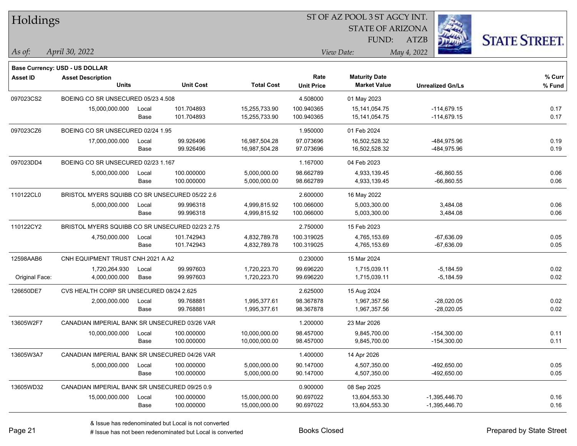| Holdings       |                                                 |       |                  |                   | ST OF AZ POOL 3 ST AGCY INT. |                                             |                         |                      |
|----------------|-------------------------------------------------|-------|------------------|-------------------|------------------------------|---------------------------------------------|-------------------------|----------------------|
|                |                                                 |       |                  |                   |                              | <b>STATE OF ARIZONA</b>                     |                         |                      |
|                |                                                 |       |                  |                   |                              | FUND:                                       | <b>ATZB</b>             | <b>STATE STREET.</b> |
| $\vert$ As of: | April 30, 2022                                  |       |                  |                   |                              | View Date:                                  | May 4, 2022             |                      |
|                |                                                 |       |                  |                   |                              |                                             |                         |                      |
|                | Base Currency: USD - US DOLLAR                  |       |                  |                   | Rate                         |                                             |                         | % Curr               |
| Asset ID       | <b>Asset Description</b><br><b>Units</b>        |       | <b>Unit Cost</b> | <b>Total Cost</b> | <b>Unit Price</b>            | <b>Maturity Date</b><br><b>Market Value</b> | <b>Unrealized Gn/Ls</b> | % Fund               |
| 097023CS2      | BOEING CO SR UNSECURED 05/23 4.508              |       |                  |                   | 4.508000                     | 01 May 2023                                 |                         |                      |
|                | 15,000,000.000                                  | Local | 101.704893       | 15,255,733.90     | 100.940365                   | 15, 141, 054. 75                            | $-114,679.15$           | 0.17                 |
|                |                                                 | Base  | 101.704893       | 15,255,733.90     | 100.940365                   | 15,141,054.75                               | $-114,679.15$           | 0.17                 |
| 097023CZ6      | BOEING CO SR UNSECURED 02/24 1.95               |       |                  |                   | 1.950000                     | 01 Feb 2024                                 |                         |                      |
|                | 17,000,000.000                                  | Local | 99.926496        | 16,987,504.28     | 97.073696                    | 16,502,528.32                               | -484,975.96             | 0.19                 |
|                |                                                 | Base  | 99.926496        | 16,987,504.28     | 97.073696                    | 16,502,528.32                               | -484,975.96             | 0.19                 |
| 097023DD4      | BOEING CO SR UNSECURED 02/23 1.167              |       |                  |                   | 1.167000                     | 04 Feb 2023                                 |                         |                      |
|                | 5,000,000.000                                   | Local | 100.000000       | 5,000,000.00      | 98.662789                    | 4,933,139.45                                | $-66,860.55$            | 0.06                 |
|                |                                                 | Base  | 100.000000       | 5,000,000.00      | 98.662789                    | 4,933,139.45                                | -66,860.55              | 0.06                 |
| 110122CL0      | BRISTOL MYERS SQUIBB CO SR UNSECURED 05/22 2.6  |       |                  |                   | 2.600000                     | 16 May 2022                                 |                         |                      |
|                | 5,000,000.000                                   | Local | 99.996318        | 4,999,815.92      | 100.066000                   | 5,003,300.00                                | 3,484.08                | 0.06                 |
|                |                                                 | Base  | 99.996318        | 4,999,815.92      | 100.066000                   | 5,003,300.00                                | 3,484.08                | 0.06                 |
| 110122CY2      | BRISTOL MYERS SQUIBB CO SR UNSECURED 02/23 2.75 |       |                  |                   | 2.750000                     | 15 Feb 2023                                 |                         |                      |
|                | 4,750,000.000                                   | Local | 101.742943       | 4,832,789.78      | 100.319025                   | 4,765,153.69                                | $-67,636.09$            | 0.05                 |
|                |                                                 | Base  | 101.742943       | 4,832,789.78      | 100.319025                   | 4,765,153.69                                | $-67,636.09$            | 0.05                 |
| 12598AAB6      | CNH EQUIPMENT TRUST CNH 2021 A A2               |       |                  |                   | 0.230000                     | 15 Mar 2024                                 |                         |                      |
|                | 1,720,264.930                                   | Local | 99.997603        | 1,720,223.70      | 99.696220                    | 1,715,039.11                                | $-5,184.59$             | 0.02                 |
| Original Face: | 4,000,000.000                                   | Base  | 99.997603        | 1,720,223.70      | 99.696220                    | 1,715,039.11                                | $-5,184.59$             | 0.02                 |
| 126650DE7      | CVS HEALTH CORP SR UNSECURED 08/24 2.625        |       |                  |                   | 2.625000                     | 15 Aug 2024                                 |                         |                      |
|                | 2,000,000.000                                   | Local | 99.768881        | 1,995,377.61      | 98.367878                    | 1,967,357.56                                | $-28,020.05$            | 0.02                 |
|                |                                                 | Base  | 99.768881        | 1,995,377.61      | 98.367878                    | 1,967,357.56                                | -28,020.05              | 0.02                 |
| 13605W2F7      | CANADIAN IMPERIAL BANK SR UNSECURED 03/26 VAR   |       |                  |                   | 1.200000                     | 23 Mar 2026                                 |                         |                      |
|                | 10,000,000.000                                  | Local | 100.000000       | 10,000,000.00     | 98.457000                    | 9,845,700.00                                | $-154,300.00$           | 0.11                 |
|                |                                                 | Base  | 100.000000       | 10,000,000.00     | 98.457000                    | 9,845,700.00                                | $-154,300.00$           | 0.11                 |
| 13605W3A7      | CANADIAN IMPERIAL BANK SR UNSECURED 04/26 VAR   |       |                  |                   | 1.400000                     | 14 Apr 2026                                 |                         |                      |
|                | 5,000,000.000                                   | Local | 100.000000       | 5,000,000.00      | 90.147000                    | 4,507,350.00                                | -492,650.00             | 0.05                 |
|                |                                                 | Base  | 100.000000       | 5,000,000.00      | 90.147000                    | 4,507,350.00                                | -492,650.00             | 0.05                 |
| 13605WD32      | CANADIAN IMPERIAL BANK SR UNSECURED 09/25 0.9   |       |                  |                   | 0.900000                     | 08 Sep 2025                                 |                         |                      |
|                | 15,000,000.000                                  | Local | 100.000000       | 15,000,000.00     | 90.697022                    | 13,604,553.30                               | $-1,395,446.70$         | 0.16                 |
|                |                                                 | Base  | 100.000000       | 15,000,000.00     | 90.697022                    | 13,604,553.30                               | $-1,395,446.70$         | 0.16                 |

# Issue has not been redenominated but Local is converted Books Closed Prepared by State Street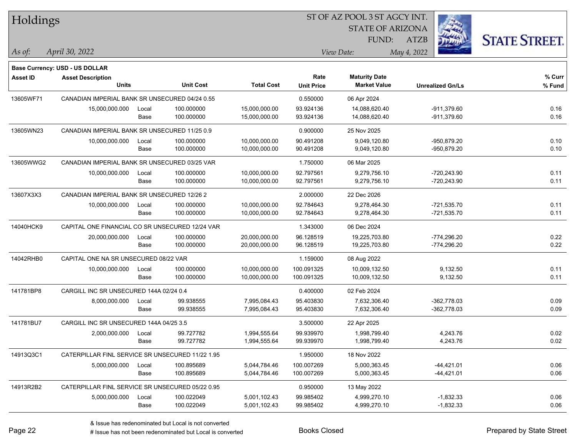| Holdings        |                                                  |       |                  |                   |                   | ST OF AZ POOL 3 ST AGCY INT. |                         |                      |
|-----------------|--------------------------------------------------|-------|------------------|-------------------|-------------------|------------------------------|-------------------------|----------------------|
|                 |                                                  |       |                  |                   |                   | <b>STATE OF ARIZONA</b>      |                         |                      |
|                 |                                                  |       |                  |                   |                   | FUND:                        | <b>ATZB</b>             | <b>STATE STREET.</b> |
| As of:          | April 30, 2022                                   |       |                  |                   |                   | View Date:                   | May 4, 2022             |                      |
|                 | <b>Base Currency: USD - US DOLLAR</b>            |       |                  |                   |                   |                              |                         |                      |
| <b>Asset ID</b> | <b>Asset Description</b>                         |       |                  |                   | Rate              | <b>Maturity Date</b>         |                         | % Curr               |
|                 | <b>Units</b>                                     |       | <b>Unit Cost</b> | <b>Total Cost</b> | <b>Unit Price</b> | <b>Market Value</b>          | <b>Unrealized Gn/Ls</b> | % Fund               |
| 13605WF71       | CANADIAN IMPERIAL BANK SR UNSECURED 04/24 0.55   |       |                  |                   | 0.550000          | 06 Apr 2024                  |                         |                      |
|                 | 15,000,000.000                                   | Local | 100.000000       | 15,000,000.00     | 93.924136         | 14,088,620.40                | $-911,379.60$           | 0.16                 |
|                 |                                                  | Base  | 100.000000       | 15,000,000.00     | 93.924136         | 14,088,620.40                | $-911,379.60$           | 0.16                 |
| 13605WN23       | CANADIAN IMPERIAL BANK SR UNSECURED 11/25 0.9    |       |                  |                   | 0.900000          | 25 Nov 2025                  |                         |                      |
|                 | 10,000,000.000                                   | Local | 100.000000       | 10,000,000.00     | 90.491208         | 9,049,120.80                 | -950,879.20             | 0.10                 |
|                 |                                                  | Base  | 100.000000       | 10,000,000.00     | 90.491208         | 9,049,120.80                 | -950,879.20             | 0.10                 |
| 13605WWG2       | CANADIAN IMPERIAL BANK SR UNSECURED 03/25 VAR    |       |                  |                   | 1.750000          | 06 Mar 2025                  |                         |                      |
|                 | 10,000,000.000                                   | Local | 100.000000       | 10,000,000.00     | 92.797561         | 9,279,756.10                 | -720,243.90             | 0.11                 |
|                 |                                                  | Base  | 100.000000       | 10,000,000.00     | 92.797561         | 9,279,756.10                 | -720,243.90             | 0.11                 |
| 13607X3X3       | CANADIAN IMPERIAL BANK SR UNSECURED 12/26 2      |       |                  |                   | 2.000000          | 22 Dec 2026                  |                         |                      |
|                 | 10,000,000.000                                   | Local | 100.000000       | 10,000,000.00     | 92.784643         | 9,278,464.30                 | $-721,535.70$           | 0.11                 |
|                 |                                                  | Base  | 100.000000       | 10,000,000.00     | 92.784643         | 9,278,464.30                 | $-721,535.70$           | 0.11                 |
| 14040HCK9       | CAPITAL ONE FINANCIAL CO SR UNSECURED 12/24 VAR  |       |                  |                   | 1.343000          | 06 Dec 2024                  |                         |                      |
|                 | 20,000,000.000                                   | Local | 100.000000       | 20,000,000.00     | 96.128519         | 19,225,703.80                | $-774,296.20$           | 0.22                 |
|                 |                                                  | Base  | 100.000000       | 20,000,000.00     | 96.128519         | 19,225,703.80                | -774,296.20             | 0.22                 |
| 14042RHB0       | CAPITAL ONE NA SR UNSECURED 08/22 VAR            |       |                  |                   | 1.159000          | 08 Aug 2022                  |                         |                      |
|                 | 10,000,000.000                                   | Local | 100.000000       | 10,000,000.00     | 100.091325        | 10,009,132.50                | 9,132.50                | 0.11                 |
|                 |                                                  | Base  | 100.000000       | 10,000,000.00     | 100.091325        | 10,009,132.50                | 9,132.50                | 0.11                 |
| 141781BP8       | CARGILL INC SR UNSECURED 144A 02/24 0.4          |       |                  |                   | 0.400000          | 02 Feb 2024                  |                         |                      |
|                 | 8,000,000.000                                    | Local | 99.938555        | 7,995,084.43      | 95.403830         | 7,632,306.40                 | $-362,778.03$           | 0.09                 |
|                 |                                                  | Base  | 99.938555        | 7,995,084.43      | 95.403830         | 7,632,306.40                 | $-362,778.03$           | 0.09                 |
| 141781BU7       | CARGILL INC SR UNSECURED 144A 04/25 3.5          |       |                  |                   | 3.500000          | 22 Apr 2025                  |                         |                      |
|                 | 2,000,000.000                                    | Local | 99.727782        | 1,994,555.64      | 99.939970         | 1,998,799.40                 | 4,243.76                | 0.02                 |
|                 |                                                  | Base  | 99.727782        | 1,994,555.64      | 99.939970         | 1,998,799.40                 | 4,243.76                | 0.02                 |
| 14913Q3C1       | CATERPILLAR FINL SERVICE SR UNSECURED 11/22 1.95 |       |                  |                   | 1.950000          | 18 Nov 2022                  |                         |                      |
|                 | 5,000,000.000                                    | Local | 100.895689       | 5,044,784.46      | 100.007269        | 5,000,363.45                 | $-44,421.01$            | 0.06                 |
|                 |                                                  | Base  | 100.895689       | 5,044,784.46      | 100.007269        | 5,000,363.45                 | $-44,421.01$            | 0.06                 |
| 14913R2B2       | CATERPILLAR FINL SERVICE SR UNSECURED 05/22 0.95 |       |                  |                   | 0.950000          | 13 May 2022                  |                         |                      |
|                 | 5,000,000.000                                    | Local | 100.022049       | 5,001,102.43      | 99.985402         | 4,999,270.10                 | $-1,832.33$             | 0.06                 |
|                 |                                                  | Base  | 100.022049       | 5,001,102.43      | 99.985402         | 4,999,270.10                 | $-1,832.33$             | 0.06                 |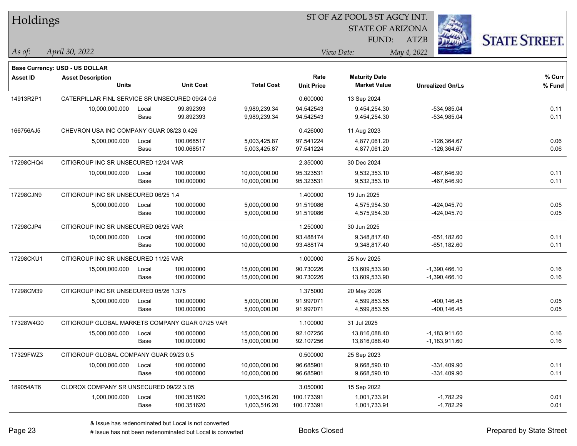| Holdings        |                                                 |       |                  |                   |                   | ST OF AZ POOL 3 ST AGCY INT. |                         |                      |
|-----------------|-------------------------------------------------|-------|------------------|-------------------|-------------------|------------------------------|-------------------------|----------------------|
|                 |                                                 |       |                  |                   |                   | <b>STATE OF ARIZONA</b>      |                         |                      |
|                 |                                                 |       |                  |                   |                   | FUND:                        | <b>ATZB</b>             | <b>STATE STREET.</b> |
| As of:          | April 30, 2022                                  |       |                  |                   |                   | View Date:                   | May 4, 2022             |                      |
|                 | <b>Base Currency: USD - US DOLLAR</b>           |       |                  |                   |                   |                              |                         |                      |
| <b>Asset ID</b> | <b>Asset Description</b>                        |       |                  |                   | Rate              | <b>Maturity Date</b>         |                         | % Curr               |
|                 | <b>Units</b>                                    |       | <b>Unit Cost</b> | <b>Total Cost</b> | <b>Unit Price</b> | <b>Market Value</b>          | <b>Unrealized Gn/Ls</b> | % Fund               |
| 14913R2P1       | CATERPILLAR FINL SERVICE SR UNSECURED 09/24 0.6 |       |                  |                   | 0.600000          | 13 Sep 2024                  |                         |                      |
|                 | 10,000,000.000                                  | Local | 99.892393        | 9,989,239.34      | 94.542543         | 9,454,254.30                 | $-534,985.04$           | 0.11                 |
|                 |                                                 | Base  | 99.892393        | 9,989,239.34      | 94.542543         | 9,454,254.30                 | $-534,985.04$           | 0.11                 |
| 166756AJ5       | CHEVRON USA INC COMPANY GUAR 08/23 0.426        |       |                  |                   | 0.426000          | 11 Aug 2023                  |                         |                      |
|                 | 5,000,000.000                                   | Local | 100.068517       | 5,003,425.87      | 97.541224         | 4,877,061.20                 | $-126,364.67$           | 0.06                 |
|                 |                                                 | Base  | 100.068517       | 5,003,425.87      | 97.541224         | 4,877,061.20                 | $-126,364.67$           | 0.06                 |
| 17298CHQ4       | CITIGROUP INC SR UNSECURED 12/24 VAR            |       |                  |                   | 2.350000          | 30 Dec 2024                  |                         |                      |
|                 | 10,000,000.000                                  | Local | 100.000000       | 10,000,000.00     | 95.323531         | 9,532,353.10                 | -467,646.90             | 0.11                 |
|                 |                                                 | Base  | 100.000000       | 10,000,000.00     | 95.323531         | 9,532,353.10                 | -467,646.90             | 0.11                 |
| 17298CJN9       | CITIGROUP INC SR UNSECURED 06/25 1.4            |       |                  |                   | 1.400000          | 19 Jun 2025                  |                         |                      |
|                 | 5,000,000.000                                   | Local | 100.000000       | 5,000,000.00      | 91.519086         | 4,575,954.30                 | $-424,045.70$           | 0.05                 |
|                 |                                                 | Base  | 100.000000       | 5,000,000.00      | 91.519086         | 4,575,954.30                 | $-424,045.70$           | 0.05                 |
| 17298CJP4       | CITIGROUP INC SR UNSECURED 06/25 VAR            |       |                  |                   | 1.250000          | 30 Jun 2025                  |                         |                      |
|                 | 10,000,000.000                                  | Local | 100.000000       | 10,000,000.00     | 93.488174         | 9,348,817.40                 | $-651,182.60$           | 0.11                 |
|                 |                                                 | Base  | 100.000000       | 10,000,000.00     | 93.488174         | 9,348,817.40                 | $-651,182.60$           | 0.11                 |
| 17298CKU1       | CITIGROUP INC SR UNSECURED 11/25 VAR            |       |                  |                   | 1.000000          | 25 Nov 2025                  |                         |                      |
|                 | 15,000,000.000                                  | Local | 100.000000       | 15,000,000.00     | 90.730226         | 13,609,533.90                | $-1,390,466.10$         | 0.16                 |
|                 |                                                 | Base  | 100.000000       | 15,000,000.00     | 90.730226         | 13,609,533.90                | -1,390,466.10           | 0.16                 |
| 17298CM39       | CITIGROUP INC SR UNSECURED 05/26 1.375          |       |                  |                   | 1.375000          | 20 May 2026                  |                         |                      |
|                 | 5,000,000.000                                   | Local | 100.000000       | 5,000,000.00      | 91.997071         | 4,599,853.55                 | -400,146.45             | 0.05                 |
|                 |                                                 | Base  | 100.000000       | 5,000,000.00      | 91.997071         | 4,599,853.55                 | -400,146.45             | 0.05                 |
| 17328W4G0       | CITIGROUP GLOBAL MARKETS COMPANY GUAR 07/25 VAR |       |                  |                   | 1.100000          | 31 Jul 2025                  |                         |                      |
|                 | 15,000,000.000                                  | Local | 100.000000       | 15,000,000.00     | 92.107256         | 13,816,088.40                | $-1,183,911.60$         | 0.16                 |
|                 |                                                 | Base  | 100.000000       | 15,000,000.00     | 92.107256         | 13,816,088.40                | $-1,183,911.60$         | 0.16                 |
| 17329FWZ3       | CITIGROUP GLOBAL COMPANY GUAR 09/23 0.5         |       |                  |                   | 0.500000          | 25 Sep 2023                  |                         |                      |
|                 | 10,000,000.000                                  | Local | 100.000000       | 10,000,000.00     | 96.685901         | 9,668,590.10                 | $-331,409.90$           | 0.11                 |
|                 |                                                 | Base  | 100.000000       | 10,000,000.00     | 96.685901         | 9,668,590.10                 | $-331,409.90$           | 0.11                 |
| 189054AT6       | CLOROX COMPANY SR UNSECURED 09/22 3.05          |       |                  |                   | 3.050000          | 15 Sep 2022                  |                         |                      |
|                 | 1,000,000.000                                   | Local | 100.351620       | 1,003,516.20      | 100.173391        | 1,001,733.91                 | $-1,782.29$             | 0.01                 |
|                 |                                                 | Base  | 100.351620       | 1,003,516.20      | 100.173391        | 1,001,733.91                 | $-1,782.29$             | 0.01                 |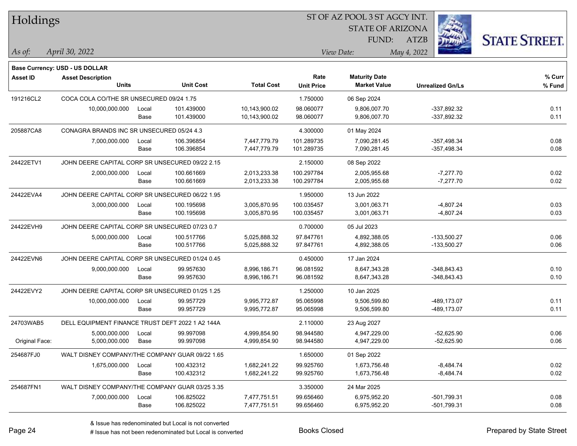| Holdings        |                                                  |       |                  |                   | ST OF AZ POOL 3 ST AGCY INT. |                         |                         |                      |
|-----------------|--------------------------------------------------|-------|------------------|-------------------|------------------------------|-------------------------|-------------------------|----------------------|
|                 |                                                  |       |                  |                   |                              | <b>STATE OF ARIZONA</b> |                         |                      |
|                 |                                                  |       |                  |                   |                              | FUND:                   | <b>ATZB</b>             | <b>STATE STREET.</b> |
| As of:          | April 30, 2022                                   |       |                  |                   |                              | View Date:              | May 4, 2022             |                      |
|                 | <b>Base Currency: USD - US DOLLAR</b>            |       |                  |                   |                              |                         |                         |                      |
| <b>Asset ID</b> | <b>Asset Description</b>                         |       |                  |                   | Rate                         | <b>Maturity Date</b>    |                         | % Curr               |
|                 | <b>Units</b>                                     |       | <b>Unit Cost</b> | <b>Total Cost</b> | <b>Unit Price</b>            | <b>Market Value</b>     | <b>Unrealized Gn/Ls</b> | % Fund               |
| 191216CL2       | COCA COLA CO/THE SR UNSECURED 09/24 1.75         |       |                  |                   | 1.750000                     | 06 Sep 2024             |                         |                      |
|                 | 10,000,000.000                                   | Local | 101.439000       | 10,143,900.02     | 98.060077                    | 9,806,007.70            | -337,892.32             | 0.11                 |
|                 |                                                  | Base  | 101.439000       | 10,143,900.02     | 98.060077                    | 9,806,007.70            | -337,892.32             | 0.11                 |
| 205887CA8       | CONAGRA BRANDS INC SR UNSECURED 05/24 4.3        |       |                  |                   | 4.300000                     | 01 May 2024             |                         |                      |
|                 | 7,000,000.000                                    | Local | 106.396854       | 7,447,779.79      | 101.289735                   | 7,090,281.45            | $-357,498.34$           | 0.08                 |
|                 |                                                  | Base  | 106.396854       | 7,447,779.79      | 101.289735                   | 7,090,281.45            | $-357,498.34$           | 0.08                 |
| 24422ETV1       | JOHN DEERE CAPITAL CORP SR UNSECURED 09/22 2.15  |       |                  |                   | 2.150000                     | 08 Sep 2022             |                         |                      |
|                 | 2,000,000.000                                    | Local | 100.661669       | 2,013,233.38      | 100.297784                   | 2,005,955.68            | $-7,277.70$             | 0.02                 |
|                 |                                                  | Base  | 100.661669       | 2,013,233.38      | 100.297784                   | 2,005,955.68            | $-7,277.70$             | 0.02                 |
| 24422EVA4       | JOHN DEERE CAPITAL CORP SR UNSECURED 06/22 1.95  |       |                  |                   | 1.950000                     | 13 Jun 2022             |                         |                      |
|                 | 3,000,000.000                                    | Local | 100.195698       | 3,005,870.95      | 100.035457                   | 3,001,063.71            | $-4,807.24$             | 0.03                 |
|                 |                                                  | Base  | 100.195698       | 3,005,870.95      | 100.035457                   | 3,001,063.71            | $-4,807.24$             | 0.03                 |
| 24422EVH9       | JOHN DEERE CAPITAL CORP SR UNSECURED 07/23 0.7   |       |                  |                   | 0.700000                     | 05 Jul 2023             |                         |                      |
|                 | 5,000,000.000                                    | Local | 100.517766       | 5,025,888.32      | 97.847761                    | 4,892,388.05            | $-133,500.27$           | 0.06                 |
|                 |                                                  | Base  | 100.517766       | 5,025,888.32      | 97.847761                    | 4,892,388.05            | -133,500.27             | 0.06                 |
| 24422EVN6       | JOHN DEERE CAPITAL CORP SR UNSECURED 01/24 0.45  |       |                  |                   | 0.450000                     | 17 Jan 2024             |                         |                      |
|                 | 9,000,000.000                                    | Local | 99.957630        | 8,996,186.71      | 96.081592                    | 8,647,343.28            | $-348,843.43$           | 0.10                 |
|                 |                                                  | Base  | 99.957630        | 8,996,186.71      | 96.081592                    | 8,647,343.28            | $-348,843.43$           | 0.10                 |
| 24422EVY2       | JOHN DEERE CAPITAL CORP SR UNSECURED 01/25 1.25  |       |                  |                   | 1.250000                     | 10 Jan 2025             |                         |                      |
|                 | 10,000,000.000                                   | Local | 99.957729        | 9,995,772.87      | 95.065998                    | 9,506,599.80            | -489,173.07             | 0.11                 |
|                 |                                                  | Base  | 99.957729        | 9,995,772.87      | 95.065998                    | 9,506,599.80            | -489,173.07             | 0.11                 |
| 24703WAB5       | DELL EQUIPMENT FINANCE TRUST DEFT 2022 1 A2 144A |       |                  |                   | 2.110000                     | 23 Aug 2027             |                         |                      |
|                 | 5,000,000.000                                    | Local | 99.997098        | 4,999,854.90      | 98.944580                    | 4,947,229.00            | $-52,625.90$            | 0.06                 |
| Original Face:  | 5,000,000.000                                    | Base  | 99.997098        | 4,999,854.90      | 98.944580                    | 4,947,229.00            | $-52,625.90$            | 0.06                 |
| 254687FJ0       | WALT DISNEY COMPANY/THE COMPANY GUAR 09/22 1.65  |       |                  |                   | 1.650000                     | 01 Sep 2022             |                         |                      |
|                 | 1,675,000.000                                    | Local | 100.432312       | 1,682,241.22      | 99.925760                    | 1,673,756.48            | $-8,484.74$             | 0.02                 |
|                 |                                                  | Base  | 100.432312       | 1,682,241.22      | 99.925760                    | 1,673,756.48            | $-8,484.74$             | 0.02                 |
| 254687FN1       | WALT DISNEY COMPANY/THE COMPANY GUAR 03/25 3.35  |       |                  |                   | 3.350000                     | 24 Mar 2025             |                         |                      |
|                 | 7,000,000.000                                    | Local | 106.825022       | 7,477,751.51      | 99.656460                    | 6,975,952.20            | -501,799.31             | 0.08                 |
|                 |                                                  | Base  | 106.825022       | 7,477,751.51      | 99.656460                    | 6,975,952.20            | -501,799.31             | 0.08                 |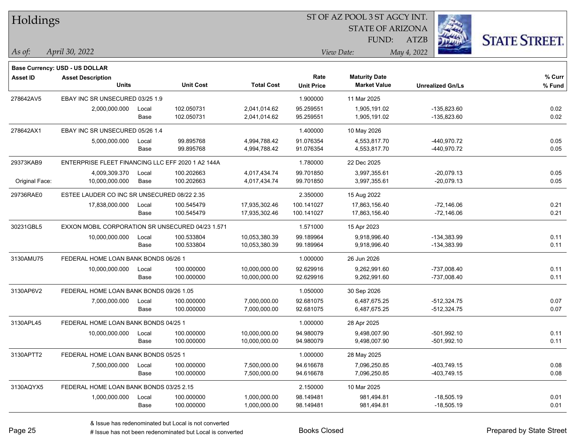| Holdings        |                                                   |       |                  |                   |                   | 51 OF AZ POOL 3 51 AGCY INT.<br><b>STATE OF ARIZONA</b> |                         |                     |
|-----------------|---------------------------------------------------|-------|------------------|-------------------|-------------------|---------------------------------------------------------|-------------------------|---------------------|
|                 |                                                   |       |                  |                   |                   | FUND:                                                   | ATZB                    |                     |
| As of:          | April 30, 2022                                    |       |                  |                   |                   | View Date:                                              | May 4, 2022             | <b>STATE STREET</b> |
|                 | <b>Base Currency: USD - US DOLLAR</b>             |       |                  |                   |                   |                                                         |                         |                     |
| <b>Asset ID</b> | <b>Asset Description</b>                          |       |                  |                   | Rate              | <b>Maturity Date</b>                                    |                         | % Curr              |
|                 | <b>Units</b>                                      |       | <b>Unit Cost</b> | <b>Total Cost</b> | <b>Unit Price</b> | <b>Market Value</b>                                     | <b>Unrealized Gn/Ls</b> | % Fund              |
| 278642AV5       | EBAY INC SR UNSECURED 03/25 1.9                   |       |                  |                   | 1.900000          | 11 Mar 2025                                             |                         |                     |
|                 | 2,000,000.000                                     | Local | 102.050731       | 2,041,014.62      | 95.259551         | 1,905,191.02                                            | $-135,823.60$           | 0.02                |
|                 |                                                   | Base  | 102.050731       | 2,041,014.62      | 95.259551         | 1,905,191.02                                            | $-135,823.60$           | 0.02                |
| 278642AX1       | EBAY INC SR UNSECURED 05/26 1.4                   |       |                  |                   | 1.400000          | 10 May 2026                                             |                         |                     |
|                 | 5,000,000.000                                     | Local | 99.895768        | 4,994,788.42      | 91.076354         | 4,553,817.70                                            | -440,970.72             | 0.05                |
|                 |                                                   | Base  | 99.895768        | 4,994,788.42      | 91.076354         | 4,553,817.70                                            | -440,970.72             | 0.05                |
| 29373KAB9       | ENTERPRISE FLEET FINANCING LLC EFF 2020 1 A2 144A |       |                  |                   | 1.780000          | 22 Dec 2025                                             |                         |                     |
|                 | 4,009,309.370                                     | Local | 100.202663       | 4,017,434.74      | 99.701850         | 3,997,355.61                                            | $-20,079.13$            | 0.05                |
| Original Face:  | 10,000,000.000                                    | Base  | 100.202663       | 4,017,434.74      | 99.701850         | 3,997,355.61                                            | $-20,079.13$            | 0.05                |
| 29736RAE0       | ESTEE LAUDER CO INC SR UNSECURED 08/22 2.35       |       |                  |                   | 2.350000          | 15 Aug 2022                                             |                         |                     |
|                 | 17,838,000.000                                    | Local | 100.545479       | 17,935,302.46     | 100.141027        | 17,863,156.40                                           | $-72,146.06$            | 0.21                |
|                 |                                                   | Base  | 100.545479       | 17,935,302.46     | 100.141027        | 17,863,156.40                                           | $-72,146.06$            | 0.21                |
| 30231GBL5       | EXXON MOBIL CORPORATION SR UNSECURED 04/23 1.571  |       |                  |                   | 1.571000          | 15 Apr 2023                                             |                         |                     |
|                 | 10,000,000.000                                    | Local | 100.533804       | 10,053,380.39     | 99.189964         | 9,918,996.40                                            | $-134,383.99$           | 0.11                |
|                 |                                                   | Base  | 100.533804       | 10,053,380.39     | 99.189964         | 9,918,996.40                                            | $-134,383.99$           | 0.11                |
| 3130AMU75       | FEDERAL HOME LOAN BANK BONDS 06/26 1              |       |                  |                   | 1.000000          | 26 Jun 2026                                             |                         |                     |
|                 | 10,000,000.000                                    | Local | 100.000000       | 10,000,000.00     | 92.629916         | 9,262,991.60                                            | $-737,008.40$           | 0.11                |
|                 |                                                   | Base  | 100.000000       | 10,000,000.00     | 92.629916         | 9,262,991.60                                            | $-737,008.40$           | 0.11                |
| 3130AP6V2       | FEDERAL HOME LOAN BANK BONDS 09/26 1.05           |       |                  |                   | 1.050000          | 30 Sep 2026                                             |                         |                     |
|                 | 7,000,000.000                                     | Local | 100.000000       | 7,000,000.00      | 92.681075         | 6,487,675.25                                            | $-512,324.75$           | 0.07                |
|                 |                                                   | Base  | 100.000000       | 7,000,000.00      | 92.681075         | 6,487,675.25                                            | $-512,324.75$           | 0.07                |
| 3130APL45       | FEDERAL HOME LOAN BANK BONDS 04/25 1              |       |                  |                   | 1.000000          | 28 Apr 2025                                             |                         |                     |
|                 | 10,000,000.000                                    | Local | 100.000000       | 10,000,000.00     | 94.980079         | 9,498,007.90                                            | $-501,992.10$           | 0.11                |
|                 |                                                   | Base  | 100.000000       | 10,000,000.00     | 94.980079         | 9,498,007.90                                            | -501,992.10             | 0.11                |
| 3130APTT2       | FEDERAL HOME LOAN BANK BONDS 05/25 1              |       |                  |                   | 1.000000          | 28 May 2025                                             |                         |                     |
|                 | 7,500,000.000                                     | Local | 100.000000       | 7,500,000.00      | 94.616678         | 7,096,250.85                                            | -403,749.15             | 0.08                |
|                 |                                                   | Base  | 100.000000       | 7,500,000.00      | 94.616678         | 7,096,250.85                                            | $-403,749.15$           | 0.08                |
| 3130AQYX5       | FEDERAL HOME LOAN BANK BONDS 03/25 2.15           |       |                  |                   | 2.150000          | 10 Mar 2025                                             |                         |                     |
|                 | 1,000,000.000                                     | Local | 100.000000       | 1,000,000.00      | 98.149481         | 981,494.81                                              | $-18,505.19$            | 0.01                |
|                 |                                                   | Base  | 100.000000       | 1,000,000.00      | 98.149481         | 981,494.81                                              | $-18,505.19$            | 0.01                |

 $\overline{\text{SUSP}}$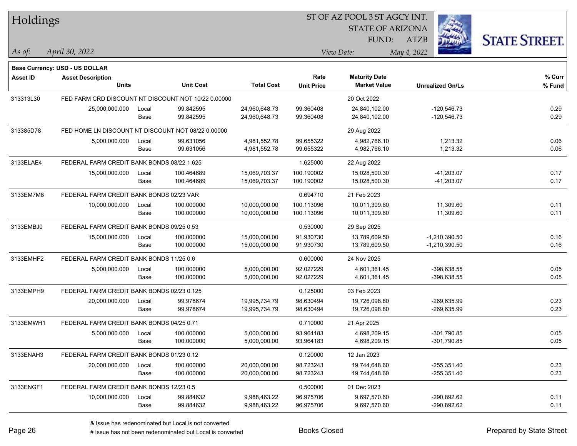| Holdings        |                                                     |               |                        |                                | 51 OF AZ POOL 351 AGCY INT. |                                             |                                |                     |  |  |
|-----------------|-----------------------------------------------------|---------------|------------------------|--------------------------------|-----------------------------|---------------------------------------------|--------------------------------|---------------------|--|--|
|                 |                                                     |               |                        |                                |                             | <b>STATE OF ARIZONA</b>                     | Ż.                             |                     |  |  |
|                 |                                                     |               |                        |                                |                             | <b>FUND:</b>                                | <b>ATZB</b>                    | <b>STATE STREET</b> |  |  |
| As of:          | April 30, 2022                                      |               |                        |                                |                             | View Date:                                  | May 4, 2022                    |                     |  |  |
|                 | <b>Base Currency: USD - US DOLLAR</b>               |               |                        |                                |                             |                                             |                                |                     |  |  |
| <b>Asset ID</b> | <b>Asset Description</b><br><b>Units</b>            |               | <b>Unit Cost</b>       | <b>Total Cost</b>              | Rate<br><b>Unit Price</b>   | <b>Maturity Date</b><br><b>Market Value</b> | <b>Unrealized Gn/Ls</b>        | % Curr<br>% Fund    |  |  |
|                 |                                                     |               |                        |                                |                             |                                             |                                |                     |  |  |
| 313313L30       | FED FARM CRD DISCOUNT NT DISCOUNT NOT 10/22 0.00000 |               |                        |                                |                             | 20 Oct 2022                                 |                                |                     |  |  |
|                 | 25,000,000.000                                      | Local<br>Base | 99.842595<br>99.842595 | 24,960,648.73<br>24,960,648.73 | 99.360408<br>99.360408      | 24,840,102.00<br>24,840,102.00              | $-120,546.73$<br>$-120,546.73$ | 0.29<br>0.29        |  |  |
|                 |                                                     |               |                        |                                |                             |                                             |                                |                     |  |  |
| 313385D78       | FED HOME LN DISCOUNT NT DISCOUNT NOT 08/22 0.00000  |               |                        |                                |                             | 29 Aug 2022                                 |                                |                     |  |  |
|                 | 5,000,000.000                                       | Local         | 99.631056              | 4,981,552.78                   | 99.655322                   | 4,982,766.10                                | 1,213.32                       | 0.06                |  |  |
|                 |                                                     | Base          | 99.631056              | 4,981,552.78                   | 99.655322                   | 4,982,766.10                                | 1,213.32                       | 0.06                |  |  |
| 3133ELAE4       | FEDERAL FARM CREDIT BANK BONDS 08/22 1.625          |               |                        |                                | 1.625000                    | 22 Aug 2022                                 |                                |                     |  |  |
|                 | 15,000,000.000                                      | Local         | 100.464689             | 15,069,703.37                  | 100.190002                  | 15,028,500.30                               | $-41,203.07$                   | 0.17                |  |  |
|                 |                                                     | Base          | 100.464689             | 15,069,703.37                  | 100.190002                  | 15,028,500.30                               | $-41,203.07$                   | 0.17                |  |  |
| 3133EM7M8       | FEDERAL FARM CREDIT BANK BONDS 02/23 VAR            |               |                        |                                | 0.694710                    | 21 Feb 2023                                 |                                |                     |  |  |
|                 | 10,000,000.000                                      | Local         | 100.000000             | 10,000,000.00                  | 100.113096                  | 10,011,309.60                               | 11,309.60                      | 0.11                |  |  |
|                 |                                                     | Base          | 100.000000             | 10,000,000.00                  | 100.113096                  | 10,011,309.60                               | 11,309.60                      | 0.11                |  |  |
| 3133EMBJ0       | FEDERAL FARM CREDIT BANK BONDS 09/25 0.53           |               |                        |                                | 0.530000                    | 29 Sep 2025                                 |                                |                     |  |  |
|                 | 15,000,000.000                                      | Local         | 100.000000             | 15,000,000.00                  | 91.930730                   | 13,789,609.50                               | $-1,210,390.50$                | 0.16                |  |  |
|                 |                                                     | Base          | 100.000000             | 15,000,000.00                  | 91.930730                   | 13,789,609.50                               | $-1,210,390.50$                | 0.16                |  |  |
| 3133EMHF2       | FEDERAL FARM CREDIT BANK BONDS 11/25 0.6            |               |                        |                                | 0.600000                    | 24 Nov 2025                                 |                                |                     |  |  |
|                 | 5,000,000.000                                       | Local         | 100.000000             | 5,000,000.00                   | 92.027229                   | 4,601,361.45                                | $-398,638.55$                  | 0.05                |  |  |
|                 |                                                     | Base          | 100.000000             | 5,000,000.00                   | 92.027229                   | 4,601,361.45                                | $-398,638.55$                  | 0.05                |  |  |
| 3133EMPH9       | FEDERAL FARM CREDIT BANK BONDS 02/23 0.125          |               |                        |                                | 0.125000                    | 03 Feb 2023                                 |                                |                     |  |  |
|                 | 20,000,000.000                                      | Local         | 99.978674              | 19,995,734.79                  | 98.630494                   | 19,726,098.80                               | $-269,635.99$                  | 0.23                |  |  |
|                 |                                                     | Base          | 99.978674              | 19,995,734.79                  | 98.630494                   | 19,726,098.80                               | $-269,635.99$                  | 0.23                |  |  |
| 3133EMWH1       | FEDERAL FARM CREDIT BANK BONDS 04/25 0.71           |               |                        |                                | 0.710000                    | 21 Apr 2025                                 |                                |                     |  |  |
|                 | 5,000,000.000                                       | Local         | 100.000000             | 5,000,000.00                   | 93.964183                   | 4,698,209.15                                | $-301,790.85$                  | 0.05                |  |  |
|                 |                                                     | Base          | 100.000000             | 5,000,000.00                   | 93.964183                   | 4,698,209.15                                | -301,790.85                    | 0.05                |  |  |
| 3133ENAH3       | FEDERAL FARM CREDIT BANK BONDS 01/23 0.12           |               |                        |                                | 0.120000                    | 12 Jan 2023                                 |                                |                     |  |  |
|                 | 20,000,000.000                                      | Local         | 100.000000             | 20,000,000.00                  | 98.723243                   | 19,744,648.60                               | $-255,351.40$                  | 0.23                |  |  |
|                 |                                                     | Base          | 100.000000             | 20,000,000.00                  | 98.723243                   | 19,744,648.60                               | $-255,351.40$                  | 0.23                |  |  |
| 3133ENGF1       | FEDERAL FARM CREDIT BANK BONDS 12/23 0.5            |               |                        |                                | 0.500000                    | 01 Dec 2023                                 |                                |                     |  |  |
|                 | 10,000,000.000                                      | Local         | 99.884632              | 9,988,463.22                   | 96.975706                   | 9,697,570.60                                | -290,892.62                    | 0.11                |  |  |
|                 |                                                     | Base          | 99.884632              | 9,988,463.22                   | 96.975706                   | 9,697,570.60                                | -290,892.62                    | 0.11                |  |  |

 $\overline{S}$   $\overline{S}$   $\overline{S}$   $\overline{S}$   $\overline{S}$   $\overline{S}$   $\overline{S}$   $\overline{S}$   $\overline{S}$   $\overline{S}$   $\overline{S}$   $\overline{S}$   $\overline{S}$   $\overline{S}$   $\overline{S}$   $\overline{S}$   $\overline{S}$   $\overline{S}$   $\overline{S}$   $\overline{S}$   $\overline{S}$   $\overline{S}$   $\overline{S}$   $\overline{S}$   $\overline{$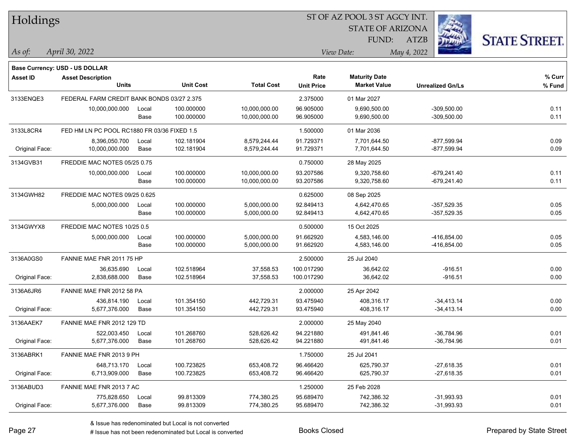| Holdings        |                                             |       |                  |                   | 51 OF AZ POOL 3 51 AGCY INT. |                         |                         |                     |
|-----------------|---------------------------------------------|-------|------------------|-------------------|------------------------------|-------------------------|-------------------------|---------------------|
|                 |                                             |       |                  |                   |                              | <b>STATE OF ARIZONA</b> | Ź.                      |                     |
|                 |                                             |       |                  |                   |                              | FUND:                   | <b>ATZB</b>             | <b>STATE STREET</b> |
| $As$ of:        | April 30, 2022                              |       |                  |                   |                              | View Date:              | May 4, 2022             |                     |
|                 |                                             |       |                  |                   |                              |                         |                         |                     |
|                 | Base Currency: USD - US DOLLAR              |       |                  |                   |                              |                         |                         |                     |
| <b>Asset ID</b> | <b>Asset Description</b>                    |       |                  |                   | Rate                         | <b>Maturity Date</b>    |                         | % Curr              |
|                 | <b>Units</b>                                |       | <b>Unit Cost</b> | <b>Total Cost</b> | <b>Unit Price</b>            | <b>Market Value</b>     | <b>Unrealized Gn/Ls</b> | % Fund              |
| 3133ENQE3       | FEDERAL FARM CREDIT BANK BONDS 03/27 2.375  |       |                  |                   | 2.375000                     | 01 Mar 2027             |                         |                     |
|                 | 10,000,000.000                              | Local | 100.000000       | 10,000,000.00     | 96.905000                    | 9,690,500.00            | $-309,500.00$           | 0.11                |
|                 |                                             | Base  | 100.000000       | 10,000,000.00     | 96.905000                    | 9,690,500.00            | $-309,500.00$           | 0.11                |
| 3133L8CR4       | FED HM LN PC POOL RC1880 FR 03/36 FIXED 1.5 |       |                  |                   | 1.500000                     | 01 Mar 2036             |                         |                     |
|                 | 8,396,050.700                               | Local | 102.181904       | 8,579,244.44      | 91.729371                    | 7,701,644.50            | $-877,599.94$           | 0.09                |
| Original Face:  | 10,000,000.000                              | Base  | 102.181904       | 8,579,244.44      | 91.729371                    | 7,701,644.50            | $-877,599.94$           | 0.09                |
| 3134GVB31       | FREDDIE MAC NOTES 05/25 0.75                |       |                  |                   | 0.750000                     | 28 May 2025             |                         |                     |
|                 | 10,000,000.000                              | Local | 100.000000       | 10,000,000.00     | 93.207586                    | 9,320,758.60            | $-679,241.40$           | 0.11                |
|                 |                                             | Base  | 100.000000       | 10,000,000.00     | 93.207586                    | 9,320,758.60            | $-679,241.40$           | 0.11                |
| 3134GWH82       | FREDDIE MAC NOTES 09/25 0.625               |       |                  |                   | 0.625000                     | 08 Sep 2025             |                         |                     |
|                 | 5,000,000.000                               | Local | 100.000000       | 5,000,000.00      | 92.849413                    | 4,642,470.65            | $-357,529.35$           | 0.05                |
|                 |                                             | Base  | 100.000000       | 5,000,000.00      | 92.849413                    | 4,642,470.65            | $-357,529.35$           | 0.05                |
| 3134GWYX8       | FREDDIE MAC NOTES 10/25 0.5                 |       |                  |                   | 0.500000                     | 15 Oct 2025             |                         |                     |
|                 | 5,000,000.000                               | Local | 100.000000       | 5,000,000.00      | 91.662920                    | 4,583,146.00            | $-416,854.00$           | 0.05                |
|                 |                                             | Base  | 100.000000       | 5,000,000.00      | 91.662920                    | 4,583,146.00            | -416,854.00             | 0.05                |
| 3136A0GS0       | FANNIE MAE FNR 2011 75 HP                   |       |                  |                   | 2.500000                     | 25 Jul 2040             |                         |                     |
|                 | 36,635.690                                  | Local | 102.518964       | 37,558.53         | 100.017290                   | 36,642.02               | $-916.51$               | 0.00                |
| Original Face:  | 2,838,688.000                               | Base  | 102.518964       | 37,558.53         | 100.017290                   | 36,642.02               | $-916.51$               | 0.00                |
| 3136A6JR6       | FANNIE MAE FNR 2012 58 PA                   |       |                  |                   | 2.000000                     | 25 Apr 2042             |                         |                     |
|                 | 436,814.190                                 | Local | 101.354150       | 442,729.31        | 93.475940                    | 408,316.17              | $-34,413.14$            | 0.00                |
| Original Face:  | 5,677,376.000                               | Base  | 101.354150       | 442,729.31        | 93.475940                    | 408,316.17              | $-34,413.14$            | 0.00                |
| 3136AAEK7       | FANNIE MAE FNR 2012 129 TD                  |       |                  |                   | 2.000000                     | 25 May 2040             |                         |                     |
|                 | 522,003.450                                 | Local | 101.268760       | 528,626.42        | 94.221880                    | 491,841.46              | $-36,784.96$            | 0.01                |
| Original Face:  | 5,677,376.000                               | Base  | 101.268760       | 528,626.42        | 94.221880                    | 491,841.46              | -36,784.96              | 0.01                |
| 3136ABRK1       | FANNIE MAE FNR 2013 9 PH                    |       |                  |                   | 1.750000                     | 25 Jul 2041             |                         |                     |
|                 | 648,713.170                                 | Local | 100.723825       | 653,408.72        | 96.466420                    | 625,790.37              | $-27,618.35$            | 0.01                |
| Original Face:  | 6,713,909.000                               | Base  | 100.723825       | 653,408.72        | 96.466420                    | 625,790.37              | $-27,618.35$            | 0.01                |
| 3136ABUD3       | FANNIE MAE FNR 2013 7 AC                    |       |                  |                   | 1.250000                     | 25 Feb 2028             |                         |                     |
|                 | 775,828.650                                 | Local | 99.813309        | 774,380.25        | 95.689470                    | 742,386.32              | $-31,993.93$            | 0.01                |
| Original Face:  | 5,677,376.000                               | Base  | 99.813309        | 774,380.25        | 95.689470                    | 742,386.32              | $-31,993.93$            | 0.01                |

 $STOTAT$   $17 DOOT$  3  $ST A GOX$  INT.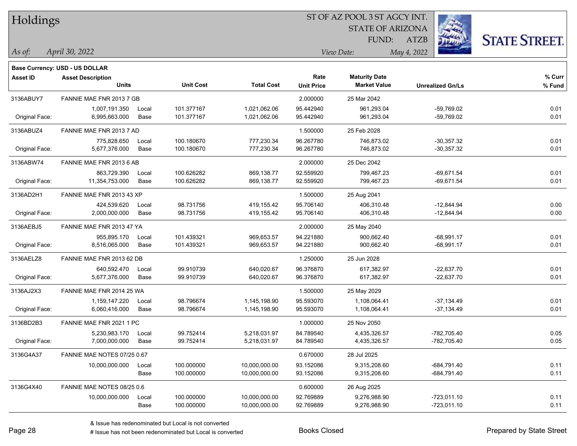| Holdings        |                                       |       |                  | ST OF AZ POOL 3 ST AGCY INT. |                   |                         |                         |                      |  |  |  |
|-----------------|---------------------------------------|-------|------------------|------------------------------|-------------------|-------------------------|-------------------------|----------------------|--|--|--|
|                 |                                       |       |                  |                              |                   | <b>STATE OF ARIZONA</b> |                         |                      |  |  |  |
|                 |                                       |       |                  |                              |                   | <b>FUND:</b>            | <b>ATZB</b>             | <b>STATE STREET.</b> |  |  |  |
| $\vert$ As of:  | April 30, 2022                        |       |                  |                              |                   | View Date:              | May 4, 2022             |                      |  |  |  |
|                 | <b>Base Currency: USD - US DOLLAR</b> |       |                  |                              |                   |                         |                         |                      |  |  |  |
| <b>Asset ID</b> | <b>Asset Description</b>              |       |                  |                              | Rate              | <b>Maturity Date</b>    |                         | % Curr               |  |  |  |
|                 | <b>Units</b>                          |       | <b>Unit Cost</b> | <b>Total Cost</b>            | <b>Unit Price</b> | <b>Market Value</b>     | <b>Unrealized Gn/Ls</b> | $%$ Fund             |  |  |  |
| 3136ABUY7       | FANNIE MAE FNR 2013 7 GB              |       |                  |                              | 2.000000          | 25 Mar 2042             |                         |                      |  |  |  |
|                 | 1,007,191.350                         | Local | 101.377167       | 1,021,062.06                 | 95.442940         | 961,293.04              | $-59,769.02$            | 0.01                 |  |  |  |
| Original Face:  | 6,995,663.000                         | Base  | 101.377167       | 1,021,062.06                 | 95.442940         | 961,293.04              | $-59,769.02$            | 0.01                 |  |  |  |
| 3136ABUZ4       | FANNIE MAE FNR 2013 7 AD              |       |                  |                              | 1.500000          | 25 Feb 2028             |                         |                      |  |  |  |
|                 | 775,828.650                           | Local | 100.180670       | 777,230.34                   | 96.267780         | 746,873.02              | $-30,357.32$            | 0.01                 |  |  |  |
| Original Face:  | 5,677,376.000                         | Base  | 100.180670       | 777,230.34                   | 96.267780         | 746,873.02              | $-30,357.32$            | 0.01                 |  |  |  |
| 3136ABW74       | FANNIE MAE FNR 2013 6 AB              |       |                  |                              | 2.000000          | 25 Dec 2042             |                         |                      |  |  |  |
|                 | 863,729.390                           | Local | 100.626282       | 869,138.77                   | 92.559920         | 799,467.23              | $-69,671.54$            | 0.01                 |  |  |  |
| Original Face:  | 11,354,753.000                        | Base  | 100.626282       | 869,138.77                   | 92.559920         | 799,467.23              | $-69,671.54$            | 0.01                 |  |  |  |
| 3136AD2H1       | FANNIE MAE FNR 2013 43 XP             |       |                  |                              | 1.500000          | 25 Aug 2041             |                         |                      |  |  |  |
|                 | 424,539.620                           | Local | 98.731756        | 419,155.42                   | 95.706140         | 406,310.48              | $-12,844.94$            | 0.00                 |  |  |  |
| Original Face:  | 2,000,000.000                         | Base  | 98.731756        | 419,155.42                   | 95.706140         | 406,310.48              | $-12,844.94$            | 0.00                 |  |  |  |
| 3136AEBJ5       | FANNIE MAE FNR 2013 47 YA             |       |                  |                              | 2.000000          | 25 May 2040             |                         |                      |  |  |  |
|                 | 955,895.170                           | Local | 101.439321       | 969,653.57                   | 94.221880         | 900,662.40              | $-68,991.17$            | 0.01                 |  |  |  |
| Original Face:  | 8,516,065.000                         | Base  | 101.439321       | 969,653.57                   | 94.221880         | 900,662.40              | $-68,991.17$            | 0.01                 |  |  |  |
| 3136AELZ8       | FANNIE MAE FNR 2013 62 DB             |       |                  |                              | 1.250000          | 25 Jun 2028             |                         |                      |  |  |  |
|                 | 640,592.470                           | Local | 99.910739        | 640,020.67                   | 96.376870         | 617,382.97              | $-22,637.70$            | 0.01                 |  |  |  |
| Original Face:  | 5,677,376.000                         | Base  | 99.910739        | 640,020.67                   | 96.376870         | 617,382.97              | $-22,637.70$            | 0.01                 |  |  |  |
| 3136AJ2X3       | FANNIE MAE FNR 2014 25 WA             |       |                  |                              | 1.500000          | 25 May 2029             |                         |                      |  |  |  |
|                 | 1,159,147.220                         | Local | 98.796674        | 1,145,198.90                 | 95.593070         | 1,108,064.41            | $-37,134.49$            | 0.01                 |  |  |  |
| Original Face:  | 6,060,416.000                         | Base  | 98.796674        | 1,145,198.90                 | 95.593070         | 1,108,064.41            | -37,134.49              | 0.01                 |  |  |  |
| 3136BD2B3       | FANNIE MAE FNR 2021 1 PC              |       |                  |                              | 1.000000          | 25 Nov 2050             |                         |                      |  |  |  |
|                 | 5,230,983.170                         | Local | 99.752414        | 5,218,031.97                 | 84.789540         | 4,435,326.57            | -782,705.40             | 0.05                 |  |  |  |
| Original Face:  | 7,000,000.000                         | Base  | 99.752414        | 5,218,031.97                 | 84.789540         | 4,435,326.57            | -782,705.40             | 0.05                 |  |  |  |
| 3136G4A37       | FANNIE MAE NOTES 07/25 0.67           |       |                  |                              | 0.670000          | 28 Jul 2025             |                         |                      |  |  |  |
|                 | 10,000,000.000                        | Local | 100.000000       | 10,000,000.00                | 93.152086         | 9,315,208.60            | $-684,791.40$           | 0.11                 |  |  |  |
|                 |                                       | Base  | 100.000000       | 10,000,000.00                | 93.152086         | 9,315,208.60            | $-684,791.40$           | 0.11                 |  |  |  |
| 3136G4X40       | FANNIE MAE NOTES 08/25 0.6            |       |                  |                              | 0.600000          | 26 Aug 2025             |                         |                      |  |  |  |
|                 | 10,000,000.000                        | Local | 100.000000       | 10,000,000.00                | 92.769889         | 9,276,988.90            | $-723,011.10$           | 0.11                 |  |  |  |
|                 |                                       | Base  | 100.000000       | 10,000,000.00                | 92.769889         | 9,276,988.90            | $-723,011.10$           | 0.11                 |  |  |  |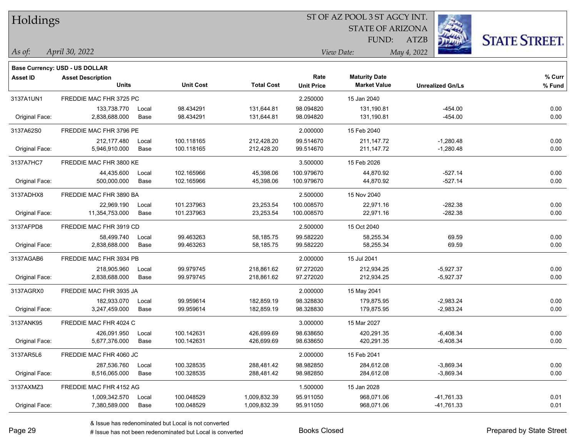| Holdings        |                                       |       |                  | ST OF AZ POOL 3 ST AGCY INT. |                   |                         |                         |                      |  |  |
|-----------------|---------------------------------------|-------|------------------|------------------------------|-------------------|-------------------------|-------------------------|----------------------|--|--|
|                 |                                       |       |                  |                              |                   | <b>STATE OF ARIZONA</b> |                         |                      |  |  |
|                 |                                       |       |                  |                              |                   | FUND:                   | <b>ATZB</b>             | <b>STATE STREET.</b> |  |  |
| As of:          | April 30, 2022                        |       |                  |                              | View Date:        |                         | May 4, 2022             |                      |  |  |
|                 | <b>Base Currency: USD - US DOLLAR</b> |       |                  |                              |                   |                         |                         |                      |  |  |
| <b>Asset ID</b> | <b>Asset Description</b>              |       |                  |                              | Rate              | <b>Maturity Date</b>    |                         | % Curr               |  |  |
|                 | <b>Units</b>                          |       | <b>Unit Cost</b> | <b>Total Cost</b>            | <b>Unit Price</b> | <b>Market Value</b>     | <b>Unrealized Gn/Ls</b> | % Fund               |  |  |
| 3137A1UN1       | FREDDIE MAC FHR 3725 PC               |       |                  |                              | 2.250000          | 15 Jan 2040             |                         |                      |  |  |
|                 | 133,738.770                           | Local | 98.434291        | 131,644.81                   | 98.094820         | 131,190.81              | $-454.00$               | 0.00                 |  |  |
| Original Face:  | 2,838,688.000                         | Base  | 98.434291        | 131,644.81                   | 98.094820         | 131,190.81              | $-454.00$               | 0.00                 |  |  |
| 3137A62S0       | FREDDIE MAC FHR 3796 PE               |       |                  |                              | 2.000000          | 15 Feb 2040             |                         |                      |  |  |
|                 | 212,177.480                           | Local | 100.118165       | 212,428.20                   | 99.514670         | 211, 147. 72            | $-1,280.48$             | 0.00                 |  |  |
| Original Face:  | 5,946,910.000                         | Base  | 100.118165       | 212,428.20                   | 99.514670         | 211, 147. 72            | $-1,280.48$             | 0.00                 |  |  |
| 3137A7HC7       | FREDDIE MAC FHR 3800 KE               |       |                  |                              | 3.500000          | 15 Feb 2026             |                         |                      |  |  |
|                 | 44,435.600                            | Local | 102.165966       | 45,398.06                    | 100.979670        | 44,870.92               | $-527.14$               | 0.00                 |  |  |
| Original Face:  | 500,000.000                           | Base  | 102.165966       | 45,398.06                    | 100.979670        | 44,870.92               | $-527.14$               | 0.00                 |  |  |
| 3137ADHX8       | FREDDIE MAC FHR 3890 BA               |       |                  |                              | 2.500000          | 15 Nov 2040             |                         |                      |  |  |
|                 | 22.969.190                            | Local | 101.237963       | 23,253.54                    | 100.008570        | 22,971.16               | $-282.38$               | 0.00                 |  |  |
| Original Face:  | 11,354,753.000                        | Base  | 101.237963       | 23,253.54                    | 100.008570        | 22,971.16               | $-282.38$               | 0.00                 |  |  |
| 3137AFPD8       | FREDDIE MAC FHR 3919 CD               |       |                  |                              | 2.500000          | 15 Oct 2040             |                         |                      |  |  |
|                 | 58,499.740                            | Local | 99.463263        | 58,185.75                    | 99.582220         | 58,255.34               | 69.59                   | 0.00                 |  |  |
| Original Face:  | 2,838,688.000                         | Base  | 99.463263        | 58,185.75                    | 99.582220         | 58,255.34               | 69.59                   | 0.00                 |  |  |
| 3137AGAB6       | FREDDIE MAC FHR 3934 PB               |       |                  |                              | 2.000000          | 15 Jul 2041             |                         |                      |  |  |
|                 | 218,905.960                           | Local | 99.979745        | 218,861.62                   | 97.272020         | 212,934.25              | $-5,927.37$             | 0.00                 |  |  |
| Original Face:  | 2,838,688.000                         | Base  | 99.979745        | 218,861.62                   | 97.272020         | 212,934.25              | $-5,927.37$             | 0.00                 |  |  |
| 3137AGRX0       | FREDDIE MAC FHR 3935 JA               |       |                  |                              | 2.000000          | 15 May 2041             |                         |                      |  |  |
|                 | 182,933.070                           | Local | 99.959614        | 182,859.19                   | 98.328830         | 179,875.95              | $-2,983.24$             | 0.00                 |  |  |
| Original Face:  | 3,247,459.000                         | Base  | 99.959614        | 182,859.19                   | 98.328830         | 179,875.95              | $-2,983.24$             | 0.00                 |  |  |
| 3137ANK95       | FREDDIE MAC FHR 4024 C                |       |                  |                              | 3.000000          | 15 Mar 2027             |                         |                      |  |  |
|                 | 426,091.950                           | Local | 100.142631       | 426,699.69                   | 98.638650         | 420,291.35              | $-6,408.34$             | 0.00                 |  |  |
| Original Face:  | 5,677,376.000                         | Base  | 100.142631       | 426,699.69                   | 98.638650         | 420,291.35              | $-6,408.34$             | 0.00                 |  |  |
| 3137AR5L6       | FREDDIE MAC FHR 4060 JC               |       |                  |                              | 2.000000          | 15 Feb 2041             |                         |                      |  |  |
|                 | 287,536.760                           | Local | 100.328535       | 288,481.42                   | 98.982850         | 284,612.08              | $-3,869.34$             | 0.00                 |  |  |
| Original Face:  | 8,516,065.000                         | Base  | 100.328535       | 288,481.42                   | 98.982850         | 284,612.08              | $-3,869.34$             | 0.00                 |  |  |
| 3137AXMZ3       | FREDDIE MAC FHR 4152 AG               |       |                  |                              | 1.500000          | 15 Jan 2028             |                         |                      |  |  |
|                 | 1,009,342.570                         | Local | 100.048529       | 1,009,832.39                 | 95.911050         | 968,071.06              | $-41,761.33$            | 0.01                 |  |  |
| Original Face:  | 7,380,589.000                         | Base  | 100.048529       | 1,009,832.39                 | 95.911050         | 968,071.06              | $-41,761.33$            | 0.01                 |  |  |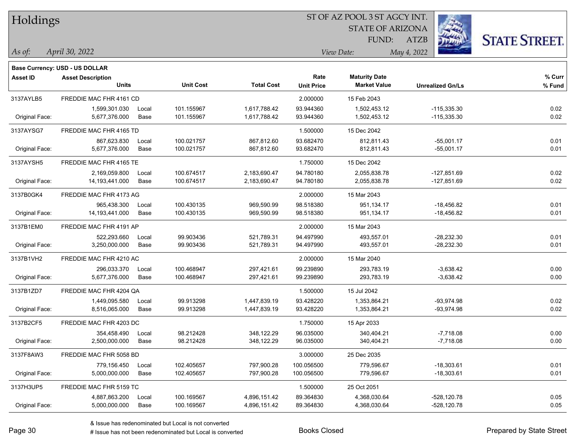| Holdings        |                                   |       |                  |                   |                   | ST OF AZ POOL 3 ST AGCY INT.                |                         |                      |
|-----------------|-----------------------------------|-------|------------------|-------------------|-------------------|---------------------------------------------|-------------------------|----------------------|
|                 |                                   |       |                  |                   |                   | <b>STATE OF ARIZONA</b>                     |                         |                      |
|                 |                                   |       |                  |                   |                   | FUND:                                       | ATZB                    | <b>STATE STREET.</b> |
| As of:          | April 30, 2022                    |       |                  |                   |                   | View Date:                                  | May 4, 2022             |                      |
|                 | Base Currency: USD - US DOLLAR    |       |                  |                   |                   |                                             |                         |                      |
| <b>Asset ID</b> | <b>Asset Description</b><br>Units |       | <b>Unit Cost</b> | <b>Total Cost</b> | Rate              | <b>Maturity Date</b><br><b>Market Value</b> |                         | % Curr               |
|                 |                                   |       |                  |                   | <b>Unit Price</b> |                                             | <b>Unrealized Gn/Ls</b> | % Fund               |
| 3137AYLB5       | FREDDIE MAC FHR 4161 CD           |       |                  |                   | 2.000000          | 15 Feb 2043                                 |                         |                      |
|                 | 1,599,301.030                     | Local | 101.155967       | 1,617,788.42      | 93.944360         | 1,502,453.12                                | $-115,335.30$           | 0.02                 |
| Original Face:  | 5,677,376.000                     | Base  | 101.155967       | 1,617,788.42      | 93.944360         | 1,502,453.12                                | $-115,335.30$           | 0.02                 |
| 3137AYSG7       | FREDDIE MAC FHR 4165 TD           |       |                  |                   | 1.500000          | 15 Dec 2042                                 |                         |                      |
|                 | 867,623.830                       | Local | 100.021757       | 867,812.60        | 93.682470         | 812,811.43                                  | $-55,001.17$            | 0.01                 |
| Original Face:  | 5,677,376.000                     | Base  | 100.021757       | 867,812.60        | 93.682470         | 812,811.43                                  | $-55,001.17$            | 0.01                 |
| 3137AYSH5       | FREDDIE MAC FHR 4165 TE           |       |                  |                   | 1.750000          | 15 Dec 2042                                 |                         |                      |
|                 | 2,169,059.800                     | Local | 100.674517       | 2,183,690.47      | 94.780180         | 2,055,838.78                                | $-127,851.69$           | 0.02                 |
| Original Face:  | 14, 193, 441.000                  | Base  | 100.674517       | 2,183,690.47      | 94.780180         | 2,055,838.78                                | $-127,851.69$           | 0.02                 |
| 3137B0GK4       | FREDDIE MAC FHR 4173 AG           |       |                  |                   | 2.000000          | 15 Mar 2043                                 |                         |                      |
|                 | 965,438.300                       | Local | 100.430135       | 969,590.99        | 98.518380         | 951,134.17                                  | $-18,456.82$            | 0.01                 |
| Original Face:  | 14,193,441.000                    | Base  | 100.430135       | 969,590.99        | 98.518380         | 951,134.17                                  | $-18,456.82$            | 0.01                 |
| 3137B1EM0       | FREDDIE MAC FHR 4191 AP           |       |                  |                   | 2.000000          | 15 Mar 2043                                 |                         |                      |
|                 | 522,293.660                       | Local | 99.903436        | 521,789.31        | 94.497990         | 493,557.01                                  | $-28,232.30$            | 0.01                 |
| Original Face:  | 3,250,000.000                     | Base  | 99.903436        | 521,789.31        | 94.497990         | 493,557.01                                  | $-28,232.30$            | 0.01                 |
| 3137B1VH2       | FREDDIE MAC FHR 4210 AC           |       |                  |                   | 2.000000          | 15 Mar 2040                                 |                         |                      |
|                 | 296,033.370                       | Local | 100.468947       | 297,421.61        | 99.239890         | 293,783.19                                  | $-3,638.42$             | 0.00                 |
| Original Face:  | 5,677,376.000                     | Base  | 100.468947       | 297,421.61        | 99.239890         | 293,783.19                                  | $-3,638.42$             | 0.00                 |
| 3137B1ZD7       | FREDDIE MAC FHR 4204 QA           |       |                  |                   | 1.500000          | 15 Jul 2042                                 |                         |                      |
|                 | 1,449,095.580                     | Local | 99.913298        | 1,447,839.19      | 93.428220         | 1,353,864.21                                | $-93,974.98$            | 0.02                 |
| Original Face:  | 8,516,065.000                     | Base  | 99.913298        | 1,447,839.19      | 93.428220         | 1,353,864.21                                | -93,974.98              | 0.02                 |
| 3137B2CF5       | FREDDIE MAC FHR 4203 DC           |       |                  |                   | 1.750000          | 15 Apr 2033                                 |                         |                      |
|                 | 354,458.490                       | Local | 98.212428        | 348,122.29        | 96.035000         | 340,404.21                                  | $-7,718.08$             | 0.00                 |
| Original Face:  | 2,500,000.000                     | Base  | 98.212428        | 348,122.29        | 96.035000         | 340,404.21                                  | $-7,718.08$             | 0.00                 |
| 3137F8AW3       | FREDDIE MAC FHR 5058 BD           |       |                  |                   | 3.000000          | 25 Dec 2035                                 |                         |                      |
|                 | 779,156.450                       | Local | 102.405657       | 797,900.28        | 100.056500        | 779,596.67                                  | $-18,303.61$            | 0.01                 |
| Original Face:  | 5,000,000.000                     | Base  | 102.405657       | 797,900.28        | 100.056500        | 779,596.67                                  | $-18,303.61$            | 0.01                 |
| 3137H3UP5       | FREDDIE MAC FHR 5159 TC           |       |                  |                   | 1.500000          | 25 Oct 2051                                 |                         |                      |
|                 | 4,887,863.200                     | Local | 100.169567       | 4,896,151.42      | 89.364830         | 4,368,030.64                                | $-528,120.78$           | 0.05                 |
| Original Face:  | 5,000,000.000                     | Base  | 100.169567       | 4,896,151.42      | 89.364830         | 4,368,030.64                                | -528,120.78             | 0.05                 |

 $\overline{\phantom{0}}$ 

 $\overline{\phantom{a}}$ 

 $\overline{\phantom{0}}$ 

 $\overline{\phantom{0}}$ 

 $\overline{\phantom{0}}$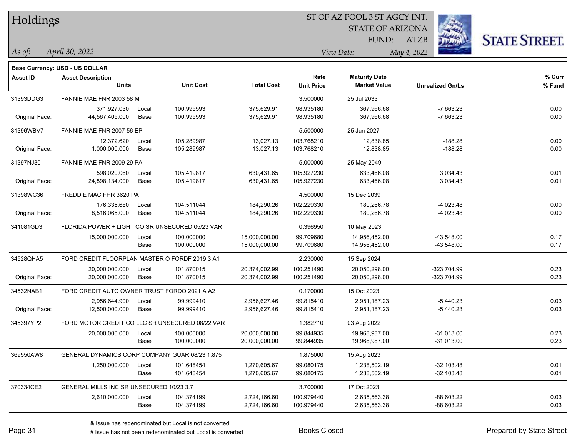| Holdings |  |
|----------|--|
|----------|--|

### ST OF AZ POOL 3 ST AGCY INT.

STATE OF ARIZONA FUND:



*April 30, 2022 As of: View Date: May 4, 2022*

**Base Currency: USD - US DOLLAR**

ATZB

| Asset ID       | <b>Asset Description</b>                        |       |                  |                   | Rate              | <b>Maturity Date</b> |                         | % Curr |
|----------------|-------------------------------------------------|-------|------------------|-------------------|-------------------|----------------------|-------------------------|--------|
|                | <b>Units</b>                                    |       | <b>Unit Cost</b> | <b>Total Cost</b> | <b>Unit Price</b> | <b>Market Value</b>  | <b>Unrealized Gn/Ls</b> | % Fund |
| 31393DDG3      | FANNIE MAE FNR 2003 58 M                        |       |                  |                   | 3.500000          | 25 Jul 2033          |                         |        |
|                | 371,927.030                                     | Local | 100.995593       | 375,629.91        | 98.935180         | 367,966.68           | $-7,663.23$             | 0.00   |
| Original Face: | 44,567,405.000                                  | Base  | 100.995593       | 375,629.91        | 98.935180         | 367,966.68           | $-7,663.23$             | 0.00   |
| 31396WBV7      | FANNIE MAE FNR 2007 56 EP                       |       |                  |                   | 5.500000          | 25 Jun 2027          |                         |        |
|                | 12,372.620                                      | Local | 105.289987       | 13,027.13         | 103.768210        | 12,838.85            | $-188.28$               | 0.00   |
| Original Face: | 1,000,000.000                                   | Base  | 105.289987       | 13,027.13         | 103.768210        | 12,838.85            | $-188.28$               | 0.00   |
| 31397NJ30      | FANNIE MAE FNR 2009 29 PA                       |       |                  |                   | 5.000000          | 25 May 2049          |                         |        |
|                | 598,020.060                                     | Local | 105.419817       | 630,431.65        | 105.927230        | 633,466.08           | 3,034.43                | 0.01   |
| Original Face: | 24,898,134.000                                  | Base  | 105.419817       | 630,431.65        | 105.927230        | 633,466.08           | 3,034.43                | 0.01   |
| 31398WC36      | FREDDIE MAC FHR 3620 PA                         |       |                  |                   | 4.500000          | 15 Dec 2039          |                         |        |
|                | 176,335.680                                     | Local | 104.511044       | 184,290.26        | 102.229330        | 180,266.78           | $-4,023.48$             | 0.00   |
| Original Face: | 8,516,065.000                                   | Base  | 104.511044       | 184,290.26        | 102.229330        | 180,266.78           | $-4,023.48$             | 0.00   |
| 341081GD3      | FLORIDA POWER + LIGHT CO SR UNSECURED 05/23 VAR |       |                  |                   | 0.396950          | 10 May 2023          |                         |        |
|                | 15,000,000.000                                  | Local | 100.000000       | 15,000,000.00     | 99.709680         | 14,956,452.00        | $-43,548.00$            | 0.17   |
|                |                                                 | Base  | 100.000000       | 15,000,000.00     | 99.709680         | 14,956,452.00        | $-43,548.00$            | 0.17   |
| 34528QHA5      | FORD CREDIT FLOORPLAN MASTER O FORDF 2019 3 A1  |       |                  |                   | 2.230000          | 15 Sep 2024          |                         |        |
|                | 20,000,000.000                                  | Local | 101.870015       | 20,374,002.99     | 100.251490        | 20,050,298.00        | $-323,704.99$           | 0.23   |
| Original Face: | 20,000,000.000                                  | Base  | 101.870015       | 20,374,002.99     | 100.251490        | 20,050,298.00        | -323,704.99             | 0.23   |
| 34532NAB1      | FORD CREDIT AUTO OWNER TRUST FORDO 2021 A A2    |       |                  |                   | 0.170000          | 15 Oct 2023          |                         |        |
|                | 2,956,644.900                                   | Local | 99.999410        | 2,956,627.46      | 99.815410         | 2.951.187.23         | $-5,440.23$             | 0.03   |
| Original Face: | 12,500,000.000                                  | Base  | 99.999410        | 2,956,627.46      | 99.815410         | 2,951,187.23         | $-5,440.23$             | 0.03   |
| 345397YP2      | FORD MOTOR CREDIT CO LLC SR UNSECURED 08/22 VAR |       |                  |                   | 1.382710          | 03 Aug 2022          |                         |        |
|                | 20,000,000.000                                  | Local | 100.000000       | 20,000,000.00     | 99.844935         | 19,968,987.00        | $-31,013.00$            | 0.23   |
|                |                                                 | Base  | 100.000000       | 20,000,000.00     | 99.844935         | 19,968,987.00        | $-31,013.00$            | 0.23   |
| 369550AW8      | GENERAL DYNAMICS CORP COMPANY GUAR 08/23 1.875  |       |                  |                   | 1.875000          | 15 Aug 2023          |                         |        |
|                | 1,250,000.000                                   | Local | 101.648454       | 1,270,605.67      | 99.080175         | 1,238,502.19         | $-32,103.48$            | 0.01   |
|                |                                                 | Base  | 101.648454       | 1,270,605.67      | 99.080175         | 1,238,502.19         | $-32,103.48$            | 0.01   |
| 370334CE2      | GENERAL MILLS INC SR UNSECURED 10/23 3.7        |       |                  |                   | 3.700000          | 17 Oct 2023          |                         |        |
|                | 2,610,000.000                                   | Local | 104.374199       | 2,724,166.60      | 100.979440        | 2,635,563.38         | -88,603.22              | 0.03   |
|                |                                                 | Base  | 104.374199       | 2,724,166.60      | 100.979440        | 2,635,563.38         | $-88,603.22$            | 0.03   |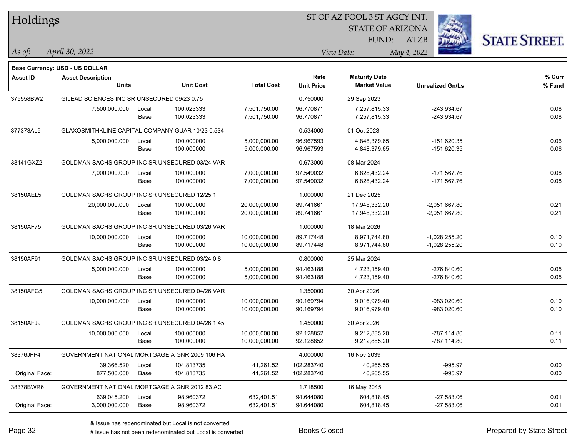| i.<br><b>STATE OF ARIZONA</b><br><b>STATE STREET.</b><br>FUND:<br>ATZB<br>April 30, 2022<br>May 4, 2022<br>As of:<br>View Date:<br>Base Currency: USD - US DOLLAR<br>% Curr<br>Rate<br><b>Maturity Date</b><br><b>Asset ID</b><br><b>Asset Description</b><br>Units<br><b>Unit Cost</b><br><b>Total Cost</b><br><b>Market Value</b><br><b>Unit Price</b><br><b>Unrealized Gn/Ls</b><br>% Fund<br>375558BW2<br>GILEAD SCIENCES INC SR UNSECURED 09/23 0.75<br>0.750000<br>29 Sep 2023<br>7,501,750.00<br>96.770871<br>-243,934.67<br>0.08<br>7,500,000.000<br>100.023333<br>7,257,815.33<br>Local<br>100.023333<br>96.770871<br>-243,934.67<br>0.08<br>Base<br>7,501,750.00<br>7,257,815.33<br>377373AL9<br>GLAXOSMITHKLINE CAPITAL COMPANY GUAR 10/23 0.534<br>0.534000<br>01 Oct 2023<br>96.967593<br>$-151,620.35$<br>0.06<br>5,000,000.000<br>100.000000<br>5,000,000.00<br>4,848,379.65<br>Local<br>100.000000<br>5,000,000.00<br>96.967593<br>4,848,379.65<br>$-151,620.35$<br>0.06<br>Base<br>38141GXZ2<br>GOLDMAN SACHS GROUP INC SR UNSECURED 03/24 VAR<br>0.673000<br>08 Mar 2024<br>7,000,000.00<br>$-171,567.76$<br>0.08<br>7,000,000.000<br>Local<br>100.000000<br>97.549032<br>6,828,432.24<br>0.08<br>100.000000<br>97.549032<br>6,828,432.24<br>$-171,567.76$<br>Base<br>7,000,000.00<br>38150AEL5<br>GOLDMAN SACHS GROUP INC SR UNSECURED 12/25 1<br>1.000000<br>21 Dec 2025<br>89.741661<br>0.21<br>20,000,000.000<br>100.000000<br>20,000,000.00<br>17,948,332.20<br>$-2,051,667.80$<br>Local<br>100.000000<br>0.21<br>20,000,000.00<br>89.741661<br>17,948,332.20<br>$-2,051,667.80$<br>Base<br>38150AF75<br>GOLDMAN SACHS GROUP INC SR UNSECURED 03/26 VAR<br>1.000000<br>18 Mar 2026<br>89.717448<br>0.10<br>10,000,000.000<br>100.000000<br>10,000,000.00<br>8,971,744.80<br>$-1,028,255.20$<br>Local<br>100.000000<br>89.717448<br>8,971,744.80<br>0.10<br>Base<br>10,000,000.00<br>-1,028,255.20<br>GOLDMAN SACHS GROUP INC SR UNSECURED 03/24 0.8<br>0.800000<br>38150AF91<br>25 Mar 2024<br>5,000,000.00<br>$-276,840.60$<br>0.05<br>5,000,000.000<br>Local<br>100.000000<br>94.463188<br>4,723,159.40<br>100.000000<br>94.463188<br>$-276,840.60$<br>0.05<br>Base<br>5,000,000.00<br>4,723,159.40<br>GOLDMAN SACHS GROUP INC SR UNSECURED 04/26 VAR<br>38150AFG5<br>1.350000<br>30 Apr 2026<br>90.169794<br>0.10<br>10,000,000.000<br>100.000000<br>10,000,000.00<br>9,016,979.40<br>-983,020.60<br>Local<br>100.000000<br>0.10<br>10,000,000.00<br>90.169794<br>9,016,979.40<br>$-983,020.60$<br>Base<br>38150AFJ9<br>GOLDMAN SACHS GROUP INC SR UNSECURED 04/26 1.45<br>1.450000<br>30 Apr 2026<br>92.128852<br>10,000,000.000<br>100.000000<br>10,000,000.00<br>9,212,885.20<br>$-787,114.80$<br>0.11<br>Local<br>92.128852<br>0.11<br>100.000000<br>10,000,000.00<br>9,212,885.20<br>-787,114.80<br>Base<br>38376JFP4<br>4.000000<br>GOVERNMENT NATIONAL MORTGAGE A GNR 2009 106 HA<br>16 Nov 2039<br>$-995.97$<br>0.00<br>39,366.520<br>104.813735<br>41,261.52<br>102.283740<br>Local<br>40,265.55<br>0.00<br>Original Face:<br>877,500.000<br>Base<br>104.813735<br>41,261.52<br>102.283740<br>40,265.55<br>$-995.97$<br>38378BWR6<br>GOVERNMENT NATIONAL MORTGAGE A GNR 2012 83 AC<br>1.718500<br>16 May 2045<br>632,401.51<br>$-27,583.06$<br>639,045.200<br>98.960372<br>94.644080<br>604,818.45<br>0.01<br>Local<br>98.960372<br>0.01<br>Original Face:<br>3,000,000.000<br>632,401.51<br>94.644080<br>604,818.45<br>$-27,583.06$<br>Base | Holdings |  |  | SI OF AZ POOL 3 SI AGCY INI. |  |  |  |  |  |  |
|---------------------------------------------------------------------------------------------------------------------------------------------------------------------------------------------------------------------------------------------------------------------------------------------------------------------------------------------------------------------------------------------------------------------------------------------------------------------------------------------------------------------------------------------------------------------------------------------------------------------------------------------------------------------------------------------------------------------------------------------------------------------------------------------------------------------------------------------------------------------------------------------------------------------------------------------------------------------------------------------------------------------------------------------------------------------------------------------------------------------------------------------------------------------------------------------------------------------------------------------------------------------------------------------------------------------------------------------------------------------------------------------------------------------------------------------------------------------------------------------------------------------------------------------------------------------------------------------------------------------------------------------------------------------------------------------------------------------------------------------------------------------------------------------------------------------------------------------------------------------------------------------------------------------------------------------------------------------------------------------------------------------------------------------------------------------------------------------------------------------------------------------------------------------------------------------------------------------------------------------------------------------------------------------------------------------------------------------------------------------------------------------------------------------------------------------------------------------------------------------------------------------------------------------------------------------------------------------------------------------------------------------------------------------------------------------------------------------------------------------------------------------------------------------------------------------------------------------------------------------------------------------------------------------------------------------------------------------------------------------------------------------------------------------------------------------------------------------------------------------------------------------------------------------------------------------------------------------------------------------------------------------------------------------------------------------------------------------------------------------------------------------------------------------------------------------------------------------------------|----------|--|--|------------------------------|--|--|--|--|--|--|
|                                                                                                                                                                                                                                                                                                                                                                                                                                                                                                                                                                                                                                                                                                                                                                                                                                                                                                                                                                                                                                                                                                                                                                                                                                                                                                                                                                                                                                                                                                                                                                                                                                                                                                                                                                                                                                                                                                                                                                                                                                                                                                                                                                                                                                                                                                                                                                                                                                                                                                                                                                                                                                                                                                                                                                                                                                                                                                                                                                                                                                                                                                                                                                                                                                                                                                                                                                                                                                                                                 |          |  |  |                              |  |  |  |  |  |  |
|                                                                                                                                                                                                                                                                                                                                                                                                                                                                                                                                                                                                                                                                                                                                                                                                                                                                                                                                                                                                                                                                                                                                                                                                                                                                                                                                                                                                                                                                                                                                                                                                                                                                                                                                                                                                                                                                                                                                                                                                                                                                                                                                                                                                                                                                                                                                                                                                                                                                                                                                                                                                                                                                                                                                                                                                                                                                                                                                                                                                                                                                                                                                                                                                                                                                                                                                                                                                                                                                                 |          |  |  |                              |  |  |  |  |  |  |
|                                                                                                                                                                                                                                                                                                                                                                                                                                                                                                                                                                                                                                                                                                                                                                                                                                                                                                                                                                                                                                                                                                                                                                                                                                                                                                                                                                                                                                                                                                                                                                                                                                                                                                                                                                                                                                                                                                                                                                                                                                                                                                                                                                                                                                                                                                                                                                                                                                                                                                                                                                                                                                                                                                                                                                                                                                                                                                                                                                                                                                                                                                                                                                                                                                                                                                                                                                                                                                                                                 |          |  |  |                              |  |  |  |  |  |  |
|                                                                                                                                                                                                                                                                                                                                                                                                                                                                                                                                                                                                                                                                                                                                                                                                                                                                                                                                                                                                                                                                                                                                                                                                                                                                                                                                                                                                                                                                                                                                                                                                                                                                                                                                                                                                                                                                                                                                                                                                                                                                                                                                                                                                                                                                                                                                                                                                                                                                                                                                                                                                                                                                                                                                                                                                                                                                                                                                                                                                                                                                                                                                                                                                                                                                                                                                                                                                                                                                                 |          |  |  |                              |  |  |  |  |  |  |
|                                                                                                                                                                                                                                                                                                                                                                                                                                                                                                                                                                                                                                                                                                                                                                                                                                                                                                                                                                                                                                                                                                                                                                                                                                                                                                                                                                                                                                                                                                                                                                                                                                                                                                                                                                                                                                                                                                                                                                                                                                                                                                                                                                                                                                                                                                                                                                                                                                                                                                                                                                                                                                                                                                                                                                                                                                                                                                                                                                                                                                                                                                                                                                                                                                                                                                                                                                                                                                                                                 |          |  |  |                              |  |  |  |  |  |  |
|                                                                                                                                                                                                                                                                                                                                                                                                                                                                                                                                                                                                                                                                                                                                                                                                                                                                                                                                                                                                                                                                                                                                                                                                                                                                                                                                                                                                                                                                                                                                                                                                                                                                                                                                                                                                                                                                                                                                                                                                                                                                                                                                                                                                                                                                                                                                                                                                                                                                                                                                                                                                                                                                                                                                                                                                                                                                                                                                                                                                                                                                                                                                                                                                                                                                                                                                                                                                                                                                                 |          |  |  |                              |  |  |  |  |  |  |
|                                                                                                                                                                                                                                                                                                                                                                                                                                                                                                                                                                                                                                                                                                                                                                                                                                                                                                                                                                                                                                                                                                                                                                                                                                                                                                                                                                                                                                                                                                                                                                                                                                                                                                                                                                                                                                                                                                                                                                                                                                                                                                                                                                                                                                                                                                                                                                                                                                                                                                                                                                                                                                                                                                                                                                                                                                                                                                                                                                                                                                                                                                                                                                                                                                                                                                                                                                                                                                                                                 |          |  |  |                              |  |  |  |  |  |  |
|                                                                                                                                                                                                                                                                                                                                                                                                                                                                                                                                                                                                                                                                                                                                                                                                                                                                                                                                                                                                                                                                                                                                                                                                                                                                                                                                                                                                                                                                                                                                                                                                                                                                                                                                                                                                                                                                                                                                                                                                                                                                                                                                                                                                                                                                                                                                                                                                                                                                                                                                                                                                                                                                                                                                                                                                                                                                                                                                                                                                                                                                                                                                                                                                                                                                                                                                                                                                                                                                                 |          |  |  |                              |  |  |  |  |  |  |
|                                                                                                                                                                                                                                                                                                                                                                                                                                                                                                                                                                                                                                                                                                                                                                                                                                                                                                                                                                                                                                                                                                                                                                                                                                                                                                                                                                                                                                                                                                                                                                                                                                                                                                                                                                                                                                                                                                                                                                                                                                                                                                                                                                                                                                                                                                                                                                                                                                                                                                                                                                                                                                                                                                                                                                                                                                                                                                                                                                                                                                                                                                                                                                                                                                                                                                                                                                                                                                                                                 |          |  |  |                              |  |  |  |  |  |  |
|                                                                                                                                                                                                                                                                                                                                                                                                                                                                                                                                                                                                                                                                                                                                                                                                                                                                                                                                                                                                                                                                                                                                                                                                                                                                                                                                                                                                                                                                                                                                                                                                                                                                                                                                                                                                                                                                                                                                                                                                                                                                                                                                                                                                                                                                                                                                                                                                                                                                                                                                                                                                                                                                                                                                                                                                                                                                                                                                                                                                                                                                                                                                                                                                                                                                                                                                                                                                                                                                                 |          |  |  |                              |  |  |  |  |  |  |
|                                                                                                                                                                                                                                                                                                                                                                                                                                                                                                                                                                                                                                                                                                                                                                                                                                                                                                                                                                                                                                                                                                                                                                                                                                                                                                                                                                                                                                                                                                                                                                                                                                                                                                                                                                                                                                                                                                                                                                                                                                                                                                                                                                                                                                                                                                                                                                                                                                                                                                                                                                                                                                                                                                                                                                                                                                                                                                                                                                                                                                                                                                                                                                                                                                                                                                                                                                                                                                                                                 |          |  |  |                              |  |  |  |  |  |  |
|                                                                                                                                                                                                                                                                                                                                                                                                                                                                                                                                                                                                                                                                                                                                                                                                                                                                                                                                                                                                                                                                                                                                                                                                                                                                                                                                                                                                                                                                                                                                                                                                                                                                                                                                                                                                                                                                                                                                                                                                                                                                                                                                                                                                                                                                                                                                                                                                                                                                                                                                                                                                                                                                                                                                                                                                                                                                                                                                                                                                                                                                                                                                                                                                                                                                                                                                                                                                                                                                                 |          |  |  |                              |  |  |  |  |  |  |
|                                                                                                                                                                                                                                                                                                                                                                                                                                                                                                                                                                                                                                                                                                                                                                                                                                                                                                                                                                                                                                                                                                                                                                                                                                                                                                                                                                                                                                                                                                                                                                                                                                                                                                                                                                                                                                                                                                                                                                                                                                                                                                                                                                                                                                                                                                                                                                                                                                                                                                                                                                                                                                                                                                                                                                                                                                                                                                                                                                                                                                                                                                                                                                                                                                                                                                                                                                                                                                                                                 |          |  |  |                              |  |  |  |  |  |  |
|                                                                                                                                                                                                                                                                                                                                                                                                                                                                                                                                                                                                                                                                                                                                                                                                                                                                                                                                                                                                                                                                                                                                                                                                                                                                                                                                                                                                                                                                                                                                                                                                                                                                                                                                                                                                                                                                                                                                                                                                                                                                                                                                                                                                                                                                                                                                                                                                                                                                                                                                                                                                                                                                                                                                                                                                                                                                                                                                                                                                                                                                                                                                                                                                                                                                                                                                                                                                                                                                                 |          |  |  |                              |  |  |  |  |  |  |
|                                                                                                                                                                                                                                                                                                                                                                                                                                                                                                                                                                                                                                                                                                                                                                                                                                                                                                                                                                                                                                                                                                                                                                                                                                                                                                                                                                                                                                                                                                                                                                                                                                                                                                                                                                                                                                                                                                                                                                                                                                                                                                                                                                                                                                                                                                                                                                                                                                                                                                                                                                                                                                                                                                                                                                                                                                                                                                                                                                                                                                                                                                                                                                                                                                                                                                                                                                                                                                                                                 |          |  |  |                              |  |  |  |  |  |  |
|                                                                                                                                                                                                                                                                                                                                                                                                                                                                                                                                                                                                                                                                                                                                                                                                                                                                                                                                                                                                                                                                                                                                                                                                                                                                                                                                                                                                                                                                                                                                                                                                                                                                                                                                                                                                                                                                                                                                                                                                                                                                                                                                                                                                                                                                                                                                                                                                                                                                                                                                                                                                                                                                                                                                                                                                                                                                                                                                                                                                                                                                                                                                                                                                                                                                                                                                                                                                                                                                                 |          |  |  |                              |  |  |  |  |  |  |
|                                                                                                                                                                                                                                                                                                                                                                                                                                                                                                                                                                                                                                                                                                                                                                                                                                                                                                                                                                                                                                                                                                                                                                                                                                                                                                                                                                                                                                                                                                                                                                                                                                                                                                                                                                                                                                                                                                                                                                                                                                                                                                                                                                                                                                                                                                                                                                                                                                                                                                                                                                                                                                                                                                                                                                                                                                                                                                                                                                                                                                                                                                                                                                                                                                                                                                                                                                                                                                                                                 |          |  |  |                              |  |  |  |  |  |  |
|                                                                                                                                                                                                                                                                                                                                                                                                                                                                                                                                                                                                                                                                                                                                                                                                                                                                                                                                                                                                                                                                                                                                                                                                                                                                                                                                                                                                                                                                                                                                                                                                                                                                                                                                                                                                                                                                                                                                                                                                                                                                                                                                                                                                                                                                                                                                                                                                                                                                                                                                                                                                                                                                                                                                                                                                                                                                                                                                                                                                                                                                                                                                                                                                                                                                                                                                                                                                                                                                                 |          |  |  |                              |  |  |  |  |  |  |
|                                                                                                                                                                                                                                                                                                                                                                                                                                                                                                                                                                                                                                                                                                                                                                                                                                                                                                                                                                                                                                                                                                                                                                                                                                                                                                                                                                                                                                                                                                                                                                                                                                                                                                                                                                                                                                                                                                                                                                                                                                                                                                                                                                                                                                                                                                                                                                                                                                                                                                                                                                                                                                                                                                                                                                                                                                                                                                                                                                                                                                                                                                                                                                                                                                                                                                                                                                                                                                                                                 |          |  |  |                              |  |  |  |  |  |  |
|                                                                                                                                                                                                                                                                                                                                                                                                                                                                                                                                                                                                                                                                                                                                                                                                                                                                                                                                                                                                                                                                                                                                                                                                                                                                                                                                                                                                                                                                                                                                                                                                                                                                                                                                                                                                                                                                                                                                                                                                                                                                                                                                                                                                                                                                                                                                                                                                                                                                                                                                                                                                                                                                                                                                                                                                                                                                                                                                                                                                                                                                                                                                                                                                                                                                                                                                                                                                                                                                                 |          |  |  |                              |  |  |  |  |  |  |
|                                                                                                                                                                                                                                                                                                                                                                                                                                                                                                                                                                                                                                                                                                                                                                                                                                                                                                                                                                                                                                                                                                                                                                                                                                                                                                                                                                                                                                                                                                                                                                                                                                                                                                                                                                                                                                                                                                                                                                                                                                                                                                                                                                                                                                                                                                                                                                                                                                                                                                                                                                                                                                                                                                                                                                                                                                                                                                                                                                                                                                                                                                                                                                                                                                                                                                                                                                                                                                                                                 |          |  |  |                              |  |  |  |  |  |  |
|                                                                                                                                                                                                                                                                                                                                                                                                                                                                                                                                                                                                                                                                                                                                                                                                                                                                                                                                                                                                                                                                                                                                                                                                                                                                                                                                                                                                                                                                                                                                                                                                                                                                                                                                                                                                                                                                                                                                                                                                                                                                                                                                                                                                                                                                                                                                                                                                                                                                                                                                                                                                                                                                                                                                                                                                                                                                                                                                                                                                                                                                                                                                                                                                                                                                                                                                                                                                                                                                                 |          |  |  |                              |  |  |  |  |  |  |
|                                                                                                                                                                                                                                                                                                                                                                                                                                                                                                                                                                                                                                                                                                                                                                                                                                                                                                                                                                                                                                                                                                                                                                                                                                                                                                                                                                                                                                                                                                                                                                                                                                                                                                                                                                                                                                                                                                                                                                                                                                                                                                                                                                                                                                                                                                                                                                                                                                                                                                                                                                                                                                                                                                                                                                                                                                                                                                                                                                                                                                                                                                                                                                                                                                                                                                                                                                                                                                                                                 |          |  |  |                              |  |  |  |  |  |  |
|                                                                                                                                                                                                                                                                                                                                                                                                                                                                                                                                                                                                                                                                                                                                                                                                                                                                                                                                                                                                                                                                                                                                                                                                                                                                                                                                                                                                                                                                                                                                                                                                                                                                                                                                                                                                                                                                                                                                                                                                                                                                                                                                                                                                                                                                                                                                                                                                                                                                                                                                                                                                                                                                                                                                                                                                                                                                                                                                                                                                                                                                                                                                                                                                                                                                                                                                                                                                                                                                                 |          |  |  |                              |  |  |  |  |  |  |
|                                                                                                                                                                                                                                                                                                                                                                                                                                                                                                                                                                                                                                                                                                                                                                                                                                                                                                                                                                                                                                                                                                                                                                                                                                                                                                                                                                                                                                                                                                                                                                                                                                                                                                                                                                                                                                                                                                                                                                                                                                                                                                                                                                                                                                                                                                                                                                                                                                                                                                                                                                                                                                                                                                                                                                                                                                                                                                                                                                                                                                                                                                                                                                                                                                                                                                                                                                                                                                                                                 |          |  |  |                              |  |  |  |  |  |  |
|                                                                                                                                                                                                                                                                                                                                                                                                                                                                                                                                                                                                                                                                                                                                                                                                                                                                                                                                                                                                                                                                                                                                                                                                                                                                                                                                                                                                                                                                                                                                                                                                                                                                                                                                                                                                                                                                                                                                                                                                                                                                                                                                                                                                                                                                                                                                                                                                                                                                                                                                                                                                                                                                                                                                                                                                                                                                                                                                                                                                                                                                                                                                                                                                                                                                                                                                                                                                                                                                                 |          |  |  |                              |  |  |  |  |  |  |
|                                                                                                                                                                                                                                                                                                                                                                                                                                                                                                                                                                                                                                                                                                                                                                                                                                                                                                                                                                                                                                                                                                                                                                                                                                                                                                                                                                                                                                                                                                                                                                                                                                                                                                                                                                                                                                                                                                                                                                                                                                                                                                                                                                                                                                                                                                                                                                                                                                                                                                                                                                                                                                                                                                                                                                                                                                                                                                                                                                                                                                                                                                                                                                                                                                                                                                                                                                                                                                                                                 |          |  |  |                              |  |  |  |  |  |  |
|                                                                                                                                                                                                                                                                                                                                                                                                                                                                                                                                                                                                                                                                                                                                                                                                                                                                                                                                                                                                                                                                                                                                                                                                                                                                                                                                                                                                                                                                                                                                                                                                                                                                                                                                                                                                                                                                                                                                                                                                                                                                                                                                                                                                                                                                                                                                                                                                                                                                                                                                                                                                                                                                                                                                                                                                                                                                                                                                                                                                                                                                                                                                                                                                                                                                                                                                                                                                                                                                                 |          |  |  |                              |  |  |  |  |  |  |
|                                                                                                                                                                                                                                                                                                                                                                                                                                                                                                                                                                                                                                                                                                                                                                                                                                                                                                                                                                                                                                                                                                                                                                                                                                                                                                                                                                                                                                                                                                                                                                                                                                                                                                                                                                                                                                                                                                                                                                                                                                                                                                                                                                                                                                                                                                                                                                                                                                                                                                                                                                                                                                                                                                                                                                                                                                                                                                                                                                                                                                                                                                                                                                                                                                                                                                                                                                                                                                                                                 |          |  |  |                              |  |  |  |  |  |  |
|                                                                                                                                                                                                                                                                                                                                                                                                                                                                                                                                                                                                                                                                                                                                                                                                                                                                                                                                                                                                                                                                                                                                                                                                                                                                                                                                                                                                                                                                                                                                                                                                                                                                                                                                                                                                                                                                                                                                                                                                                                                                                                                                                                                                                                                                                                                                                                                                                                                                                                                                                                                                                                                                                                                                                                                                                                                                                                                                                                                                                                                                                                                                                                                                                                                                                                                                                                                                                                                                                 |          |  |  |                              |  |  |  |  |  |  |
|                                                                                                                                                                                                                                                                                                                                                                                                                                                                                                                                                                                                                                                                                                                                                                                                                                                                                                                                                                                                                                                                                                                                                                                                                                                                                                                                                                                                                                                                                                                                                                                                                                                                                                                                                                                                                                                                                                                                                                                                                                                                                                                                                                                                                                                                                                                                                                                                                                                                                                                                                                                                                                                                                                                                                                                                                                                                                                                                                                                                                                                                                                                                                                                                                                                                                                                                                                                                                                                                                 |          |  |  |                              |  |  |  |  |  |  |
|                                                                                                                                                                                                                                                                                                                                                                                                                                                                                                                                                                                                                                                                                                                                                                                                                                                                                                                                                                                                                                                                                                                                                                                                                                                                                                                                                                                                                                                                                                                                                                                                                                                                                                                                                                                                                                                                                                                                                                                                                                                                                                                                                                                                                                                                                                                                                                                                                                                                                                                                                                                                                                                                                                                                                                                                                                                                                                                                                                                                                                                                                                                                                                                                                                                                                                                                                                                                                                                                                 |          |  |  |                              |  |  |  |  |  |  |
|                                                                                                                                                                                                                                                                                                                                                                                                                                                                                                                                                                                                                                                                                                                                                                                                                                                                                                                                                                                                                                                                                                                                                                                                                                                                                                                                                                                                                                                                                                                                                                                                                                                                                                                                                                                                                                                                                                                                                                                                                                                                                                                                                                                                                                                                                                                                                                                                                                                                                                                                                                                                                                                                                                                                                                                                                                                                                                                                                                                                                                                                                                                                                                                                                                                                                                                                                                                                                                                                                 |          |  |  |                              |  |  |  |  |  |  |
|                                                                                                                                                                                                                                                                                                                                                                                                                                                                                                                                                                                                                                                                                                                                                                                                                                                                                                                                                                                                                                                                                                                                                                                                                                                                                                                                                                                                                                                                                                                                                                                                                                                                                                                                                                                                                                                                                                                                                                                                                                                                                                                                                                                                                                                                                                                                                                                                                                                                                                                                                                                                                                                                                                                                                                                                                                                                                                                                                                                                                                                                                                                                                                                                                                                                                                                                                                                                                                                                                 |          |  |  |                              |  |  |  |  |  |  |
|                                                                                                                                                                                                                                                                                                                                                                                                                                                                                                                                                                                                                                                                                                                                                                                                                                                                                                                                                                                                                                                                                                                                                                                                                                                                                                                                                                                                                                                                                                                                                                                                                                                                                                                                                                                                                                                                                                                                                                                                                                                                                                                                                                                                                                                                                                                                                                                                                                                                                                                                                                                                                                                                                                                                                                                                                                                                                                                                                                                                                                                                                                                                                                                                                                                                                                                                                                                                                                                                                 |          |  |  |                              |  |  |  |  |  |  |
|                                                                                                                                                                                                                                                                                                                                                                                                                                                                                                                                                                                                                                                                                                                                                                                                                                                                                                                                                                                                                                                                                                                                                                                                                                                                                                                                                                                                                                                                                                                                                                                                                                                                                                                                                                                                                                                                                                                                                                                                                                                                                                                                                                                                                                                                                                                                                                                                                                                                                                                                                                                                                                                                                                                                                                                                                                                                                                                                                                                                                                                                                                                                                                                                                                                                                                                                                                                                                                                                                 |          |  |  |                              |  |  |  |  |  |  |
|                                                                                                                                                                                                                                                                                                                                                                                                                                                                                                                                                                                                                                                                                                                                                                                                                                                                                                                                                                                                                                                                                                                                                                                                                                                                                                                                                                                                                                                                                                                                                                                                                                                                                                                                                                                                                                                                                                                                                                                                                                                                                                                                                                                                                                                                                                                                                                                                                                                                                                                                                                                                                                                                                                                                                                                                                                                                                                                                                                                                                                                                                                                                                                                                                                                                                                                                                                                                                                                                                 |          |  |  |                              |  |  |  |  |  |  |

 $\overline{S}$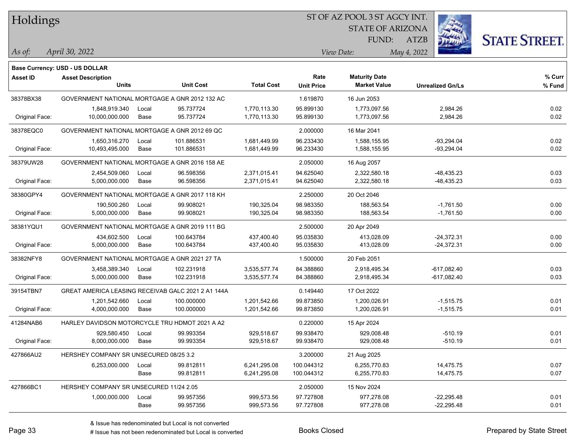Holdings

### ST OF AZ POOL 3 ST AGCY INT.

STATE OF ARIZONA FUND:



*April 30, 2022 As of: View Date: May 4, 2022*

ATZB

|                 | Base Currency: USD - US DOLLAR                     |       |                  |                   |                   |                      |                         |        |
|-----------------|----------------------------------------------------|-------|------------------|-------------------|-------------------|----------------------|-------------------------|--------|
| <b>Asset ID</b> | <b>Asset Description</b>                           |       |                  |                   | Rate              | <b>Maturity Date</b> |                         | % Curr |
|                 | <b>Units</b>                                       |       | <b>Unit Cost</b> | <b>Total Cost</b> | <b>Unit Price</b> | <b>Market Value</b>  | <b>Unrealized Gn/Ls</b> | % Fund |
| 38378BX38       | GOVERNMENT NATIONAL MORTGAGE A GNR 2012 132 AC     |       |                  |                   | 1.619870          | 16 Jun 2053          |                         |        |
|                 | 1,848,919.340                                      | Local | 95.737724        | 1,770,113.30      | 95.899130         | 1,773,097.56         | 2,984.26                | 0.02   |
| Original Face:  | 10,000,000.000                                     | Base  | 95.737724        | 1,770,113.30      | 95.899130         | 1,773,097.56         | 2,984.26                | 0.02   |
| 38378EQC0       | GOVERNMENT NATIONAL MORTGAGE A GNR 2012 69 QC      |       |                  |                   | 2.000000          | 16 Mar 2041          |                         |        |
|                 | 1,650,316.270                                      | Local | 101.886531       | 1,681,449.99      | 96.233430         | 1,588,155.95         | $-93.294.04$            | 0.02   |
| Original Face:  | 10,493,495.000                                     | Base  | 101.886531       | 1,681,449.99      | 96.233430         | 1,588,155.95         | $-93,294.04$            | 0.02   |
| 38379UW28       | GOVERNMENT NATIONAL MORTGAGE A GNR 2016 158 AE     |       |                  |                   | 2.050000          | 16 Aug 2057          |                         |        |
|                 | 2,454,509.060                                      | Local | 96.598356        | 2,371,015.41      | 94.625040         | 2,322,580.18         | $-48,435.23$            | 0.03   |
| Original Face:  | 5,000,000.000                                      | Base  | 96.598356        | 2,371,015.41      | 94.625040         | 2,322,580.18         | -48,435.23              | 0.03   |
| 38380GPY4       | GOVERNMENT NATIONAL MORTGAGE A GNR 2017 118 KH     |       |                  |                   | 2.250000          | 20 Oct 2046          |                         |        |
|                 | 190,500.260                                        | Local | 99.908021        | 190,325.04        | 98.983350         | 188,563.54           | $-1,761.50$             | 0.00   |
| Original Face:  | 5,000,000.000                                      | Base  | 99.908021        | 190,325.04        | 98.983350         | 188,563.54           | $-1,761.50$             | 0.00   |
| 38381YQU1       | GOVERNMENT NATIONAL MORTGAGE A GNR 2019 111 BG     |       |                  |                   | 2.500000          | 20 Apr 2049          |                         |        |
|                 | 434,602.500                                        | Local | 100.643784       | 437,400.40        | 95.035830         | 413,028.09           | $-24,372.31$            | 0.00   |
| Original Face:  | 5,000,000.000                                      | Base  | 100.643784       | 437,400.40        | 95.035830         | 413,028.09           | $-24,372.31$            | 0.00   |
| 38382NFY8       | GOVERNMENT NATIONAL MORTGAGE A GNR 2021 27 TA      |       |                  |                   | 1.500000          | 20 Feb 2051          |                         |        |
|                 | 3,458,389.340                                      | Local | 102.231918       | 3,535,577.74      | 84.388860         | 2,918,495.34         | $-617,082.40$           | 0.03   |
| Original Face:  | 5,000,000.000                                      | Base  | 102.231918       | 3,535,577.74      | 84.388860         | 2,918,495.34         | -617,082.40             | 0.03   |
| 39154TBN7       | GREAT AMERICA LEASING RECEIVAB GALC 2021 2 A1 144A |       |                  |                   | 0.149440          | 17 Oct 2022          |                         |        |
|                 | 1,201,542.660                                      | Local | 100.000000       | 1,201,542.66      | 99.873850         | 1,200,026.91         | $-1,515.75$             | 0.01   |
| Original Face:  | 4,000,000.000                                      | Base  | 100.000000       | 1,201,542.66      | 99.873850         | 1,200,026.91         | $-1,515.75$             | 0.01   |
| 41284NAB6       | HARLEY DAVIDSON MOTORCYCLE TRU HDMOT 2021 A A2     |       |                  |                   | 0.220000          | 15 Apr 2024          |                         |        |
|                 | 929,580.450                                        | Local | 99.993354        | 929,518.67        | 99.938470         | 929,008.48           | $-510.19$               | 0.01   |
| Original Face:  | 8,000,000.000                                      | Base  | 99.993354        | 929,518.67        | 99.938470         | 929,008.48           | $-510.19$               | 0.01   |
| 427866AU2       | HERSHEY COMPANY SR UNSECURED 08/25 3.2             |       |                  |                   | 3.200000          | 21 Aug 2025          |                         |        |
|                 | 6,253,000.000                                      | Local | 99.812811        | 6,241,295.08      | 100.044312        | 6,255,770.83         | 14,475.75               | 0.07   |
|                 |                                                    | Base  | 99.812811        | 6,241,295.08      | 100.044312        | 6,255,770.83         | 14,475.75               | 0.07   |
| 427866BC1       | HERSHEY COMPANY SR UNSECURED 11/24 2.05            |       |                  |                   | 2.050000          | 15 Nov 2024          |                         |        |
|                 | 1,000,000.000                                      | Local | 99.957356        | 999,573.56        | 97.727808         | 977,278.08           | $-22,295.48$            | 0.01   |
|                 |                                                    | Base  | 99.957356        | 999,573.56        | 97.727808         | 977,278.08           | $-22,295.48$            | 0.01   |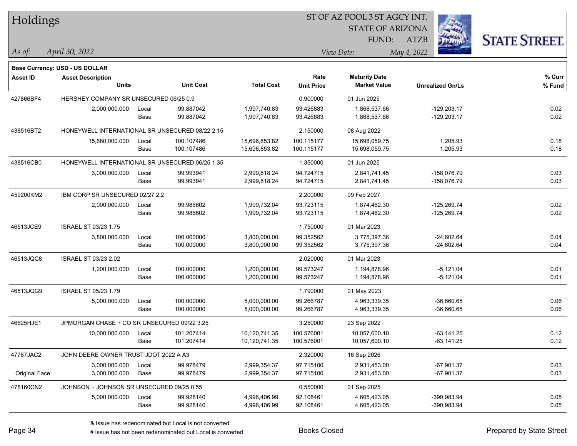| Holdings        |                                                 |       |                  |                   | 51 OF AZ POOL 3 51 AGCY INT. |                         |                         |                      |  |  |  |
|-----------------|-------------------------------------------------|-------|------------------|-------------------|------------------------------|-------------------------|-------------------------|----------------------|--|--|--|
|                 |                                                 |       |                  |                   |                              | <b>STATE OF ARIZONA</b> | Ź.                      |                      |  |  |  |
|                 |                                                 |       |                  |                   |                              | FUND:                   | ATZB                    | <b>STATE STREET.</b> |  |  |  |
| As of:          | April 30, 2022                                  |       |                  |                   |                              | View Date:              | May 4, 2022             |                      |  |  |  |
|                 | <b>Base Currency: USD - US DOLLAR</b>           |       |                  |                   |                              |                         |                         |                      |  |  |  |
| <b>Asset ID</b> | <b>Asset Description</b>                        |       |                  |                   | Rate                         | <b>Maturity Date</b>    |                         | % Curr               |  |  |  |
|                 | <b>Units</b>                                    |       | <b>Unit Cost</b> | <b>Total Cost</b> | <b>Unit Price</b>            | <b>Market Value</b>     | <b>Unrealized Gn/Ls</b> | % Fund               |  |  |  |
| 427866BF4       | HERSHEY COMPANY SR UNSECURED 06/25 0.9          |       |                  |                   | 0.900000                     | 01 Jun 2025             |                         |                      |  |  |  |
|                 | 2,000,000.000                                   | Local | 99.887042        | 1,997,740.83      | 93.426883                    | 1,868,537.66            | $-129,203.17$           | 0.02                 |  |  |  |
|                 |                                                 | Base  | 99.887042        | 1,997,740.83      | 93.426883                    | 1,868,537.66            | $-129,203.17$           | 0.02                 |  |  |  |
| 438516BT2       | HONEYWELL INTERNATIONAL SR UNSECURED 08/22 2.15 |       |                  |                   | 2.150000                     | 08 Aug 2022             |                         |                      |  |  |  |
|                 | 15,680,000.000                                  | Local | 100.107486       | 15,696,853.82     | 100.115177                   | 15,698,059.75           | 1,205.93                | 0.18                 |  |  |  |
|                 |                                                 | Base  | 100.107486       | 15,696,853.82     | 100.115177                   | 15,698,059.75           | 1,205.93                | 0.18                 |  |  |  |
| 438516CB0       | HONEYWELL INTERNATIONAL SR UNSECURED 06/25 1.35 |       |                  |                   | 1.350000                     | 01 Jun 2025             |                         |                      |  |  |  |
|                 | 3,000,000.000                                   | Local | 99.993941        | 2,999,818.24      | 94.724715                    | 2,841,741.45            | -158,076.79             | 0.03                 |  |  |  |
|                 |                                                 | Base  | 99.993941        | 2,999,818.24      | 94.724715                    | 2,841,741.45            | -158,076.79             | 0.03                 |  |  |  |
| 459200KM2       | IBM CORP SR UNSECURED 02/27 2.2                 |       |                  |                   | 2.200000                     | 09 Feb 2027             |                         |                      |  |  |  |
|                 | 2,000,000.000                                   | Local | 99.986602        | 1,999,732.04      | 93.723115                    | 1,874,462.30            | $-125,269.74$           | 0.02                 |  |  |  |
|                 |                                                 | Base  | 99.986602        | 1,999,732.04      | 93.723115                    | 1,874,462.30            | -125,269.74             | 0.02                 |  |  |  |
| 46513JCE9       | <b>ISRAEL ST 03/23 1.75</b>                     |       |                  |                   | 1.750000                     | 01 Mar 2023             |                         |                      |  |  |  |
|                 | 3,800,000.000                                   | Local | 100.000000       | 3,800,000.00      | 99.352562                    | 3,775,397.36            | $-24,602.64$            | 0.04                 |  |  |  |
|                 |                                                 | Base  | 100.000000       | 3,800,000.00      | 99.352562                    | 3,775,397.36            | $-24,602.64$            | 0.04                 |  |  |  |
| 46513JQC8       | ISRAEL ST 03/23 2.02                            |       |                  |                   | 2.020000                     | 01 Mar 2023             |                         |                      |  |  |  |
|                 | 1,200,000.000                                   | Local | 100.000000       | 1,200,000.00      | 99.573247                    | 1,194,878.96            | $-5,121.04$             | 0.01                 |  |  |  |
|                 |                                                 | Base  | 100.000000       | 1,200,000.00      | 99.573247                    | 1,194,878.96            | $-5,121.04$             | 0.01                 |  |  |  |
| 46513JQG9       | ISRAEL ST 05/23 1.79                            |       |                  |                   | 1.790000                     | 01 May 2023             |                         |                      |  |  |  |
|                 | 5,000,000.000                                   | Local | 100.000000       | 5,000,000.00      | 99.266787                    | 4,963,339.35            | $-36,660.65$            | 0.06                 |  |  |  |
|                 |                                                 | Base  | 100.000000       | 5,000,000.00      | 99.266787                    | 4,963,339.35            | $-36,660.65$            | 0.06                 |  |  |  |
| 46625HJE1       | JPMORGAN CHASE + CO SR UNSECURED 09/22 3.25     |       |                  |                   | 3.250000                     | 23 Sep 2022             |                         |                      |  |  |  |
|                 | 10,000,000.000                                  | Local | 101.207414       | 10,120,741.35     | 100.576001                   | 10,057,600.10           | $-63, 141.25$           | 0.12                 |  |  |  |
|                 |                                                 | Base  | 101.207414       | 10,120,741.35     | 100.576001                   | 10,057,600.10           | $-63,141.25$            | 0.12                 |  |  |  |
| 47787JAC2       | JOHN DEERE OWNER TRUST JDOT 2022 A A3           |       |                  |                   | 2.320000                     | 16 Sep 2026             |                         |                      |  |  |  |
|                 | 3,000,000.000                                   | Local | 99.978479        | 2,999,354.37      | 97.715100                    | 2,931,453.00            | $-67,901.37$            | 0.03                 |  |  |  |
| Original Face:  | 3,000,000.000                                   | Base  | 99.978479        | 2,999,354.37      | 97.715100                    | 2,931,453.00            | $-67,901.37$            | 0.03                 |  |  |  |
| 478160CN2       | JOHNSON + JOHNSON SR UNSECURED 09/25 0.55       |       |                  |                   | 0.550000                     | 01 Sep 2025             |                         |                      |  |  |  |
|                 | 5,000,000.000                                   | Local | 99.928140        | 4,996,406.99      | 92.108461                    | 4,605,423.05            | -390,983.94             | 0.05                 |  |  |  |
|                 |                                                 | Base  | 99.928140        | 4,996,406.99      | 92.108461                    | 4,605,423.05            | -390,983.94             | 0.05                 |  |  |  |
|                 |                                                 |       |                  |                   |                              |                         |                         |                      |  |  |  |

 $\overline{S}$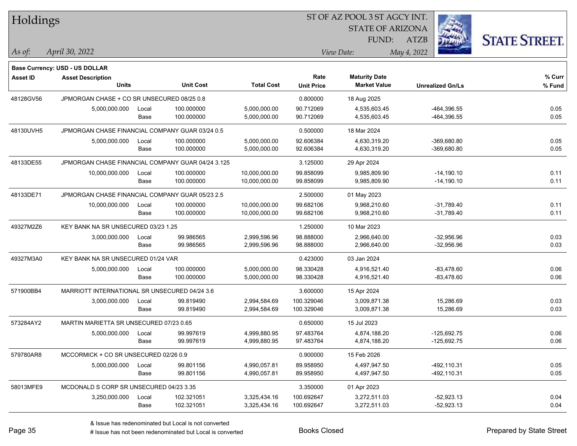| Holdings  |                                                   |       |                  |                   | ST OF AZ POOL 3 ST AGCY INT. |                         |                         |                      |  |  |
|-----------|---------------------------------------------------|-------|------------------|-------------------|------------------------------|-------------------------|-------------------------|----------------------|--|--|
|           |                                                   |       |                  |                   |                              | <b>STATE OF ARIZONA</b> |                         |                      |  |  |
|           |                                                   |       |                  |                   |                              | FUND:                   | ATZB                    | <b>STATE STREET.</b> |  |  |
| As of:    | April 30, 2022                                    |       |                  |                   |                              | View Date:              | May 4, 2022             |                      |  |  |
|           | Base Currency: USD - US DOLLAR                    |       |                  |                   |                              |                         |                         |                      |  |  |
| Asset ID  | <b>Asset Description</b>                          |       |                  |                   | Rate                         | <b>Maturity Date</b>    |                         | % Curr               |  |  |
|           | <b>Units</b>                                      |       | <b>Unit Cost</b> | <b>Total Cost</b> | <b>Unit Price</b>            | <b>Market Value</b>     | <b>Unrealized Gn/Ls</b> | % Fund               |  |  |
| 48128GV56 | JPMORGAN CHASE + CO SR UNSECURED 08/25 0.8        |       |                  |                   | 0.800000                     | 18 Aug 2025             |                         |                      |  |  |
|           | 5,000,000.000                                     | Local | 100.000000       | 5,000,000.00      | 90.712069                    | 4,535,603.45            | -464,396.55             | 0.05                 |  |  |
|           |                                                   | Base  | 100.000000       | 5,000,000.00      | 90.712069                    | 4,535,603.45            | -464,396.55             | 0.05                 |  |  |
| 48130UVH5 | JPMORGAN CHASE FINANCIAL COMPANY GUAR 03/24 0.5   |       |                  |                   | 0.500000                     | 18 Mar 2024             |                         |                      |  |  |
|           | 5,000,000.000                                     | Local | 100.000000       | 5,000,000.00      | 92.606384                    | 4,630,319.20            | $-369,680.80$           | 0.05                 |  |  |
|           |                                                   | Base  | 100.000000       | 5,000,000.00      | 92.606384                    | 4,630,319.20            | $-369,680.80$           | 0.05                 |  |  |
| 48133DE55 | JPMORGAN CHASE FINANCIAL COMPANY GUAR 04/24 3.125 |       |                  |                   | 3.125000                     | 29 Apr 2024             |                         |                      |  |  |
|           | 10,000,000.000                                    | Local | 100.000000       | 10,000,000.00     | 99.858099                    | 9,985,809.90            | $-14,190.10$            | 0.11                 |  |  |
|           |                                                   | Base  | 100.000000       | 10,000,000.00     | 99.858099                    | 9,985,809.90            | $-14,190.10$            | 0.11                 |  |  |
| 48133DE71 | JPMORGAN CHASE FINANCIAL COMPANY GUAR 05/23 2.5   |       |                  |                   | 2.500000                     | 01 May 2023             |                         |                      |  |  |
|           | 10,000,000.000                                    | Local | 100.000000       | 10,000,000.00     | 99.682106                    | 9,968,210.60            | $-31,789.40$            | 0.11                 |  |  |
|           |                                                   | Base  | 100.000000       | 10,000,000.00     | 99.682106                    | 9,968,210.60            | $-31,789.40$            | 0.11                 |  |  |
| 49327M2Z6 | KEY BANK NA SR UNSECURED 03/23 1.25               |       |                  |                   | 1.250000                     | 10 Mar 2023             |                         |                      |  |  |
|           | 3,000,000.000                                     | Local | 99.986565        | 2,999,596.96      | 98.888000                    | 2,966,640.00            | $-32,956.96$            | 0.03                 |  |  |
|           |                                                   | Base  | 99.986565        | 2,999,596.96      | 98.888000                    | 2,966,640.00            | $-32,956.96$            | 0.03                 |  |  |
| 49327M3A0 | KEY BANK NA SR UNSECURED 01/24 VAR                |       |                  |                   | 0.423000                     | 03 Jan 2024             |                         |                      |  |  |
|           | 5,000,000.000                                     | Local | 100.000000       | 5,000,000.00      | 98.330428                    | 4,916,521.40            | $-83,478.60$            | 0.06                 |  |  |
|           |                                                   | Base  | 100.000000       | 5,000,000.00      | 98.330428                    | 4,916,521.40            | $-83,478.60$            | 0.06                 |  |  |
| 571900BB4 | MARRIOTT INTERNATIONAL SR UNSECURED 04/24 3.6     |       |                  |                   | 3.600000                     | 15 Apr 2024             |                         |                      |  |  |
|           | 3,000,000.000                                     | Local | 99.819490        | 2,994,584.69      | 100.329046                   | 3,009,871.38            | 15,286.69               | 0.03                 |  |  |
|           |                                                   | Base  | 99.819490        | 2,994,584.69      | 100.329046                   | 3,009,871.38            | 15,286.69               | 0.03                 |  |  |
| 573284AY2 | MARTIN MARIETTA SR UNSECURED 07/23 0.65           |       |                  |                   | 0.650000                     | 15 Jul 2023             |                         |                      |  |  |
|           | 5,000,000.000                                     | Local | 99.997619        | 4,999,880.95      | 97.483764                    | 4,874,188.20            | $-125,692.75$           | 0.06                 |  |  |
|           |                                                   | Base  | 99.997619        | 4,999,880.95      | 97.483764                    | 4,874,188.20            | -125,692.75             | 0.06                 |  |  |
| 579780AR8 | MCCORMICK + CO SR UNSECURED 02/26 0.9             |       |                  |                   | 0.900000                     | 15 Feb 2026             |                         |                      |  |  |
|           | 5,000,000.000                                     | Local | 99.801156        | 4,990,057.81      | 89.958950                    | 4,497,947.50            | -492,110.31             | 0.05                 |  |  |
|           |                                                   | Base  | 99.801156        | 4,990,057.81      | 89.958950                    | 4,497,947.50            | -492,110.31             | 0.05                 |  |  |
| 58013MFE9 | MCDONALD S CORP SR UNSECURED 04/23 3.35           |       |                  |                   | 3.350000                     | 01 Apr 2023             |                         |                      |  |  |
|           | 3,250,000.000                                     | Local | 102.321051       | 3,325,434.16      | 100.692647                   | 3,272,511.03            | $-52,923.13$            | 0.04                 |  |  |
|           |                                                   | Base  | 102.321051       | 3,325,434.16      | 100.692647                   | 3,272,511.03            | -52,923.13              | 0.04                 |  |  |
|           |                                                   |       |                  |                   |                              |                         |                         |                      |  |  |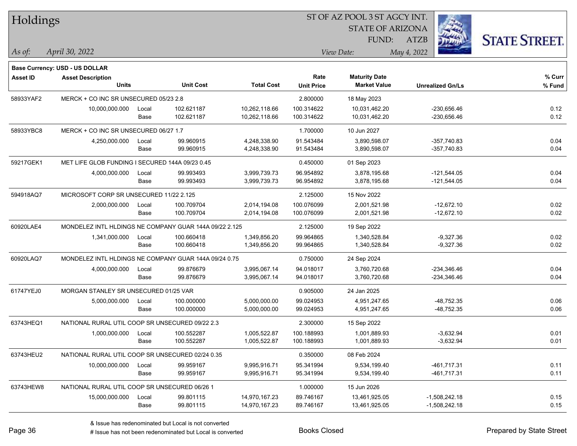| Holdings        |                                                            |       |                  |                   |                   | ST OF AZ POOL 3 ST AGCY INT. |                         |                      |
|-----------------|------------------------------------------------------------|-------|------------------|-------------------|-------------------|------------------------------|-------------------------|----------------------|
|                 |                                                            |       |                  |                   |                   | <b>STATE OF ARIZONA</b>      |                         |                      |
|                 |                                                            |       |                  |                   |                   | FUND:                        | <b>ATZB</b>             | <b>STATE STREET.</b> |
| As of:          | April 30, 2022                                             |       |                  |                   |                   | View Date:                   | May 4, 2022             |                      |
|                 |                                                            |       |                  |                   |                   |                              |                         |                      |
| <b>Asset ID</b> | Base Currency: USD - US DOLLAR<br><b>Asset Description</b> |       |                  |                   | Rate              | <b>Maturity Date</b>         |                         | % Curr               |
|                 | <b>Units</b>                                               |       | <b>Unit Cost</b> | <b>Total Cost</b> | <b>Unit Price</b> | <b>Market Value</b>          | <b>Unrealized Gn/Ls</b> | % Fund               |
| 58933YAF2       | MERCK + CO INC SR UNSECURED 05/23 2.8                      |       |                  |                   | 2.800000          | 18 May 2023                  |                         |                      |
|                 | 10,000,000.000                                             | Local | 102.621187       | 10,262,118.66     | 100.314622        | 10,031,462.20                | $-230,656.46$           | 0.12                 |
|                 |                                                            | Base  | 102.621187       | 10,262,118.66     | 100.314622        | 10,031,462.20                | $-230,656.46$           | 0.12                 |
| 58933YBC8       | MERCK + CO INC SR UNSECURED 06/27 1.7                      |       |                  |                   | 1.700000          | 10 Jun 2027                  |                         |                      |
|                 | 4,250,000.000                                              | Local | 99.960915        | 4,248,338.90      | 91.543484         | 3,890,598.07                 | $-357,740.83$           | 0.04                 |
|                 |                                                            | Base  | 99.960915        | 4,248,338.90      | 91.543484         | 3,890,598.07                 | $-357,740.83$           | 0.04                 |
| 59217GEK1       | MET LIFE GLOB FUNDING I SECURED 144A 09/23 0.45            |       |                  |                   | 0.450000          | 01 Sep 2023                  |                         |                      |
|                 | 4,000,000.000                                              | Local | 99.993493        | 3,999,739.73      | 96.954892         | 3,878,195.68                 | $-121,544.05$           | 0.04                 |
|                 |                                                            | Base  | 99.993493        | 3,999,739.73      | 96.954892         | 3,878,195.68                 | $-121,544.05$           | 0.04                 |
| 594918AQ7       | MICROSOFT CORP SR UNSECURED 11/22 2.125                    |       |                  |                   | 2.125000          | 15 Nov 2022                  |                         |                      |
|                 | 2,000,000.000                                              | Local | 100.709704       | 2,014,194.08      | 100.076099        | 2,001,521.98                 | $-12,672.10$            | 0.02                 |
|                 |                                                            | Base  | 100.709704       | 2,014,194.08      | 100.076099        | 2,001,521.98                 | $-12,672.10$            | 0.02                 |
| 60920LAE4       | MONDELEZ INTL HLDINGS NE COMPANY GUAR 144A 09/22 2.125     |       |                  |                   | 2.125000          | 19 Sep 2022                  |                         |                      |
|                 | 1,341,000.000                                              | Local | 100.660418       | 1,349,856.20      | 99.964865         | 1,340,528.84                 | $-9,327.36$             | 0.02                 |
|                 |                                                            | Base  | 100.660418       | 1,349,856.20      | 99.964865         | 1,340,528.84                 | $-9,327.36$             | 0.02                 |
| 60920LAQ7       | MONDELEZ INTL HLDINGS NE COMPANY GUAR 144A 09/24 0.75      |       |                  |                   | 0.750000          | 24 Sep 2024                  |                         |                      |
|                 | 4,000,000.000                                              | Local | 99.876679        | 3,995,067.14      | 94.018017         | 3,760,720.68                 | $-234,346.46$           | 0.04                 |
|                 |                                                            | Base  | 99.876679        | 3,995,067.14      | 94.018017         | 3,760,720.68                 | $-234,346.46$           | 0.04                 |
| 61747YEJ0       | MORGAN STANLEY SR UNSECURED 01/25 VAR                      |       |                  |                   | 0.905000          | 24 Jan 2025                  |                         |                      |
|                 | 5,000,000.000                                              | Local | 100.000000       | 5,000,000.00      | 99.024953         | 4,951,247.65                 | $-48,752.35$            | 0.06                 |
|                 |                                                            | Base  | 100.000000       | 5,000,000.00      | 99.024953         | 4,951,247.65                 | $-48,752.35$            | 0.06                 |
| 63743HEQ1       | NATIONAL RURAL UTIL COOP SR UNSECURED 09/22 2.3            |       |                  |                   | 2.300000          | 15 Sep 2022                  |                         |                      |
|                 | 1,000,000.000                                              | Local | 100.552287       | 1,005,522.87      | 100.188993        | 1,001,889.93                 | $-3,632.94$             | 0.01                 |
|                 |                                                            | Base  | 100.552287       | 1,005,522.87      | 100.188993        | 1,001,889.93                 | $-3,632.94$             | 0.01                 |
| 63743HEU2       | NATIONAL RURAL UTIL COOP SR UNSECURED 02/24 0.35           |       |                  |                   | 0.350000          | 08 Feb 2024                  |                         |                      |
|                 | 10,000,000.000                                             | Local | 99.959167        | 9,995,916.71      | 95.341994         | 9,534,199.40                 | $-461,717.31$           | 0.11                 |
|                 |                                                            | Base  | 99.959167        | 9,995,916.71      | 95.341994         | 9,534,199.40                 | -461,717.31             | 0.11                 |
| 63743HEW8       | NATIONAL RURAL UTIL COOP SR UNSECURED 06/26 1              |       |                  |                   | 1.000000          | 15 Jun 2026                  |                         |                      |
|                 | 15,000,000.000                                             | Local | 99.801115        | 14,970,167.23     | 89.746167         | 13,461,925.05                | $-1,508,242.18$         | 0.15                 |
|                 |                                                            | Base  | 99.801115        | 14,970,167.23     | 89.746167         | 13,461,925.05                | $-1,508,242.18$         | 0.15                 |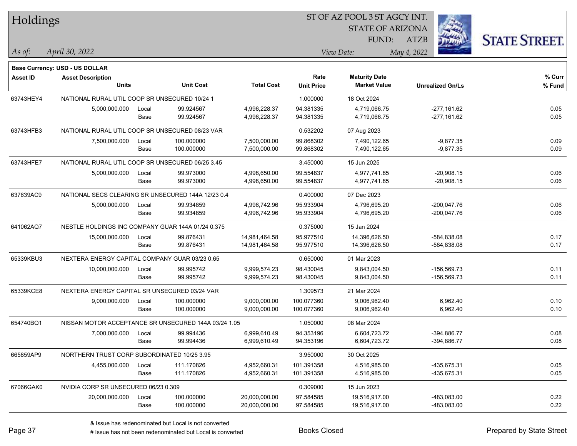| Holdings        |                                                    |       |                                                      |                   |                   | ST OF AZ POOL 3 ST AGCY INT. |                         |                      |
|-----------------|----------------------------------------------------|-------|------------------------------------------------------|-------------------|-------------------|------------------------------|-------------------------|----------------------|
|                 |                                                    |       |                                                      |                   |                   | <b>STATE OF ARIZONA</b>      |                         |                      |
|                 |                                                    |       |                                                      |                   |                   | FUND:                        | <b>ATZB</b>             | <b>STATE STREET.</b> |
| As of:          | April 30, 2022                                     |       |                                                      |                   |                   | View Date:                   | May 4, 2022             |                      |
|                 | <b>Base Currency: USD - US DOLLAR</b>              |       |                                                      |                   |                   |                              |                         |                      |
| <b>Asset ID</b> | <b>Asset Description</b>                           |       |                                                      |                   | Rate              | <b>Maturity Date</b>         |                         | % Curr               |
|                 | <b>Units</b>                                       |       | <b>Unit Cost</b>                                     | <b>Total Cost</b> | <b>Unit Price</b> | <b>Market Value</b>          | <b>Unrealized Gn/Ls</b> | % Fund               |
| 63743HEY4       | NATIONAL RURAL UTIL COOP SR UNSECURED 10/24 1      |       |                                                      |                   | 1.000000          | 18 Oct 2024                  |                         |                      |
|                 | 5,000,000.000                                      | Local | 99.924567                                            | 4,996,228.37      | 94.381335         | 4,719,066.75                 | $-277,161.62$           | 0.05                 |
|                 |                                                    | Base  | 99.924567                                            | 4,996,228.37      | 94.381335         | 4,719,066.75                 | $-277,161.62$           | 0.05                 |
| 63743HFB3       | NATIONAL RURAL UTIL COOP SR UNSECURED 08/23 VAR    |       |                                                      |                   | 0.532202          | 07 Aug 2023                  |                         |                      |
|                 | 7,500,000.000                                      | Local | 100.000000                                           | 7,500,000.00      | 99.868302         | 7,490,122.65                 | $-9,877.35$             | 0.09                 |
|                 |                                                    | Base  | 100.000000                                           | 7,500,000.00      | 99.868302         | 7,490,122.65                 | $-9,877.35$             | 0.09                 |
| 63743HFE7       | NATIONAL RURAL UTIL COOP SR UNSECURED 06/25 3.45   |       |                                                      |                   | 3.450000          | 15 Jun 2025                  |                         |                      |
|                 | 5,000,000.000                                      | Local | 99.973000                                            | 4,998,650.00      | 99.554837         | 4,977,741.85                 | $-20,908.15$            | 0.06                 |
|                 |                                                    | Base  | 99.973000                                            | 4,998,650.00      | 99.554837         | 4,977,741.85                 | $-20,908.15$            | 0.06                 |
| 637639AC9       | NATIONAL SECS CLEARING SR UNSECURED 144A 12/23 0.4 |       |                                                      |                   | 0.400000          | 07 Dec 2023                  |                         |                      |
|                 | 5,000,000.000                                      | Local | 99.934859                                            | 4,996,742.96      | 95.933904         | 4,796,695.20                 | $-200.047.76$           | 0.06                 |
|                 |                                                    | Base  | 99.934859                                            | 4,996,742.96      | 95.933904         | 4,796,695.20                 | $-200,047.76$           | 0.06                 |
| 641062AQ7       | NESTLE HOLDINGS INC COMPANY GUAR 144A 01/24 0.375  |       |                                                      |                   | 0.375000          | 15 Jan 2024                  |                         |                      |
|                 | 15,000,000.000                                     | Local | 99.876431                                            | 14,981,464.58     | 95.977510         | 14,396,626.50                | $-584,838.08$           | 0.17                 |
|                 |                                                    | Base  | 99.876431                                            | 14,981,464.58     | 95.977510         | 14,396,626.50                | $-584,838.08$           | 0.17                 |
| 65339KBU3       | NEXTERA ENERGY CAPITAL COMPANY GUAR 03/23 0.65     |       |                                                      |                   | 0.650000          | 01 Mar 2023                  |                         |                      |
|                 | 10,000,000.000                                     | Local | 99.995742                                            | 9,999,574.23      | 98.430045         | 9,843,004.50                 | -156,569.73             | 0.11                 |
|                 |                                                    | Base  | 99.995742                                            | 9,999,574.23      | 98.430045         | 9,843,004.50                 | -156,569.73             | 0.11                 |
| 65339KCE8       | NEXTERA ENERGY CAPITAL SR UNSECURED 03/24 VAR      |       |                                                      |                   | 1.309573          | 21 Mar 2024                  |                         |                      |
|                 | 9,000,000.000                                      | Local | 100.000000                                           | 9,000,000.00      | 100.077360        | 9,006,962.40                 | 6,962.40                | 0.10                 |
|                 |                                                    | Base  | 100.000000                                           | 9,000,000.00      | 100.077360        | 9,006,962.40                 | 6,962.40                | 0.10                 |
| 654740BQ1       |                                                    |       | NISSAN MOTOR ACCEPTANCE SR UNSECURED 144A 03/24 1.05 |                   | 1.050000          | 08 Mar 2024                  |                         |                      |
|                 | 7,000,000.000                                      | Local | 99.994436                                            | 6,999,610.49      | 94.353196         | 6,604,723.72                 | -394,886.77             | 0.08                 |
|                 |                                                    | Base  | 99.994436                                            | 6,999,610.49      | 94.353196         | 6,604,723.72                 | $-394,886.77$           | 0.08                 |
| 665859AP9       | NORTHERN TRUST CORP SUBORDINATED 10/25 3.95        |       |                                                      |                   | 3.950000          | 30 Oct 2025                  |                         |                      |
|                 | 4,455,000.000                                      | Local | 111.170826                                           | 4,952,660.31      | 101.391358        | 4,516,985.00                 | -435,675.31             | 0.05                 |
|                 |                                                    | Base  | 111.170826                                           | 4,952,660.31      | 101.391358        | 4,516,985.00                 | -435,675.31             | 0.05                 |
| 67066GAK0       | NVIDIA CORP SR UNSECURED 06/23 0.309               |       |                                                      |                   | 0.309000          | 15 Jun 2023                  |                         |                      |
|                 | 20,000,000.000                                     | Local | 100.000000                                           | 20,000,000.00     | 97.584585         | 19,516,917.00                | -483,083.00             | 0.22                 |
|                 |                                                    | Base  | 100.000000                                           | 20,000,000.00     | 97.584585         | 19,516,917.00                | -483,083.00             | 0.22                 |

# Issue has not been redenominated but Local is converted Books Closed Prepared by State Street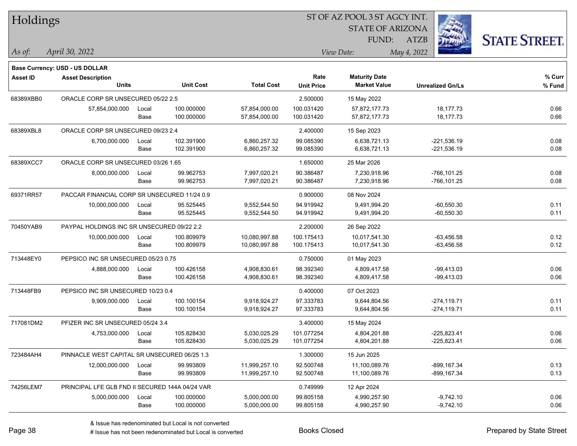| Holdings        |                                                 |       |                  |                   | 51 OF AZ POOL 3 51 AGCY INT. |                         |                         |                      |  |  |  |
|-----------------|-------------------------------------------------|-------|------------------|-------------------|------------------------------|-------------------------|-------------------------|----------------------|--|--|--|
|                 |                                                 |       |                  |                   |                              | <b>STATE OF ARIZONA</b> | é.                      |                      |  |  |  |
|                 |                                                 |       |                  |                   |                              | FUND:                   | ATZB                    | <b>STATE STREET.</b> |  |  |  |
| As of:          | April 30, 2022                                  |       |                  |                   |                              | View Date:              | May 4, 2022             |                      |  |  |  |
|                 | <b>Base Currency: USD - US DOLLAR</b>           |       |                  |                   |                              |                         |                         |                      |  |  |  |
| <b>Asset ID</b> | <b>Asset Description</b>                        |       |                  |                   | Rate                         | <b>Maturity Date</b>    |                         | % Curr               |  |  |  |
|                 | <b>Units</b>                                    |       | <b>Unit Cost</b> | <b>Total Cost</b> | <b>Unit Price</b>            | <b>Market Value</b>     | <b>Unrealized Gn/Ls</b> | % Fund               |  |  |  |
| 68389XBB0       | ORACLE CORP SR UNSECURED 05/22 2.5              |       |                  |                   | 2.500000                     | 15 May 2022             |                         |                      |  |  |  |
|                 | 57,854,000.000                                  | Local | 100.000000       | 57,854,000.00     | 100.031420                   | 57,872,177.73           | 18,177.73               | 0.66                 |  |  |  |
|                 |                                                 | Base  | 100.000000       | 57,854,000.00     | 100.031420                   | 57,872,177.73           | 18,177.73               | 0.66                 |  |  |  |
| 68389XBL8       | ORACLE CORP SR UNSECURED 09/23 2.4              |       |                  |                   | 2.400000                     | 15 Sep 2023             |                         |                      |  |  |  |
|                 | 6,700,000.000                                   | Local | 102.391900       | 6,860,257.32      | 99.085390                    | 6,638,721.13            | $-221,536.19$           | 0.08                 |  |  |  |
|                 |                                                 | Base  | 102.391900       | 6,860,257.32      | 99.085390                    | 6,638,721.13            | $-221,536.19$           | 0.08                 |  |  |  |
| 68389XCC7       | ORACLE CORP SR UNSECURED 03/26 1.65             |       |                  |                   | 1.650000                     | 25 Mar 2026             |                         |                      |  |  |  |
|                 | 8,000,000.000                                   | Local | 99.962753        | 7,997,020.21      | 90.386487                    | 7,230,918.96            | $-766, 101.25$          | 0.08                 |  |  |  |
|                 |                                                 | Base  | 99.962753        | 7,997,020.21      | 90.386487                    | 7,230,918.96            | $-766, 101.25$          | 0.08                 |  |  |  |
| 69371RR57       | PACCAR FINANCIAL CORP SR UNSECURED 11/24 0.9    |       |                  |                   | 0.900000                     | 08 Nov 2024             |                         |                      |  |  |  |
|                 | 10,000,000.000                                  | Local | 95.525445        | 9,552,544.50      | 94.919942                    | 9,491,994.20            | $-60,550.30$            | 0.11                 |  |  |  |
|                 |                                                 | Base  | 95.525445        | 9,552,544.50      | 94.919942                    | 9,491,994.20            | $-60,550.30$            | 0.11                 |  |  |  |
| 70450YAB9       | PAYPAL HOLDINGS INC SR UNSECURED 09/22 2.2      |       |                  |                   | 2.200000                     | 26 Sep 2022             |                         |                      |  |  |  |
|                 | 10,000,000.000                                  | Local | 100.809979       | 10,080,997.88     | 100.175413                   | 10,017,541.30           | $-63,456.58$            | 0.12                 |  |  |  |
|                 |                                                 | Base  | 100.809979       | 10,080,997.88     | 100.175413                   | 10,017,541.30           | $-63,456.58$            | 0.12                 |  |  |  |
| 713448EY0       | PEPSICO INC SR UNSECURED 05/23 0.75             |       |                  |                   | 0.750000                     | 01 May 2023             |                         |                      |  |  |  |
|                 | 4,888,000.000                                   | Local | 100.426158       | 4,908,830.61      | 98.392340                    | 4,809,417.58            | $-99,413.03$            | 0.06                 |  |  |  |
|                 |                                                 | Base  | 100.426158       | 4,908,830.61      | 98.392340                    | 4,809,417.58            | $-99,413.03$            | 0.06                 |  |  |  |
| 713448FB9       | PEPSICO INC SR UNSECURED 10/23 0.4              |       |                  |                   | 0.400000                     | 07 Oct 2023             |                         |                      |  |  |  |
|                 | 9,909,000.000                                   | Local | 100.100154       | 9,918,924.27      | 97.333783                    | 9,644,804.56            | $-274, 119.71$          | 0.11                 |  |  |  |
|                 |                                                 | Base  | 100.100154       | 9,918,924.27      | 97.333783                    | 9,644,804.56            | $-274, 119.71$          | 0.11                 |  |  |  |
| 717081DM2       | PFIZER INC SR UNSECURED 05/24 3.4               |       |                  |                   | 3.400000                     | 15 May 2024             |                         |                      |  |  |  |
|                 | 4,753,000.000                                   | Local | 105.828430       | 5,030,025.29      | 101.077254                   | 4,804,201.88            | $-225,823.41$           | 0.06                 |  |  |  |
|                 |                                                 | Base  | 105.828430       | 5,030,025.29      | 101.077254                   | 4,804,201.88            | -225,823.41             | 0.06                 |  |  |  |
| 723484AH4       | PINNACLE WEST CAPITAL SR UNSECURED 06/25 1.3    |       |                  |                   | 1.300000                     | 15 Jun 2025             |                         |                      |  |  |  |
|                 | 12,000,000.000                                  | Local | 99.993809        | 11,999,257.10     | 92.500748                    | 11,100,089.76           | -899, 167.34            | 0.13                 |  |  |  |
|                 |                                                 | Base  | 99.993809        | 11,999,257.10     | 92.500748                    | 11,100,089.76           | -899,167.34             | 0.13                 |  |  |  |
| 74256LEM7       | PRINCIPAL LFE GLB FND II SECURED 144A 04/24 VAR |       |                  |                   | 0.749999                     | 12 Apr 2024             |                         |                      |  |  |  |
|                 | 5,000,000.000                                   | Local | 100.000000       | 5,000,000.00      | 99.805158                    | 4,990,257.90            | $-9,742.10$             | 0.06                 |  |  |  |
|                 |                                                 | Base  | 100.000000       | 5,000,000.00      | 99.805158                    | 4,990,257.90            | $-9,742.10$             | 0.06                 |  |  |  |
|                 |                                                 |       |                  |                   |                              |                         |                         |                      |  |  |  |

 $\overline{\text{SUSP}}$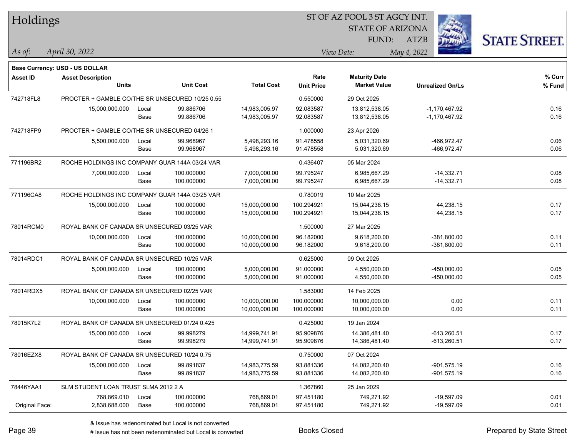| <b>Holdings</b> |                                                 |       |                  |                   | 51 OF AZ POOL 3 51 AGCY INT. |                         |                         |                      |  |  |
|-----------------|-------------------------------------------------|-------|------------------|-------------------|------------------------------|-------------------------|-------------------------|----------------------|--|--|
|                 |                                                 |       |                  |                   |                              | <b>STATE OF ARIZONA</b> |                         |                      |  |  |
|                 |                                                 |       |                  |                   |                              | FUND:                   | ATZB                    | <b>STATE STREET.</b> |  |  |
| $As$ of:        | April 30, 2022                                  |       |                  |                   |                              | View Date:              | May 4, 2022             |                      |  |  |
|                 |                                                 |       |                  |                   |                              |                         |                         |                      |  |  |
|                 | Base Currency: USD - US DOLLAR                  |       |                  |                   |                              |                         |                         |                      |  |  |
| <b>Asset ID</b> | <b>Asset Description</b>                        |       |                  |                   | Rate                         | <b>Maturity Date</b>    |                         | % Curr               |  |  |
|                 | <b>Units</b>                                    |       | <b>Unit Cost</b> | <b>Total Cost</b> | <b>Unit Price</b>            | <b>Market Value</b>     | <b>Unrealized Gn/Ls</b> | % Fund               |  |  |
| 742718FL8       | PROCTER + GAMBLE CO/THE SR UNSECURED 10/25 0.55 |       |                  |                   | 0.550000                     | 29 Oct 2025             |                         |                      |  |  |
|                 | 15,000,000.000                                  | Local | 99.886706        | 14,983,005.97     | 92.083587                    | 13,812,538.05           | $-1,170,467.92$         | 0.16                 |  |  |
|                 |                                                 | Base  | 99.886706        | 14,983,005.97     | 92.083587                    | 13,812,538.05           | $-1,170,467.92$         | 0.16                 |  |  |
| 742718FP9       | PROCTER + GAMBLE CO/THE SR UNSECURED 04/26 1    |       |                  |                   | 1.000000                     | 23 Apr 2026             |                         |                      |  |  |
|                 | 5,500,000.000                                   | Local | 99.968967        | 5,498,293.16      | 91.478558                    | 5,031,320.69            | -466,972.47             | 0.06                 |  |  |
|                 |                                                 | Base  | 99.968967        | 5,498,293.16      | 91.478558                    | 5,031,320.69            | -466,972.47             | 0.06                 |  |  |
| 771196BR2       | ROCHE HOLDINGS INC COMPANY GUAR 144A 03/24 VAR  |       |                  |                   | 0.436407                     | 05 Mar 2024             |                         |                      |  |  |
|                 | 7,000,000.000                                   | Local | 100.000000       | 7,000,000.00      | 99.795247                    | 6,985,667.29            | $-14,332.71$            | 0.08                 |  |  |
|                 |                                                 | Base  | 100.000000       | 7,000,000.00      | 99.795247                    | 6,985,667.29            | $-14,332.71$            | 0.08                 |  |  |
| 771196CA8       | ROCHE HOLDINGS INC COMPANY GUAR 144A 03/25 VAR  |       |                  |                   | 0.780019                     | 10 Mar 2025             |                         |                      |  |  |
|                 | 15,000,000.000                                  | Local | 100.000000       | 15,000,000.00     | 100.294921                   | 15,044,238.15           | 44,238.15               | 0.17                 |  |  |
|                 |                                                 | Base  | 100.000000       | 15,000,000.00     | 100.294921                   | 15,044,238.15           | 44,238.15               | 0.17                 |  |  |
| 78014RCM0       | ROYAL BANK OF CANADA SR UNSECURED 03/25 VAR     |       |                  |                   | 1.500000                     | 27 Mar 2025             |                         |                      |  |  |
|                 | 10,000,000.000                                  | Local | 100.000000       | 10,000,000.00     | 96.182000                    | 9,618,200.00            | $-381,800.00$           | 0.11                 |  |  |
|                 |                                                 | Base  | 100.000000       | 10,000,000.00     | 96.182000                    | 9,618,200.00            | $-381,800.00$           | 0.11                 |  |  |
| 78014RDC1       | ROYAL BANK OF CANADA SR UNSECURED 10/25 VAR     |       |                  |                   | 0.625000                     | 09 Oct 2025             |                         |                      |  |  |
|                 | 5,000,000.000                                   | Local | 100.000000       | 5,000,000.00      | 91.000000                    | 4,550,000.00            | -450,000.00             | 0.05                 |  |  |
|                 |                                                 | Base  | 100.000000       | 5,000,000.00      | 91.000000                    | 4,550,000.00            | $-450,000.00$           | 0.05                 |  |  |
| 78014RDX5       | ROYAL BANK OF CANADA SR UNSECURED 02/25 VAR     |       |                  |                   | 1.583000                     | 14 Feb 2025             |                         |                      |  |  |
|                 | 10,000,000.000                                  | Local | 100.000000       | 10,000,000.00     | 100.000000                   | 10,000,000.00           | 0.00                    | 0.11                 |  |  |
|                 |                                                 | Base  | 100.000000       | 10,000,000.00     | 100.000000                   | 10,000,000.00           | 0.00                    | 0.11                 |  |  |
| 78015K7L2       | ROYAL BANK OF CANADA SR UNSECURED 01/24 0.425   |       |                  |                   | 0.425000                     | 19 Jan 2024             |                         |                      |  |  |
|                 | 15,000,000.000                                  | Local | 99.998279        | 14,999,741.91     | 95.909876                    | 14,386,481.40           | $-613,260.51$           | 0.17                 |  |  |
|                 |                                                 | Base  | 99.998279        | 14,999,741.91     | 95.909876                    | 14,386,481.40           | -613,260.51             | 0.17                 |  |  |
| 78016EZX8       | ROYAL BANK OF CANADA SR UNSECURED 10/24 0.75    |       |                  |                   | 0.750000                     | 07 Oct 2024             |                         |                      |  |  |
|                 | 15,000,000.000                                  | Local | 99.891837        | 14,983,775.59     | 93.881336                    | 14,082,200.40           | $-901,575.19$           | 0.16                 |  |  |
|                 |                                                 | Base  | 99.891837        | 14,983,775.59     | 93.881336                    | 14,082,200.40           | $-901,575.19$           | 0.16                 |  |  |
| 78446YAA1       | SLM STUDENT LOAN TRUST SLMA 2012 2 A            |       |                  |                   | 1.367860                     | 25 Jan 2029             |                         |                      |  |  |
|                 | 768,869.010                                     | Local | 100.000000       | 768,869.01        | 97.451180                    | 749,271.92              | $-19,597.09$            | 0.01                 |  |  |
| Original Face:  | 2,838,688.000                                   | Base  | 100.000000       | 768,869.01        | 97.451180                    | 749,271.92              | $-19,597.09$            | 0.01                 |  |  |

ST OF A Z POOL 2 ST ACCV INT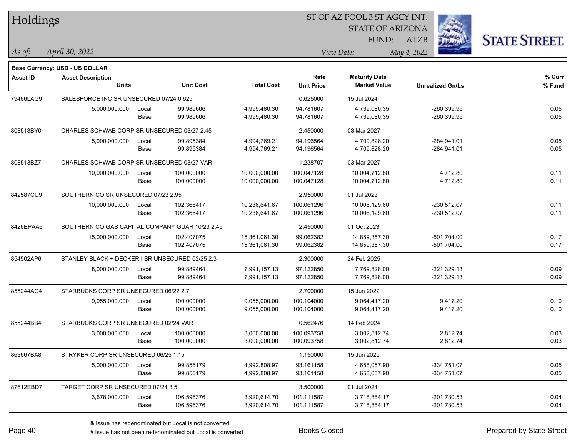| Holdings        |                                                 |       |                  |                   | 51 OF AZ POOL 3 51 AGCY INT. |                         |                         |                      |  |  |  |
|-----------------|-------------------------------------------------|-------|------------------|-------------------|------------------------------|-------------------------|-------------------------|----------------------|--|--|--|
|                 |                                                 |       |                  |                   |                              | <b>STATE OF ARIZONA</b> | i.                      |                      |  |  |  |
|                 |                                                 |       |                  |                   |                              | FUND:                   | ATZB                    | <b>STATE STREET.</b> |  |  |  |
| As of:          | April 30, 2022                                  |       |                  |                   |                              | View Date:              | May 4, 2022             |                      |  |  |  |
|                 |                                                 |       |                  |                   |                              |                         |                         |                      |  |  |  |
|                 | <b>Base Currency: USD - US DOLLAR</b>           |       |                  |                   |                              |                         |                         |                      |  |  |  |
| <b>Asset ID</b> | <b>Asset Description</b>                        |       |                  |                   | Rate                         | <b>Maturity Date</b>    |                         | % Curr               |  |  |  |
|                 | <b>Units</b>                                    |       | <b>Unit Cost</b> | <b>Total Cost</b> | <b>Unit Price</b>            | <b>Market Value</b>     | <b>Unrealized Gn/Ls</b> | % Fund               |  |  |  |
| 79466LAG9       | SALESFORCE INC SR UNSECURED 07/24 0.625         |       |                  |                   | 0.625000                     | 15 Jul 2024             |                         |                      |  |  |  |
|                 | 5,000,000.000                                   | Local | 99.989606        | 4,999,480.30      | 94.781607                    | 4,739,080.35            | $-260,399.95$           | 0.05                 |  |  |  |
|                 |                                                 | Base  | 99.989606        | 4,999,480.30      | 94.781607                    | 4,739,080.35            | $-260,399.95$           | 0.05                 |  |  |  |
| 808513BY0       | CHARLES SCHWAB CORP SR UNSECURED 03/27 2.45     |       |                  |                   | 2.450000                     | 03 Mar 2027             |                         |                      |  |  |  |
|                 | 5,000,000.000                                   | Local | 99.895384        | 4,994,769.21      | 94.196564                    | 4,709,828.20            | $-284,941.01$           | 0.05                 |  |  |  |
|                 |                                                 | Base  | 99.895384        | 4,994,769.21      | 94.196564                    | 4,709,828.20            | $-284,941.01$           | 0.05                 |  |  |  |
| 808513BZ7       | CHARLES SCHWAB CORP SR UNSECURED 03/27 VAR      |       |                  |                   | 1.238707                     | 03 Mar 2027             |                         |                      |  |  |  |
|                 | 10,000,000.000                                  | Local | 100.000000       | 10,000,000.00     | 100.047128                   | 10,004,712.80           | 4,712.80                | 0.11                 |  |  |  |
|                 |                                                 | Base  | 100.000000       | 10,000,000.00     | 100.047128                   | 10,004,712.80           | 4,712.80                | 0.11                 |  |  |  |
| 842587CU9       | SOUTHERN CO SR UNSECURED 07/23 2.95             |       |                  |                   | 2.950000                     | 01 Jul 2023             |                         |                      |  |  |  |
|                 | 10,000,000.000                                  | Local | 102.366417       | 10,236,641.67     | 100.061296                   | 10,006,129.60           | $-230,512.07$           | 0.11                 |  |  |  |
|                 |                                                 | Base  | 102.366417       | 10,236,641.67     | 100.061296                   | 10,006,129.60           | -230,512.07             | 0.11                 |  |  |  |
| 8426EPAA6       | SOUTHERN CO GAS CAPITAL COMPANY GUAR 10/23 2.45 |       |                  |                   | 2.450000                     | 01 Oct 2023             |                         |                      |  |  |  |
|                 | 15,000,000.000                                  | Local | 102.407075       | 15,361,061.30     | 99.062382                    | 14,859,357.30           | $-501,704.00$           | 0.17                 |  |  |  |
|                 |                                                 | Base  | 102.407075       | 15,361,061.30     | 99.062382                    | 14,859,357.30           | $-501,704.00$           | 0.17                 |  |  |  |
| 854502AP6       | STANLEY BLACK + DECKER I SR UNSECURED 02/25 2.3 |       |                  |                   | 2.300000                     | 24 Feb 2025             |                         |                      |  |  |  |
|                 | 8,000,000.000                                   | Local | 99.889464        | 7,991,157.13      | 97.122850                    | 7,769,828.00            | $-221,329.13$           | 0.09                 |  |  |  |
|                 |                                                 | Base  | 99.889464        | 7,991,157.13      | 97.122850                    | 7,769,828.00            | $-221,329.13$           | 0.09                 |  |  |  |
| 855244AG4       | STARBUCKS CORP SR UNSECURED 06/22 2.7           |       |                  |                   | 2.700000                     | 15 Jun 2022             |                         |                      |  |  |  |
|                 | 9,055,000.000                                   | Local | 100.000000       | 9,055,000.00      | 100.104000                   | 9,064,417.20            | 9,417.20                | 0.10                 |  |  |  |
|                 |                                                 | Base  | 100.000000       | 9,055,000.00      | 100.104000                   | 9,064,417.20            | 9,417.20                | 0.10                 |  |  |  |
| 855244BB4       | STARBUCKS CORP SR UNSECURED 02/24 VAR           |       |                  |                   | 0.562476                     | 14 Feb 2024             |                         |                      |  |  |  |
|                 | 3,000,000.000                                   | Local | 100.000000       | 3,000,000.00      | 100.093758                   | 3,002,812.74            | 2,812.74                | 0.03                 |  |  |  |
|                 |                                                 | Base  | 100.000000       | 3,000,000.00      | 100.093758                   | 3,002,812.74            | 2,812.74                | 0.03                 |  |  |  |
| 863667BA8       | STRYKER CORP SR UNSECURED 06/25 1.15            |       |                  |                   | 1.150000                     | 15 Jun 2025             |                         |                      |  |  |  |
|                 | 5,000,000.000                                   | Local | 99.856179        | 4,992,808.97      | 93.161158                    | 4,658,057.90            | $-334,751.07$           | 0.05                 |  |  |  |
|                 |                                                 | Base  | 99.856179        | 4,992,808.97      | 93.161158                    | 4,658,057.90            | $-334,751.07$           | 0.05                 |  |  |  |
| 87612EBD7       | TARGET CORP SR UNSECURED 07/24 3.5              |       |                  |                   | 3.500000                     | 01 Jul 2024             |                         |                      |  |  |  |
|                 | 3,678,000.000                                   | Local | 106.596376       | 3,920,614.70      | 101.111587                   | 3,718,884.17            | $-201,730.53$           | 0.04                 |  |  |  |
|                 |                                                 | Base  | 106.596376       | 3,920,614.70      | 101.111587                   | 3,718,884.17            | $-201,730.53$           | 0.04                 |  |  |  |
|                 |                                                 |       |                  |                   |                              |                         |                         |                      |  |  |  |

 $\overline{\text{SUSP}}$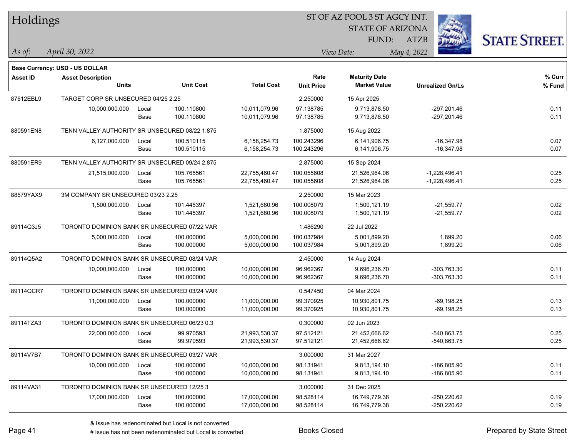| Holdings        |                                                |       |                  |                   | ST OF AZ POOL 3 ST AGCY INT. |                         |                         |                      |  |  |
|-----------------|------------------------------------------------|-------|------------------|-------------------|------------------------------|-------------------------|-------------------------|----------------------|--|--|
|                 |                                                |       |                  |                   |                              | <b>STATE OF ARIZONA</b> |                         |                      |  |  |
|                 |                                                |       |                  |                   |                              | FUND:                   | ATZB                    | <b>STATE STREET.</b> |  |  |
| As of:          | April 30, 2022                                 |       |                  |                   |                              | View Date:              | May 4, 2022             |                      |  |  |
|                 | Base Currency: USD - US DOLLAR                 |       |                  |                   |                              |                         |                         |                      |  |  |
| <b>Asset ID</b> | <b>Asset Description</b>                       |       |                  |                   | Rate                         | <b>Maturity Date</b>    |                         | % Curr               |  |  |
|                 | <b>Units</b>                                   |       | <b>Unit Cost</b> | <b>Total Cost</b> | <b>Unit Price</b>            | <b>Market Value</b>     | <b>Unrealized Gn/Ls</b> | % Fund               |  |  |
| 87612EBL9       | TARGET CORP SR UNSECURED 04/25 2.25            |       |                  |                   | 2.250000                     | 15 Apr 2025             |                         |                      |  |  |
|                 | 10,000,000.000                                 | Local | 100.110800       | 10,011,079.96     | 97.138785                    | 9,713,878.50            | $-297,201.46$           | 0.11                 |  |  |
|                 |                                                | Base  | 100.110800       | 10,011,079.96     | 97.138785                    | 9,713,878.50            | $-297,201.46$           | 0.11                 |  |  |
| 880591EN8       | TENN VALLEY AUTHORITY SR UNSECURED 08/22 1.875 |       |                  |                   | 1.875000                     | 15 Aug 2022             |                         |                      |  |  |
|                 | 6,127,000.000                                  | Local | 100.510115       | 6,158,254.73      | 100.243296                   | 6,141,906.75            | $-16,347.98$            | 0.07                 |  |  |
|                 |                                                | Base  | 100.510115       | 6,158,254.73      | 100.243296                   | 6,141,906.75            | $-16,347.98$            | 0.07                 |  |  |
| 880591ER9       | TENN VALLEY AUTHORITY SR UNSECURED 09/24 2.875 |       |                  |                   | 2.875000                     | 15 Sep 2024             |                         |                      |  |  |
|                 | 21,515,000.000                                 | Local | 105.765561       | 22,755,460.47     | 100.055608                   | 21,526,964.06           | $-1,228,496.41$         | 0.25                 |  |  |
|                 |                                                | Base  | 105.765561       | 22,755,460.47     | 100.055608                   | 21,526,964.06           | $-1,228,496.41$         | 0.25                 |  |  |
| 88579YAX9       | 3M COMPANY SR UNSECURED 03/23 2.25             |       |                  |                   | 2.250000                     | 15 Mar 2023             |                         |                      |  |  |
|                 | 1,500,000.000                                  | Local | 101.445397       | 1,521,680.96      | 100.008079                   | 1,500,121.19            | $-21,559.77$            | 0.02                 |  |  |
|                 |                                                | Base  | 101.445397       | 1,521,680.96      | 100.008079                   | 1,500,121.19            | $-21,559.77$            | 0.02                 |  |  |
| 89114Q3J5       | TORONTO DOMINION BANK SR UNSECURED 07/22 VAR   |       |                  |                   | 1.486290                     | 22 Jul 2022             |                         |                      |  |  |
|                 | 5,000,000.000                                  | Local | 100.000000       | 5,000,000.00      | 100.037984                   | 5,001,899.20            | 1,899.20                | 0.06                 |  |  |
|                 |                                                | Base  | 100.000000       | 5,000,000.00      | 100.037984                   | 5,001,899.20            | 1,899.20                | 0.06                 |  |  |
| 89114Q5A2       | TORONTO DOMINION BANK SR UNSECURED 08/24 VAR   |       |                  |                   | 2.450000                     | 14 Aug 2024             |                         |                      |  |  |
|                 | 10,000,000.000                                 | Local | 100.000000       | 10,000,000.00     | 96.962367                    | 9,696,236.70            | -303,763.30             | 0.11                 |  |  |
|                 |                                                | Base  | 100.000000       | 10,000,000.00     | 96.962367                    | 9,696,236.70            | -303,763.30             | 0.11                 |  |  |
| 89114QCR7       | TORONTO DOMINION BANK SR UNSECURED 03/24 VAR   |       |                  |                   | 0.547450                     | 04 Mar 2024             |                         |                      |  |  |
|                 | 11,000,000.000                                 | Local | 100.000000       | 11,000,000.00     | 99.370925                    | 10,930,801.75           | $-69, 198.25$           | 0.13                 |  |  |
|                 |                                                | Base  | 100.000000       | 11,000,000.00     | 99.370925                    | 10,930,801.75           | $-69,198.25$            | 0.13                 |  |  |
| 89114TZA3       | TORONTO DOMINION BANK SR UNSECURED 06/23 0.3   |       |                  |                   | 0.300000                     | 02 Jun 2023             |                         |                      |  |  |
|                 | 22,000,000.000                                 | Local | 99.970593        | 21,993,530.37     | 97.512121                    | 21,452,666.62           | -540,863.75             | 0.25                 |  |  |
|                 |                                                | Base  | 99.970593        | 21,993,530.37     | 97.512121                    | 21,452,666.62           | -540,863.75             | 0.25                 |  |  |
| 89114V7B7       | TORONTO DOMINION BANK SR UNSECURED 03/27 VAR   |       |                  |                   | 3.000000                     | 31 Mar 2027             |                         |                      |  |  |
|                 | 10,000,000.000                                 | Local | 100.000000       | 10,000,000.00     | 98.131941                    | 9,813,194.10            | -186,805.90             | 0.11                 |  |  |
|                 |                                                | Base  | 100.000000       | 10,000,000.00     | 98.131941                    | 9,813,194.10            | -186,805.90             | 0.11                 |  |  |
| 89114VA31       | TORONTO DOMINION BANK SR UNSECURED 12/25 3     |       |                  |                   | 3.000000                     | 31 Dec 2025             |                         |                      |  |  |
|                 | 17,000,000.000                                 | Local | 100.000000       | 17,000,000.00     | 98.528114                    | 16,749,779.38           | $-250,220.62$           | 0.19                 |  |  |
|                 |                                                | Base  | 100.000000       | 17,000,000.00     | 98.528114                    | 16,749,779.38           | -250,220.62             | 0.19                 |  |  |
|                 |                                                |       |                  |                   |                              |                         |                         |                      |  |  |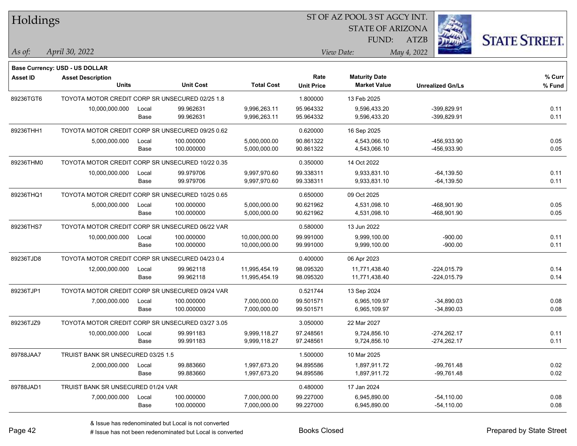| Holdings        |                                                  |       |                  |                   |                   | ST OF AZ POOL 3 ST AGCY INT. |             |                         |                      |
|-----------------|--------------------------------------------------|-------|------------------|-------------------|-------------------|------------------------------|-------------|-------------------------|----------------------|
|                 |                                                  |       |                  |                   |                   | <b>STATE OF ARIZONA</b>      |             |                         |                      |
|                 |                                                  |       |                  |                   |                   | FUND:                        | <b>ATZB</b> |                         | <b>STATE STREET.</b> |
| As of:          | April 30, 2022                                   |       |                  |                   |                   | View Date:                   | May 4, 2022 |                         |                      |
|                 | <b>Base Currency: USD - US DOLLAR</b>            |       |                  |                   |                   |                              |             |                         |                      |
| <b>Asset ID</b> | <b>Asset Description</b>                         |       |                  |                   | Rate              | <b>Maturity Date</b>         |             |                         | % Curr               |
|                 | <b>Units</b>                                     |       | <b>Unit Cost</b> | <b>Total Cost</b> | <b>Unit Price</b> | <b>Market Value</b>          |             | <b>Unrealized Gn/Ls</b> | % Fund               |
| 89236TGT6       | TOYOTA MOTOR CREDIT CORP SR UNSECURED 02/25 1.8  |       |                  |                   | 1.800000          | 13 Feb 2025                  |             |                         |                      |
|                 | 10,000,000.000                                   | Local | 99.962631        | 9,996,263.11      | 95.964332         | 9,596,433.20                 |             | -399,829.91             | 0.11                 |
|                 |                                                  | Base  | 99.962631        | 9,996,263.11      | 95.964332         | 9,596,433.20                 |             | -399,829.91             | 0.11                 |
| 89236THH1       | TOYOTA MOTOR CREDIT CORP SR UNSECURED 09/25 0.62 |       |                  |                   | 0.620000          | 16 Sep 2025                  |             |                         |                      |
|                 | 5,000,000.000                                    | Local | 100.000000       | 5,000,000.00      | 90.861322         | 4,543,066.10                 |             | -456,933.90             | 0.05                 |
|                 |                                                  | Base  | 100.000000       | 5,000,000.00      | 90.861322         | 4,543,066.10                 |             | -456,933.90             | 0.05                 |
| 89236THM0       | TOYOTA MOTOR CREDIT CORP SR UNSECURED 10/22 0.35 |       |                  |                   | 0.350000          | 14 Oct 2022                  |             |                         |                      |
|                 | 10,000,000.000                                   | Local | 99.979706        | 9,997,970.60      | 99.338311         | 9,933,831.10                 |             | $-64, 139.50$           | 0.11                 |
|                 |                                                  | Base  | 99.979706        | 9,997,970.60      | 99.338311         | 9,933,831.10                 |             | $-64, 139.50$           | 0.11                 |
| 89236THQ1       | TOYOTA MOTOR CREDIT CORP SR UNSECURED 10/25 0.65 |       |                  |                   | 0.650000          | 09 Oct 2025                  |             |                         |                      |
|                 | 5,000,000.000                                    | Local | 100.000000       | 5,000,000.00      | 90.621962         | 4,531,098.10                 |             | -468,901.90             | 0.05                 |
|                 |                                                  | Base  | 100.000000       | 5,000,000.00      | 90.621962         | 4,531,098.10                 |             | -468,901.90             | 0.05                 |
| 89236THS7       | TOYOTA MOTOR CREDIT CORP SR UNSECURED 06/22 VAR  |       |                  |                   | 0.580000          | 13 Jun 2022                  |             |                         |                      |
|                 | 10,000,000.000                                   | Local | 100.000000       | 10,000,000.00     | 99.991000         | 9,999,100.00                 |             | -900.00                 | 0.11                 |
|                 |                                                  | Base  | 100.000000       | 10,000,000.00     | 99.991000         | 9,999,100.00                 |             | $-900.00$               | 0.11                 |
| 89236TJD8       | TOYOTA MOTOR CREDIT CORP SR UNSECURED 04/23 0.4  |       |                  |                   | 0.400000          | 06 Apr 2023                  |             |                         |                      |
|                 | 12,000,000.000                                   | Local | 99.962118        | 11,995,454.19     | 98.095320         | 11,771,438.40                |             | $-224,015.79$           | 0.14                 |
|                 |                                                  | Base  | 99.962118        | 11,995,454.19     | 98.095320         | 11,771,438.40                |             | $-224,015.79$           | 0.14                 |
| 89236TJP1       | TOYOTA MOTOR CREDIT CORP SR UNSECURED 09/24 VAR  |       |                  |                   | 0.521744          | 13 Sep 2024                  |             |                         |                      |
|                 | 7,000,000.000                                    | Local | 100.000000       | 7,000,000.00      | 99.501571         | 6,965,109.97                 |             | $-34,890.03$            | 0.08                 |
|                 |                                                  | Base  | 100.000000       | 7,000,000.00      | 99.501571         | 6,965,109.97                 |             | $-34,890.03$            | 0.08                 |
| 89236TJZ9       | TOYOTA MOTOR CREDIT CORP SR UNSECURED 03/27 3.05 |       |                  |                   | 3.050000          | 22 Mar 2027                  |             |                         |                      |
|                 | 10,000,000.000                                   | Local | 99.991183        | 9,999,118.27      | 97.248561         | 9,724,856.10                 |             | $-274,262.17$           | 0.11                 |
|                 |                                                  | Base  | 99.991183        | 9,999,118.27      | 97.248561         | 9,724,856.10                 |             | $-274,262.17$           | 0.11                 |
| 89788JAA7       | TRUIST BANK SR UNSECURED 03/25 1.5               |       |                  |                   | 1.500000          | 10 Mar 2025                  |             |                         |                      |
|                 | 2,000,000.000                                    | Local | 99.883660        | 1,997,673.20      | 94.895586         | 1,897,911.72                 |             | $-99,761.48$            | 0.02                 |
|                 |                                                  | Base  | 99.883660        | 1,997,673.20      | 94.895586         | 1,897,911.72                 |             | $-99,761.48$            | 0.02                 |
| 89788JAD1       | TRUIST BANK SR UNSECURED 01/24 VAR               |       |                  |                   | 0.480000          | 17 Jan 2024                  |             |                         |                      |
|                 | 7,000,000.000                                    | Local | 100.000000       | 7,000,000.00      | 99.227000         | 6,945,890.00                 |             | $-54,110.00$            | 0.08                 |
|                 |                                                  | Base  | 100.000000       | 7,000,000.00      | 99.227000         | 6,945,890.00                 |             | $-54,110.00$            | 0.08                 |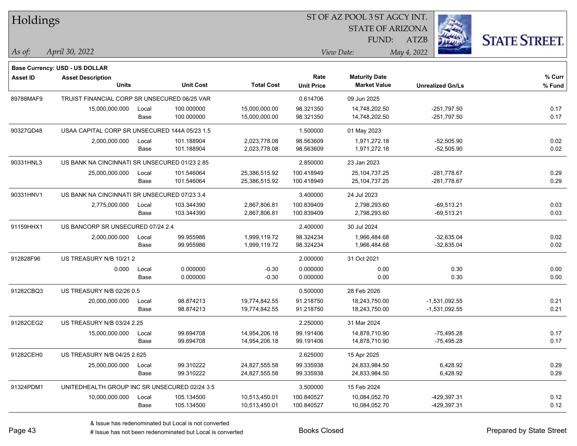| Holdings        |                                               |       |                  |                   | 51 OF AZ POOL 3 51 AGCY INT.<br>Ź. |                         |                         |                      |  |  |
|-----------------|-----------------------------------------------|-------|------------------|-------------------|------------------------------------|-------------------------|-------------------------|----------------------|--|--|
|                 |                                               |       |                  |                   |                                    | <b>STATE OF ARIZONA</b> |                         |                      |  |  |
|                 |                                               |       |                  |                   |                                    | FUND:                   | ATZB                    | <b>STATE STREET.</b> |  |  |
| $\vert$ As of:  | April 30, 2022                                |       |                  |                   |                                    | View Date:              | May 4, 2022             |                      |  |  |
|                 |                                               |       |                  |                   |                                    |                         |                         |                      |  |  |
|                 | <b>Base Currency: USD - US DOLLAR</b>         |       |                  |                   | Rate                               | <b>Maturity Date</b>    |                         | % Curr               |  |  |
| <b>Asset ID</b> | <b>Asset Description</b><br><b>Units</b>      |       | <b>Unit Cost</b> | <b>Total Cost</b> | <b>Unit Price</b>                  | <b>Market Value</b>     | <b>Unrealized Gn/Ls</b> | % Fund               |  |  |
| 89788MAF9       | TRUIST FINANCIAL CORP SR UNSECURED 06/25 VAR  |       |                  |                   | 0.614706                           | 09 Jun 2025             |                         |                      |  |  |
|                 | 15,000,000.000                                | Local | 100.000000       | 15,000,000.00     | 98.321350                          | 14,748,202.50           | $-251,797.50$           | 0.17                 |  |  |
|                 |                                               | Base  | 100.000000       | 15,000,000.00     | 98.321350                          | 14,748,202.50           | $-251,797.50$           | 0.17                 |  |  |
| 90327QD48       | USAA CAPITAL CORP SR UNSECURED 144A 05/23 1.5 |       |                  |                   | 1.500000                           | 01 May 2023             |                         |                      |  |  |
|                 | 2,000,000.000                                 | Local | 101.188904       | 2,023,778.08      | 98.563609                          | 1,971,272.18            | $-52,505.90$            | 0.02                 |  |  |
|                 |                                               | Base  | 101.188904       | 2,023,778.08      | 98.563609                          | 1,971,272.18            | $-52,505.90$            | 0.02                 |  |  |
| 90331HNL3       | US BANK NA CINCINNATI SR UNSECURED 01/23 2.85 |       |                  |                   | 2.850000                           | 23 Jan 2023             |                         |                      |  |  |
|                 | 25,000,000.000                                | Local | 101.546064       | 25,386,515.92     | 100.418949                         | 25,104,737.25           | $-281,778.67$           | 0.29                 |  |  |
|                 |                                               | Base  | 101.546064       | 25,386,515.92     | 100.418949                         | 25, 104, 737. 25        | $-281,778.67$           | 0.29                 |  |  |
| 90331HNV1       | US BANK NA CINCINNATI SR UNSECURED 07/23 3.4  |       |                  |                   | 3.400000                           | 24 Jul 2023             |                         |                      |  |  |
|                 | 2,775,000.000                                 | Local | 103.344390       | 2,867,806.81      | 100.839409                         | 2,798,293.60            | $-69,513.21$            | 0.03                 |  |  |
|                 |                                               | Base  | 103.344390       | 2,867,806.81      | 100.839409                         | 2,798,293.60            | $-69,513.21$            | 0.03                 |  |  |
| 91159HHX1       | US BANCORP SR UNSECURED 07/24 2.4             |       |                  |                   | 2.400000                           | 30 Jul 2024             |                         |                      |  |  |
|                 | 2,000,000.000                                 | Local | 99.955986        | 1,999,119.72      | 98.324234                          | 1,966,484.68            | $-32,635.04$            | 0.02                 |  |  |
|                 |                                               | Base  | 99.955986        | 1,999,119.72      | 98.324234                          | 1,966,484.68            | $-32,635.04$            | 0.02                 |  |  |
| 912828F96       | US TREASURY N/B 10/21 2                       |       |                  |                   | 2.000000                           | 31 Oct 2021             |                         |                      |  |  |
|                 | 0.000                                         | Local | 0.000000         | $-0.30$           | 0.000000                           | 0.00                    | 0.30                    | 0.00                 |  |  |
|                 |                                               | Base  | 0.000000         | $-0.30$           | 0.000000                           | 0.00                    | 0.30                    | 0.00                 |  |  |
| 91282CBQ3       | US TREASURY N/B 02/26 0.5                     |       |                  |                   | 0.500000                           | 28 Feb 2026             |                         |                      |  |  |
|                 | 20,000,000.000                                | Local | 98.874213        | 19,774,842.55     | 91.218750                          | 18,243,750.00           | $-1,531,092.55$         | 0.21                 |  |  |
|                 |                                               | Base  | 98.874213        | 19,774,842.55     | 91.218750                          | 18,243,750.00           | $-1,531,092.55$         | 0.21                 |  |  |
| 91282CEG2       | <b>US TREASURY N/B 03/24 2.25</b>             |       |                  |                   | 2.250000                           | 31 Mar 2024             |                         |                      |  |  |
|                 | 15,000,000.000                                | Local | 99.694708        | 14,954,206.18     | 99.191406                          | 14,878,710.90           | $-75.495.28$            | 0.17                 |  |  |
|                 |                                               | Base  | 99.694708        | 14,954,206.18     | 99.191406                          | 14,878,710.90           | $-75,495.28$            | 0.17                 |  |  |
| 91282CEH0       | US TREASURY N/B 04/25 2.625                   |       |                  |                   | 2.625000                           | 15 Apr 2025             |                         |                      |  |  |
|                 | 25,000,000.000                                | Local | 99.310222        | 24,827,555.58     | 99.335938                          | 24,833,984.50           | 6,428.92                | 0.29                 |  |  |
|                 |                                               | Base  | 99.310222        | 24,827,555.58     | 99.335938                          | 24,833,984.50           | 6,428.92                | 0.29                 |  |  |
| 91324PDM1       | UNITEDHEALTH GROUP INC SR UNSECURED 02/24 3.5 |       |                  |                   | 3.500000                           | 15 Feb 2024             |                         |                      |  |  |
|                 | 10,000,000.000                                | Local | 105.134500       | 10,513,450.01     | 100.840527                         | 10,084,052.70           | -429,397.31             | 0.12                 |  |  |
|                 |                                               | Base  | 105.134500       | 10,513,450.01     | 100.840527                         | 10,084,052.70           | -429,397.31             | 0.12                 |  |  |
|                 |                                               |       |                  |                   |                                    |                         |                         |                      |  |  |

 $\overline{S}$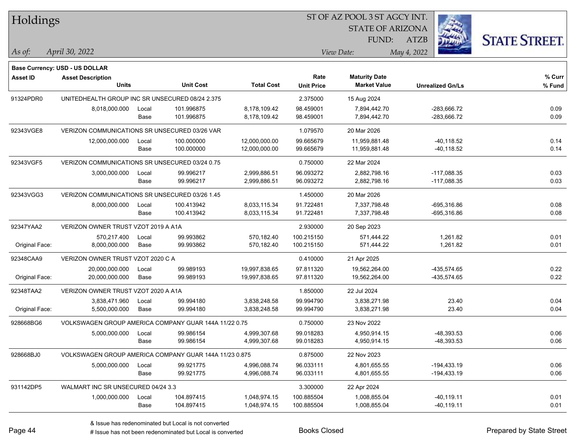| Holdings        |                                                            |       |                  |                   | ST OF AZ POOL 3 ST AGCY INT. |                         |                         |                      |  |  |
|-----------------|------------------------------------------------------------|-------|------------------|-------------------|------------------------------|-------------------------|-------------------------|----------------------|--|--|
|                 |                                                            |       |                  |                   |                              | <b>STATE OF ARIZONA</b> |                         |                      |  |  |
|                 |                                                            |       |                  |                   |                              | FUND:                   | ATZB                    | <b>STATE STREET.</b> |  |  |
| As of:          | April 30, 2022                                             |       |                  |                   |                              | View Date:              | May 4, 2022             |                      |  |  |
|                 |                                                            |       |                  |                   |                              |                         |                         |                      |  |  |
| <b>Asset ID</b> | Base Currency: USD - US DOLLAR<br><b>Asset Description</b> |       |                  |                   | Rate                         | <b>Maturity Date</b>    |                         | % Curr               |  |  |
|                 | <b>Units</b>                                               |       | <b>Unit Cost</b> | <b>Total Cost</b> | <b>Unit Price</b>            | <b>Market Value</b>     | <b>Unrealized Gn/Ls</b> | % Fund               |  |  |
| 91324PDR0       | UNITEDHEALTH GROUP INC SR UNSECURED 08/24 2.375            |       |                  |                   | 2.375000                     | 15 Aug 2024             |                         |                      |  |  |
|                 | 8,018,000.000                                              | Local | 101.996875       | 8,178,109.42      | 98.459001                    | 7,894,442.70            | -283,666.72             | 0.09                 |  |  |
|                 |                                                            | Base  | 101.996875       | 8,178,109.42      | 98.459001                    | 7,894,442.70            | -283,666.72             | 0.09                 |  |  |
| 92343VGE8       | VERIZON COMMUNICATIONS SR UNSECURED 03/26 VAR              |       |                  |                   | 1.079570                     | 20 Mar 2026             |                         |                      |  |  |
|                 | 12,000,000.000                                             | Local | 100.000000       | 12,000,000.00     | 99.665679                    | 11,959,881.48           | -40,118.52              | 0.14                 |  |  |
|                 |                                                            | Base  | 100.000000       | 12,000,000.00     | 99.665679                    | 11,959,881.48           | $-40,118.52$            | 0.14                 |  |  |
| 92343VGF5       | VERIZON COMMUNICATIONS SR UNSECURED 03/24 0.75             |       |                  |                   | 0.750000                     | 22 Mar 2024             |                         |                      |  |  |
|                 | 3,000,000.000                                              | Local | 99.996217        | 2,999,886.51      | 96.093272                    | 2,882,798.16            | $-117,088.35$           | 0.03                 |  |  |
|                 |                                                            | Base  | 99.996217        | 2,999,886.51      | 96.093272                    | 2,882,798.16            | $-117,088.35$           | 0.03                 |  |  |
| 92343VGG3       | VERIZON COMMUNICATIONS SR UNSECURED 03/26 1.45             |       |                  |                   | 1.450000                     | 20 Mar 2026             |                         |                      |  |  |
|                 | 8,000,000.000                                              | Local | 100.413942       | 8,033,115.34      | 91.722481                    | 7,337,798.48            | $-695,316.86$           | 0.08                 |  |  |
|                 |                                                            | Base  | 100.413942       | 8,033,115.34      | 91.722481                    | 7,337,798.48            | -695,316.86             | 0.08                 |  |  |
| 92347YAA2       | VERIZON OWNER TRUST VZOT 2019 A A1A                        |       |                  |                   | 2.930000                     | 20 Sep 2023             |                         |                      |  |  |
|                 | 570,217.400                                                | Local | 99.993862        | 570,182.40        | 100.215150                   | 571,444.22              | 1,261.82                | 0.01                 |  |  |
| Original Face:  | 8,000,000.000                                              | Base  | 99.993862        | 570,182.40        | 100.215150                   | 571,444.22              | 1,261.82                | 0.01                 |  |  |
| 92348CAA9       | VERIZON OWNER TRUST VZOT 2020 C A                          |       |                  |                   | 0.410000                     | 21 Apr 2025             |                         |                      |  |  |
|                 | 20,000,000.000                                             | Local | 99.989193        | 19,997,838.65     | 97.811320                    | 19,562,264.00           | -435,574.65             | 0.22                 |  |  |
| Original Face:  | 20,000,000.000                                             | Base  | 99.989193        | 19,997,838.65     | 97.811320                    | 19,562,264.00           | -435,574.65             | 0.22                 |  |  |
| 92348TAA2       | VERIZON OWNER TRUST VZOT 2020 A A1A                        |       |                  |                   | 1.850000                     | 22 Jul 2024             |                         |                      |  |  |
|                 | 3,838,471.960                                              | Local | 99.994180        | 3,838,248.58      | 99.994790                    | 3,838,271.98            | 23.40                   | 0.04                 |  |  |
| Original Face:  | 5,500,000.000                                              | Base  | 99.994180        | 3,838,248.58      | 99.994790                    | 3,838,271.98            | 23.40                   | 0.04                 |  |  |
| 928668BG6       | VOLKSWAGEN GROUP AMERICA COMPANY GUAR 144A 11/22 0.75      |       |                  |                   | 0.750000                     | 23 Nov 2022             |                         |                      |  |  |
|                 | 5,000,000.000                                              | Local | 99.986154        | 4,999,307.68      | 99.018283                    | 4,950,914.15            | -48,393.53              | 0.06                 |  |  |
|                 |                                                            | Base  | 99.986154        | 4,999,307.68      | 99.018283                    | 4,950,914.15            | -48,393.53              | 0.06                 |  |  |
| 928668BJ0       | VOLKSWAGEN GROUP AMERICA COMPANY GUAR 144A 11/23 0.875     |       |                  |                   | 0.875000                     | 22 Nov 2023             |                         |                      |  |  |
|                 | 5,000,000.000                                              | Local | 99.921775        | 4,996,088.74      | 96.033111                    | 4,801,655.55            | $-194,433.19$           | 0.06                 |  |  |
|                 |                                                            | Base  | 99.921775        | 4,996,088.74      | 96.033111                    | 4,801,655.55            | $-194,433.19$           | 0.06                 |  |  |
| 931142DP5       | WALMART INC SR UNSECURED 04/24 3.3                         |       |                  |                   | 3.300000                     | 22 Apr 2024             |                         |                      |  |  |
|                 | 1,000,000.000                                              | Local | 104.897415       | 1,048,974.15      | 100.885504                   | 1,008,855.04            | $-40, 119.11$           | 0.01                 |  |  |
|                 |                                                            | Base  | 104.897415       | 1,048,974.15      | 100.885504                   | 1,008,855.04            | $-40,119.11$            | 0.01                 |  |  |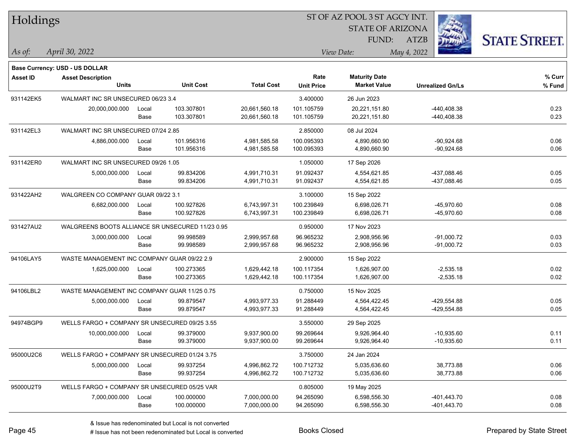| Holdings        |                                                  |       |                  |                   | ST OF AZ POOL 3 ST AGCY INT. |                         |                         |                      |  |  |
|-----------------|--------------------------------------------------|-------|------------------|-------------------|------------------------------|-------------------------|-------------------------|----------------------|--|--|
|                 |                                                  |       |                  |                   |                              | <b>STATE OF ARIZONA</b> |                         |                      |  |  |
|                 |                                                  |       |                  |                   |                              | FUND:                   | <b>ATZB</b>             | <b>STATE STREET.</b> |  |  |
| As of:          | April 30, 2022                                   |       |                  |                   |                              | View Date:              | May 4, 2022             |                      |  |  |
|                 |                                                  |       |                  |                   |                              |                         |                         |                      |  |  |
|                 | Base Currency: USD - US DOLLAR                   |       |                  |                   | Rate                         | <b>Maturity Date</b>    |                         | % Curr               |  |  |
| <b>Asset ID</b> | <b>Asset Description</b><br><b>Units</b>         |       | <b>Unit Cost</b> | <b>Total Cost</b> | <b>Unit Price</b>            | <b>Market Value</b>     | <b>Unrealized Gn/Ls</b> | % Fund               |  |  |
| 931142EK5       | WALMART INC SR UNSECURED 06/23 3.4               |       |                  |                   | 3.400000                     | 26 Jun 2023             |                         |                      |  |  |
|                 | 20,000,000.000                                   | Local | 103.307801       | 20,661,560.18     | 101.105759                   | 20,221,151.80           | -440,408.38             | 0.23                 |  |  |
|                 |                                                  | Base  | 103.307801       | 20,661,560.18     | 101.105759                   | 20,221,151.80           | -440,408.38             | 0.23                 |  |  |
| 931142EL3       | WALMART INC SR UNSECURED 07/24 2.85              |       |                  |                   | 2.850000                     | 08 Jul 2024             |                         |                      |  |  |
|                 | 4,886,000.000                                    | Local | 101.956316       | 4,981,585.58      | 100.095393                   | 4,890,660.90            | $-90,924.68$            | 0.06                 |  |  |
|                 |                                                  | Base  | 101.956316       | 4,981,585.58      | 100.095393                   | 4,890,660.90            | $-90,924.68$            | 0.06                 |  |  |
| 931142ER0       | WALMART INC SR UNSECURED 09/26 1.05              |       |                  |                   | 1.050000                     | 17 Sep 2026             |                         |                      |  |  |
|                 | 5,000,000.000                                    | Local | 99.834206        | 4,991,710.31      | 91.092437                    | 4,554,621.85            | -437,088.46             | 0.05                 |  |  |
|                 |                                                  | Base  | 99.834206        | 4,991,710.31      | 91.092437                    | 4,554,621.85            | -437,088.46             | 0.05                 |  |  |
| 931422AH2       | WALGREEN CO COMPANY GUAR 09/22 3.1               |       |                  |                   | 3.100000                     | 15 Sep 2022             |                         |                      |  |  |
|                 | 6,682,000.000                                    | Local | 100.927826       | 6,743,997.31      | 100.239849                   | 6,698,026.71            | $-45,970.60$            | 0.08                 |  |  |
|                 |                                                  | Base  | 100.927826       | 6,743,997.31      | 100.239849                   | 6,698,026.71            | -45,970.60              | 0.08                 |  |  |
| 931427AU2       | WALGREENS BOOTS ALLIANCE SR UNSECURED 11/23 0.95 |       |                  |                   | 0.950000                     | 17 Nov 2023             |                         |                      |  |  |
|                 | 3,000,000.000                                    | Local | 99.998589        | 2,999,957.68      | 96.965232                    | 2,908,956.96            | $-91,000.72$            | 0.03                 |  |  |
|                 |                                                  | Base  | 99.998589        | 2,999,957.68      | 96.965232                    | 2,908,956.96            | $-91,000.72$            | 0.03                 |  |  |
| 94106LAY5       | WASTE MANAGEMENT INC COMPANY GUAR 09/22 2.9      |       |                  |                   | 2.900000                     | 15 Sep 2022             |                         |                      |  |  |
|                 | 1,625,000.000                                    | Local | 100.273365       | 1,629,442.18      | 100.117354                   | 1,626,907.00            | $-2,535.18$             | 0.02                 |  |  |
|                 |                                                  | Base  | 100.273365       | 1,629,442.18      | 100.117354                   | 1,626,907.00            | $-2,535.18$             | 0.02                 |  |  |
| 94106LBL2       | WASTE MANAGEMENT INC COMPANY GUAR 11/25 0.75     |       |                  |                   | 0.750000                     | 15 Nov 2025             |                         |                      |  |  |
|                 | 5,000,000.000                                    | Local | 99.879547        | 4,993,977.33      | 91.288449                    | 4,564,422.45            | -429,554.88             | 0.05                 |  |  |
|                 |                                                  | Base  | 99.879547        | 4,993,977.33      | 91.288449                    | 4,564,422.45            | -429,554.88             | 0.05                 |  |  |
| 94974BGP9       | WELLS FARGO + COMPANY SR UNSECURED 09/25 3.55    |       |                  |                   | 3.550000                     | 29 Sep 2025             |                         |                      |  |  |
|                 | 10,000,000.000                                   | Local | 99.379000        | 9,937,900.00      | 99.269644                    | 9,926,964.40            | $-10,935.60$            | 0.11                 |  |  |
|                 |                                                  | Base  | 99.379000        | 9,937,900.00      | 99.269644                    | 9,926,964.40            | $-10,935.60$            | 0.11                 |  |  |
| 95000U2C6       | WELLS FARGO + COMPANY SR UNSECURED 01/24 3.75    |       |                  |                   | 3.750000                     | 24 Jan 2024             |                         |                      |  |  |
|                 | 5,000,000.000                                    | Local | 99.937254        | 4,996,862.72      | 100.712732                   | 5,035,636.60            | 38,773.88               | 0.06                 |  |  |
|                 |                                                  | Base  | 99.937254        | 4,996,862.72      | 100.712732                   | 5,035,636.60            | 38,773.88               | 0.06                 |  |  |
| 95000U2T9       | WELLS FARGO + COMPANY SR UNSECURED 05/25 VAR     |       |                  |                   | 0.805000                     | 19 May 2025             |                         |                      |  |  |
|                 | 7,000,000.000                                    | Local | 100.000000       | 7,000,000.00      | 94.265090                    | 6,598,556.30            | $-401, 443.70$          | 0.08                 |  |  |
|                 |                                                  | Base  | 100.000000       | 7,000,000.00      | 94.265090                    | 6,598,556.30            | $-401,443.70$           | 0.08                 |  |  |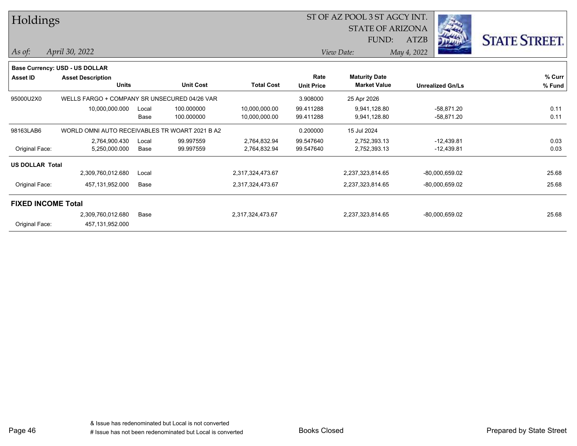| Holdings                  |                                                |       |                  |                   |                   | ST OF AZ POOL 3 ST AGCY INT. |                         |                  |                      |
|---------------------------|------------------------------------------------|-------|------------------|-------------------|-------------------|------------------------------|-------------------------|------------------|----------------------|
|                           |                                                |       |                  |                   |                   | <b>STATE OF ARIZONA</b>      |                         |                  |                      |
|                           |                                                |       |                  |                   | FUND:             |                              | <b>ATZB</b>             | <u>ווינת</u>     | <b>STATE STREET.</b> |
| $As$ of:                  | April 30, 2022                                 |       |                  |                   |                   | View Date:                   | May 4, 2022             |                  |                      |
|                           | Base Currency: USD - US DOLLAR                 |       |                  |                   |                   |                              |                         |                  |                      |
| <b>Asset ID</b>           | <b>Asset Description</b>                       |       |                  |                   | Rate              | <b>Maturity Date</b>         |                         |                  | % Curr               |
|                           | <b>Units</b>                                   |       | <b>Unit Cost</b> | <b>Total Cost</b> | <b>Unit Price</b> | <b>Market Value</b>          | <b>Unrealized Gn/Ls</b> |                  | % Fund               |
| 95000U2X0                 | WELLS FARGO + COMPANY SR UNSECURED 04/26 VAR   |       |                  |                   | 3.908000          | 25 Apr 2026                  |                         |                  |                      |
|                           | 10,000,000.000                                 | Local | 100.000000       | 10,000,000.00     | 99.411288         | 9,941,128.80                 |                         | $-58,871.20$     | 0.11                 |
|                           |                                                | Base  | 100.000000       | 10,000,000.00     | 99.411288         | 9,941,128.80                 |                         | -58,871.20       | 0.11                 |
| 98163LAB6                 | WORLD OMNI AUTO RECEIVABLES TR WOART 2021 B A2 |       |                  |                   | 0.200000          | 15 Jul 2024                  |                         |                  |                      |
|                           | 2,764,900.430                                  | Local | 99.997559        | 2,764,832.94      | 99.547640         | 2,752,393.13                 |                         | $-12,439.81$     | 0.03                 |
| Original Face:            | 5,250,000.000                                  | Base  | 99.997559        | 2,764,832.94      | 99.547640         | 2,752,393.13                 |                         | $-12,439.81$     | 0.03                 |
| <b>US DOLLAR Total</b>    |                                                |       |                  |                   |                   |                              |                         |                  |                      |
|                           | 2,309,760,012.680                              | Local |                  | 2,317,324,473.67  |                   | 2,237,323,814.65             |                         | -80,000,659.02   | 25.68                |
| Original Face:            | 457,131,952.000                                | Base  |                  | 2,317,324,473.67  |                   | 2,237,323,814.65             |                         | -80,000,659.02   | 25.68                |
| <b>FIXED INCOME Total</b> |                                                |       |                  |                   |                   |                              |                         |                  |                      |
|                           | 2,309,760,012.680                              | Base  |                  | 2,317,324,473.67  |                   | 2,237,323,814.65             |                         | $-80,000,659.02$ | 25.68                |
| Original Face:            | 457,131,952.000                                |       |                  |                   |                   |                              |                         |                  |                      |
|                           |                                                |       |                  |                   |                   |                              |                         |                  |                      |

Page 46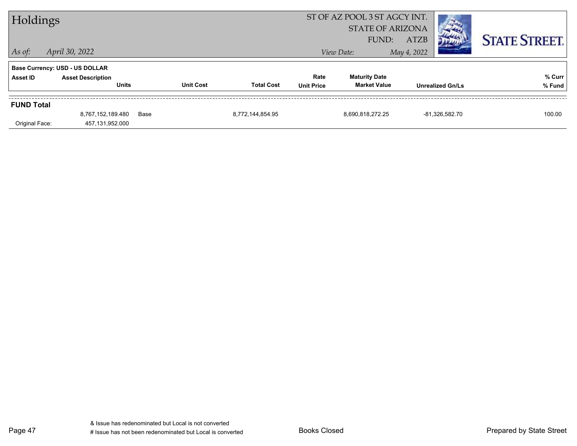| Holdings          |                                                                   |      |                  |                   |                   | ST OF AZ POOL 3 ST AGCY INT.<br><b>STATE OF ARIZONA</b> |                         |                      |
|-------------------|-------------------------------------------------------------------|------|------------------|-------------------|-------------------|---------------------------------------------------------|-------------------------|----------------------|
|                   |                                                                   |      |                  |                   |                   | FUND:                                                   | <b>ATZB</b>             | <b>STATE STREET.</b> |
| $\vert$ As of:    | April 30, 2022                                                    |      |                  |                   |                   | View Date:                                              | May 4, 2022             |                      |
| Asset ID          | <b>Base Currency: USD - US DOLLAR</b><br><b>Asset Description</b> |      |                  |                   | Rate              | <b>Maturity Date</b>                                    |                         | % Curr               |
|                   | <b>Units</b>                                                      |      | <b>Unit Cost</b> | <b>Total Cost</b> | <b>Unit Price</b> | <b>Market Value</b>                                     | <b>Unrealized Gn/Ls</b> | % Fund               |
| <b>FUND Total</b> |                                                                   |      |                  |                   |                   |                                                         |                         |                      |
|                   | 8,767,152,189.480                                                 | Base |                  | 8,772,144,854.95  |                   | 8,690,818,272.25                                        | -81,326,582.70          | 100.00               |
| Original Face:    | 457,131,952.000                                                   |      |                  |                   |                   |                                                         |                         |                      |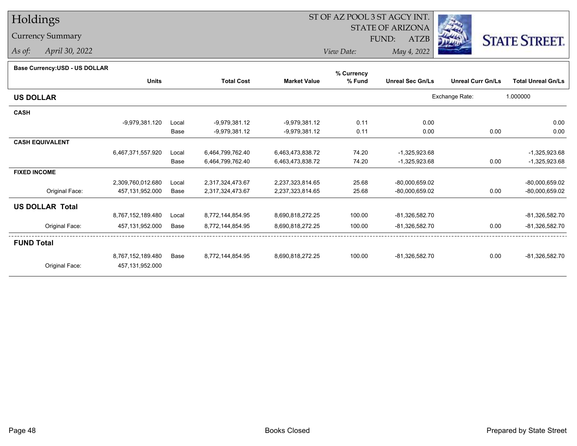# Holdings

## Currency Summary

*As of: April 30, 2022*

## ST OF AZ POOL 3 ST AGCY INT.

STATE OF ARIZONA

FUND: ATZB



*View Date:May 4, 2022*

| Base Currency: USD - US DOLLAR |  |
|--------------------------------|--|
|                                |  |

| Dase Currency: USD - US DULLAR |                   |       |                   |                     | % Currency |                         |                          |                           |
|--------------------------------|-------------------|-------|-------------------|---------------------|------------|-------------------------|--------------------------|---------------------------|
|                                | <b>Units</b>      |       | <b>Total Cost</b> | <b>Market Value</b> | % Fund     | <b>Unreal Sec Gn/Ls</b> | <b>Unreal Curr Gn/Ls</b> | <b>Total Unreal Gn/Ls</b> |
| <b>US DOLLAR</b>               |                   |       |                   |                     |            |                         | Exchange Rate:           | 1.000000                  |
| <b>CASH</b>                    |                   |       |                   |                     |            |                         |                          |                           |
|                                | -9,979,381.120    | Local | $-9,979,381.12$   | $-9,979,381.12$     | 0.11       | 0.00                    |                          | 0.00                      |
|                                |                   | Base  | -9,979,381.12     | $-9,979,381.12$     | 0.11       | 0.00                    | 0.00                     | 0.00                      |
| <b>CASH EQUIVALENT</b>         |                   |       |                   |                     |            |                         |                          |                           |
|                                | 6,467,371,557.920 | Local | 6,464,799,762.40  | 6,463,473,838.72    | 74.20      | -1,325,923.68           |                          | $-1,325,923.68$           |
|                                |                   | Base  | 6,464,799,762.40  | 6,463,473,838.72    | 74.20      | -1,325,923.68           | 0.00                     | $-1,325,923.68$           |
| <b>FIXED INCOME</b>            |                   |       |                   |                     |            |                         |                          |                           |
|                                | 2,309,760,012.680 | Local | 2,317,324,473.67  | 2,237,323,814.65    | 25.68      | $-80,000,659.02$        |                          | -80,000,659.02            |
| Original Face:                 | 457,131,952.000   | Base  | 2,317,324,473.67  | 2,237,323,814.65    | 25.68      | -80,000,659.02          | 0.00                     | -80,000,659.02            |
| <b>US DOLLAR Total</b>         |                   |       |                   |                     |            |                         |                          |                           |
|                                | 8,767,152,189.480 | Local | 8,772,144,854.95  | 8,690,818,272.25    | 100.00     | -81,326,582.70          |                          | -81,326,582.70            |
| Original Face:                 | 457,131,952.000   | Base  | 8,772,144,854.95  | 8,690,818,272.25    | 100.00     | -81,326,582.70          | 0.00                     | -81,326,582.70            |
| <b>FUND Total</b>              |                   |       |                   |                     |            |                         |                          |                           |
|                                | 8,767,152,189.480 | Base  | 8.772.144.854.95  | 8,690,818,272.25    | 100.00     | -81,326,582.70          | 0.00                     | -81,326,582.70            |
| Original Face:                 | 457,131,952.000   |       |                   |                     |            |                         |                          |                           |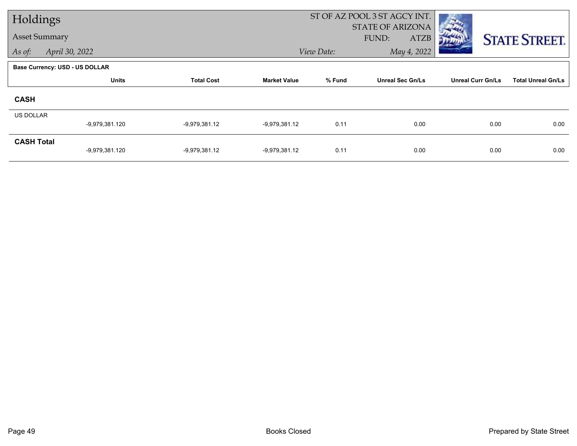| Holdings             |                                       |                   |                     |            | ST OF AZ POOL 3 ST AGCY INT.             |                          |                           |
|----------------------|---------------------------------------|-------------------|---------------------|------------|------------------------------------------|--------------------------|---------------------------|
| <b>Asset Summary</b> |                                       |                   |                     |            | <b>STATE OF ARIZONA</b><br>FUND:<br>ATZB |                          | <b>STATE STREET.</b>      |
| As of:               | April 30, 2022                        |                   |                     | View Date: | May 4, 2022                              |                          |                           |
|                      | <b>Base Currency: USD - US DOLLAR</b> |                   |                     |            |                                          |                          |                           |
|                      | <b>Units</b>                          | <b>Total Cost</b> | <b>Market Value</b> | % Fund     | <b>Unreal Sec Gn/Ls</b>                  | <b>Unreal Curr Gn/Ls</b> | <b>Total Unreal Gn/Ls</b> |
| <b>CASH</b>          |                                       |                   |                     |            |                                          |                          |                           |
| <b>US DOLLAR</b>     |                                       |                   |                     |            |                                          |                          |                           |
|                      | -9,979,381.120                        | $-9,979,381.12$   | -9,979,381.12       | 0.11       | 0.00                                     | 0.00                     | 0.00                      |
| <b>CASH Total</b>    | -9,979,381.120                        | $-9,979,381.12$   | $-9,979,381.12$     | 0.11       | 0.00                                     | 0.00                     | 0.00                      |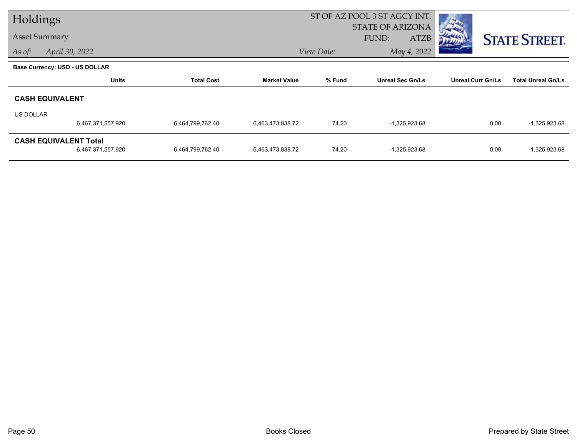| Holdings             |                                       |                   |                     |            | ST OF AZ POOL 3 ST AGCY INT. |                          |                           |
|----------------------|---------------------------------------|-------------------|---------------------|------------|------------------------------|--------------------------|---------------------------|
|                      |                                       |                   |                     |            | STATE OF ARIZONA             |                          |                           |
| <b>Asset Summary</b> |                                       |                   |                     |            | FUND:<br>ATZB                |                          | <b>STATE STREET.</b>      |
| As of:               | April 30, 2022                        |                   |                     | View Date: | May 4, 2022                  |                          |                           |
|                      | <b>Base Currency: USD - US DOLLAR</b> |                   |                     |            |                              |                          |                           |
|                      | <b>Units</b>                          | <b>Total Cost</b> | <b>Market Value</b> | % Fund     | <b>Unreal Sec Gn/Ls</b>      | <b>Unreal Curr Gn/Ls</b> | <b>Total Unreal Gn/Ls</b> |
|                      | <b>CASH EQUIVALENT</b>                |                   |                     |            |                              |                          |                           |
| US DOLLAR            |                                       |                   |                     |            |                              |                          |                           |
|                      | 6,467,371,557.920                     | 6,464,799,762.40  | 6,463,473,838.72    | 74.20      | $-1,325,923.68$              | 0.00                     | $-1,325,923.68$           |
|                      | <b>CASH EQUIVALENT Total</b>          |                   |                     |            |                              |                          |                           |
|                      | 6,467,371,557.920                     | 6,464,799,762.40  | 6,463,473,838.72    | 74.20      | $-1,325,923.68$              | 0.00                     | $-1,325,923.68$           |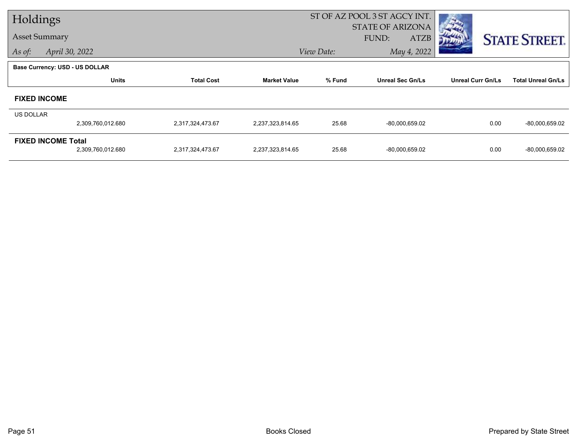| Holdings  |                                       |                   |                     |            | ST OF AZ POOL 3 ST AGCY INT.             |                          |                           |
|-----------|---------------------------------------|-------------------|---------------------|------------|------------------------------------------|--------------------------|---------------------------|
|           | <b>Asset Summary</b>                  |                   |                     |            | <b>STATE OF ARIZONA</b><br>FUND:<br>ATZB |                          |                           |
| As of:    | April 30, 2022                        |                   |                     | View Date: | May 4, 2022                              |                          | <b>STATE STREET.</b>      |
|           |                                       |                   |                     |            |                                          |                          |                           |
|           | <b>Base Currency: USD - US DOLLAR</b> |                   |                     |            |                                          |                          |                           |
|           | <b>Units</b>                          | <b>Total Cost</b> | <b>Market Value</b> | % Fund     | <b>Unreal Sec Gn/Ls</b>                  | <b>Unreal Curr Gn/Ls</b> | <b>Total Unreal Gn/Ls</b> |
|           | <b>FIXED INCOME</b>                   |                   |                     |            |                                          |                          |                           |
| US DOLLAR |                                       |                   |                     |            |                                          |                          |                           |
|           | 2,309,760,012.680                     | 2,317,324,473.67  | 2,237,323,814.65    | 25.68      | $-80,000,659.02$                         | 0.00                     | -80,000,659.02            |
|           | <b>FIXED INCOME Total</b>             |                   |                     |            |                                          |                          |                           |
|           | 2,309,760,012.680                     | 2,317,324,473.67  | 2,237,323,814.65    | 25.68      | $-80,000,659.02$                         | 0.00                     | -80,000,659.02            |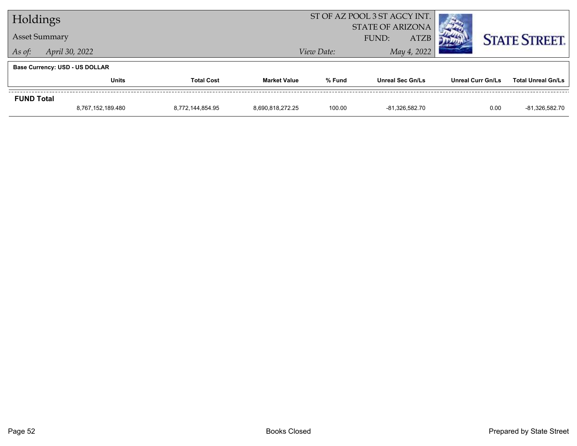| Holdings          |                                       |                   |                  | ST OF AZ POOL 3 ST AGCY INT.                    |                         |                   |                           |
|-------------------|---------------------------------------|-------------------|------------------|-------------------------------------------------|-------------------------|-------------------|---------------------------|
|                   | <b>Asset Summary</b>                  |                   |                  | <b>STATE OF ARIZONA</b><br><b>ATZB</b><br>FUND: |                         |                   | <b>STATE STREET.</b>      |
| As of:            | April 30, 2022                        |                   |                  | View Date:                                      |                         |                   |                           |
|                   | <b>Base Currency: USD - US DOLLAR</b> |                   |                  |                                                 |                         |                   |                           |
|                   | <b>Units</b>                          | <b>Total Cost</b> |                  | % Fund                                          | <b>Unreal Sec Gn/Ls</b> | Unreal Curr Gn/Ls | <b>Total Unreal Gn/Ls</b> |
| <b>FUND Total</b> |                                       |                   |                  |                                                 |                         |                   |                           |
|                   | 8,767,152,189.480                     | 8,772,144,854.95  | 8,690,818,272.25 | 100.00                                          | -81,326,582.70          | 0.00              | -81,326,582.70            |